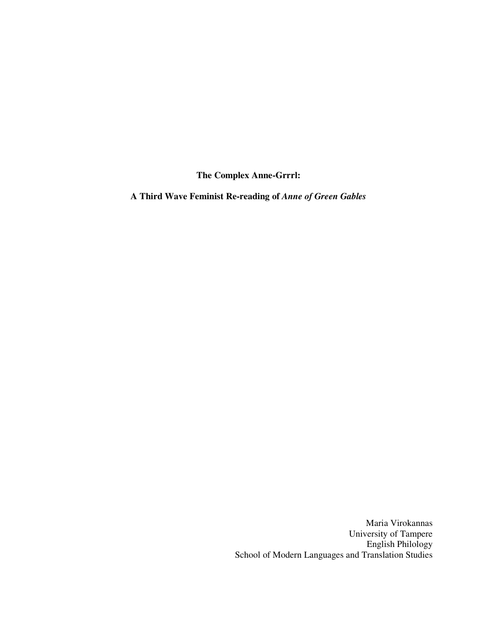**The Complex Anne-Grrrl:** 

**A Third Wave Feminist Re-reading of** *Anne of Green Gables*

Maria Virokannas University of Tampere English Philology School of Modern Languages and Translation Studies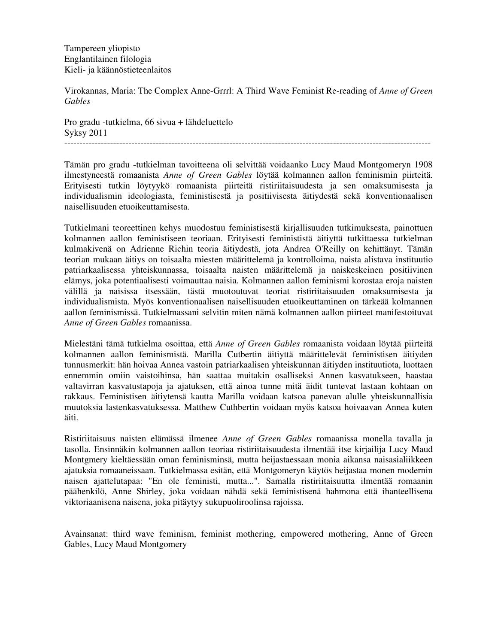Tampereen yliopisto Englantilainen filologia Kieli- ja käännöstieteenlaitos

Virokannas, Maria: The Complex Anne-Grrrl: A Third Wave Feminist Re-reading of *Anne of Green Gables*

Pro gradu -tutkielma, 66 sivua + lähdeluettelo Syksy 2011 ------------------------------------------------------------------------------------------------------------------------

Tämän pro gradu -tutkielman tavoitteena oli selvittää voidaanko Lucy Maud Montgomeryn 1908 ilmestyneestä romaanista *Anne of Green Gables* löytää kolmannen aallon feminismin piirteitä. Erityisesti tutkin löytyykö romaanista piirteitä ristiriitaisuudesta ja sen omaksumisesta ja individualismin ideologiasta, feministisestä ja positiivisesta äitiydestä sekä konventionaalisen naisellisuuden etuoikeuttamisesta.

Tutkielmani teoreettinen kehys muodostuu feministisestä kirjallisuuden tutkimuksesta, painottuen kolmannen aallon feministiseen teoriaan. Erityisesti feminististä äitiyttä tutkittaessa tutkielman kulmakivenä on Adrienne Richin teoria äitiydestä, jota Andrea O'Reilly on kehittänyt. Tämän teorian mukaan äitiys on toisaalta miesten määrittelemä ja kontrolloima, naista alistava instituutio patriarkaalisessa yhteiskunnassa, toisaalta naisten määrittelemä ja naiskeskeinen positiivinen elämys, joka potentiaalisesti voimauttaa naisia. Kolmannen aallon feminismi korostaa eroja naisten välillä ja naisissa itsessään, tästä muotoutuvat teoriat ristiriitaisuuden omaksumisesta ja individualismista. Myös konventionaalisen naisellisuuden etuoikeuttaminen on tärkeää kolmannen aallon feminismissä. Tutkielmassani selvitin miten nämä kolmannen aallon piirteet manifestoituvat *Anne of Green Gables* romaanissa.

Mielestäni tämä tutkielma osoittaa, että *Anne of Green Gables* romaanista voidaan löytää piirteitä kolmannen aallon feminismistä. Marilla Cutbertin äitiyttä määrittelevät feministisen äitiyden tunnusmerkit: hän hoivaa Annea vastoin patriarkaalisen yhteiskunnan äitiyden instituutiota, luottaen ennemmin omiin vaistoihinsa, hän saattaa muitakin osalliseksi Annen kasvatukseen, haastaa valtavirran kasvatustapoja ja ajatuksen, että ainoa tunne mitä äidit tuntevat lastaan kohtaan on rakkaus. Feministisen äitiytensä kautta Marilla voidaan katsoa panevan alulle yhteiskunnallisia muutoksia lastenkasvatuksessa. Matthew Cuthbertin voidaan myös katsoa hoivaavan Annea kuten äiti.

Ristiriitaisuus naisten elämässä ilmenee *Anne of Green Gables* romaanissa monella tavalla ja tasolla. Ensinnäkin kolmannen aallon teoriaa ristiriitaisuudesta ilmentää itse kirjailija Lucy Maud Montgmery kieltäessään oman feminisminsä, mutta heijastaessaan monia aikansa naisasialiikkeen ajatuksia romaaneissaan. Tutkielmassa esitän, että Montgomeryn käytös heijastaa monen modernin naisen ajattelutapaa: "En ole feministi, mutta...". Samalla ristiriitaisuutta ilmentää romaanin päähenkilö, Anne Shirley, joka voidaan nähdä sekä feministisenä hahmona että ihanteellisena viktoriaanisena naisena, joka pitäytyy sukupuoliroolinsa rajoissa.

Avainsanat: third wave feminism, feminist mothering, empowered mothering, Anne of Green Gables, Lucy Maud Montgomery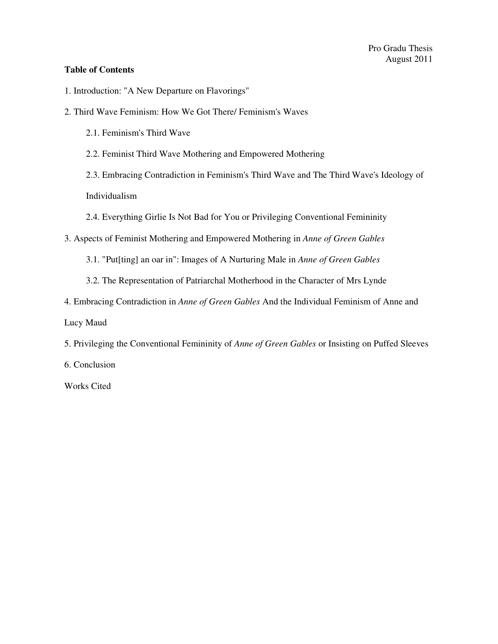## **Table of Contents**

- 1. Introduction: "A New Departure on Flavorings"
- 2. Third Wave Feminism: How We Got There/ Feminism's Waves
	- 2.1. Feminism's Third Wave
	- 2.2. Feminist Third Wave Mothering and Empowered Mothering
	- 2.3. Embracing Contradiction in Feminism's Third Wave and The Third Wave's Ideology of

Individualism

- 2.4. Everything Girlie Is Not Bad for You or Privileging Conventional Femininity
- 3. Aspects of Feminist Mothering and Empowered Mothering in *Anne of Green Gables*
	- 3.1. "Put[ting] an oar in": Images of A Nurturing Male in *Anne of Green Gables*
	- 3.2. The Representation of Patriarchal Motherhood in the Character of Mrs Lynde
- 4. Embracing Contradiction in *Anne of Green Gables* And the Individual Feminism of Anne and

Lucy Maud

5. Privileging the Conventional Femininity of *Anne of Green Gables* or Insisting on Puffed Sleeves

6. Conclusion

Works Cited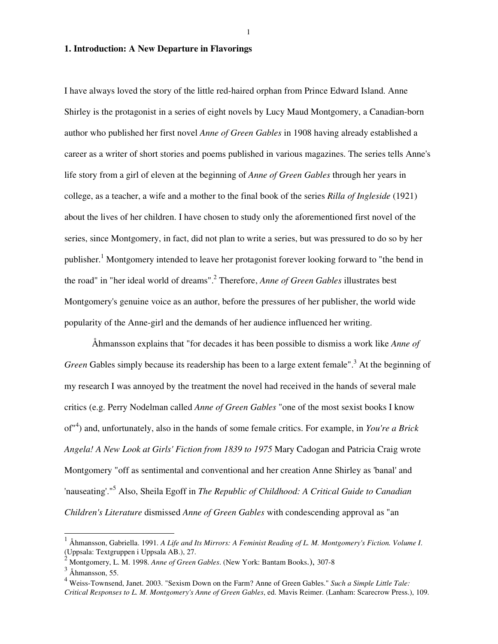1

#### **1. Introduction: A New Departure in Flavorings**

I have always loved the story of the little red-haired orphan from Prince Edward Island. Anne Shirley is the protagonist in a series of eight novels by Lucy Maud Montgomery, a Canadian-born author who published her first novel *Anne of Green Gables* in 1908 having already established a career as a writer of short stories and poems published in various magazines. The series tells Anne's life story from a girl of eleven at the beginning of *Anne of Green Gables* through her years in college, as a teacher, a wife and a mother to the final book of the series *Rilla of Ingleside* (1921) about the lives of her children. I have chosen to study only the aforementioned first novel of the series, since Montgomery, in fact, did not plan to write a series, but was pressured to do so by her publisher.<sup>1</sup> Montgomery intended to leave her protagonist forever looking forward to "the bend in the road" in "her ideal world of dreams".<sup>2</sup> Therefore, *Anne of Green Gables* illustrates best Montgomery's genuine voice as an author, before the pressures of her publisher, the world wide popularity of the Anne-girl and the demands of her audience influenced her writing.

 Åhmansson explains that "for decades it has been possible to dismiss a work like *Anne of*  Green Gables simply because its readership has been to a large extent female".<sup>3</sup> At the beginning of my research I was annoyed by the treatment the novel had received in the hands of several male critics (e.g. Perry Nodelman called *Anne of Green Gables* "one of the most sexist books I know of"<sup>4</sup> ) and, unfortunately, also in the hands of some female critics. For example, in *You're a Brick Angela! A New Look at Girls' Fiction from 1839 to 1975* Mary Cadogan and Patricia Craig wrote Montgomery "off as sentimental and conventional and her creation Anne Shirley as 'banal' and 'nauseating'."<sup>5</sup> Also, Sheila Egoff in *The Republic of Childhood: A Critical Guide to Canadian Children's Literature* dismissed *Anne of Green Gables* with condescending approval as "an

 1 Åhmansson, Gabriella. 1991. *A Life and Its Mirrors: A Feminist Reading of L. M. Montgomery's Fiction. Volume I*. (Uppsala: Textgruppen i Uppsala AB.), 27.

<sup>2</sup> Montgomery, L. M. 1998. *Anne of Green Gables*. (New York: Bantam Books.), 307-8

 $3$  Åhmansson, 55.

<sup>4</sup> Weiss-Townsend, Janet. 2003. "Sexism Down on the Farm? Anne of Green Gables." *Such a Simple Little Tale: Critical Responses to L. M. Montgomery's Anne of Green Gables*, ed. Mavis Reimer. (Lanham: Scarecrow Press.), 109.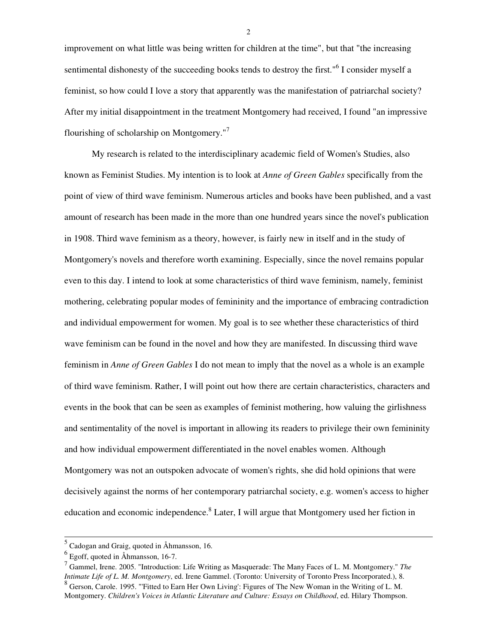improvement on what little was being written for children at the time", but that "the increasing sentimental dishonesty of the succeeding books tends to destroy the first."<sup>6</sup> I consider myself a feminist, so how could I love a story that apparently was the manifestation of patriarchal society? After my initial disappointment in the treatment Montgomery had received, I found "an impressive flourishing of scholarship on Montgomery."<sup>7</sup>

 My research is related to the interdisciplinary academic field of Women's Studies, also known as Feminist Studies. My intention is to look at *Anne of Green Gables* specifically from the point of view of third wave feminism. Numerous articles and books have been published, and a vast amount of research has been made in the more than one hundred years since the novel's publication in 1908. Third wave feminism as a theory, however, is fairly new in itself and in the study of Montgomery's novels and therefore worth examining. Especially, since the novel remains popular even to this day. I intend to look at some characteristics of third wave feminism, namely, feminist mothering, celebrating popular modes of femininity and the importance of embracing contradiction and individual empowerment for women. My goal is to see whether these characteristics of third wave feminism can be found in the novel and how they are manifested. In discussing third wave feminism in *Anne of Green Gables* I do not mean to imply that the novel as a whole is an example of third wave feminism. Rather, I will point out how there are certain characteristics, characters and events in the book that can be seen as examples of feminist mothering, how valuing the girlishness and sentimentality of the novel is important in allowing its readers to privilege their own femininity and how individual empowerment differentiated in the novel enables women. Although Montgomery was not an outspoken advocate of women's rights, she did hold opinions that were decisively against the norms of her contemporary patriarchal society, e.g. women's access to higher education and economic independence.<sup>8</sup> Later, I will argue that Montgomery used her fiction in

<sup>&</sup>lt;sup>5</sup> Cadogan and Graig, quoted in Åhmansson, 16.

<sup>6</sup> Egoff, quoted in Åhmansson, 16-7.

<sup>7</sup> Gammel, Irene. 2005. "Introduction: Life Writing as Masquerade: The Many Faces of L. M. Montgomery." *The Intimate Life of L. M. Montgomery*, ed. Irene Gammel. (Toronto: University of Toronto Press Incorporated.), 8. <sup>8</sup> Gerson, Carole. 1995. "'Fitted to Earn Her Own Living': Figures of The New Woman in the Writing of L. M. Montgomery. *Children's Voices in Atlantic Literature and Culture: Essays on Childhood*, ed. Hilary Thompson.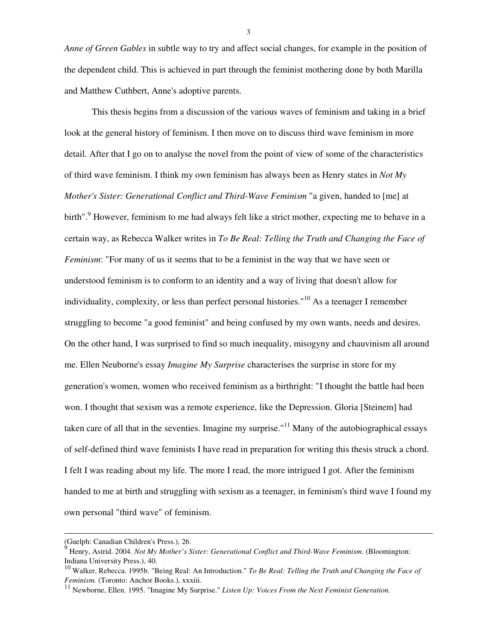*Anne of Green Gables* in subtle way to try and affect social changes, for example in the position of the dependent child. This is achieved in part through the feminist mothering done by both Marilla and Matthew Cuthbert, Anne's adoptive parents.

 This thesis begins from a discussion of the various waves of feminism and taking in a brief look at the general history of feminism. I then move on to discuss third wave feminism in more detail. After that I go on to analyse the novel from the point of view of some of the characteristics of third wave feminism. I think my own feminism has always been as Henry states in *Not My Mother's Sister: Generational Conflict and Third-Wave Feminism* "a given, handed to [me] at birth".<sup>9</sup> However, feminism to me had always felt like a strict mother, expecting me to behave in a certain way, as Rebecca Walker writes in *To Be Real: Telling the Truth and Changing the Face of Feminism*: "For many of us it seems that to be a feminist in the way that we have seen or understood feminism is to conform to an identity and a way of living that doesn't allow for individuality, complexity, or less than perfect personal histories."<sup>10</sup> As a teenager I remember struggling to become "a good feminist" and being confused by my own wants, needs and desires. On the other hand, I was surprised to find so much inequality, misogyny and chauvinism all around me. Ellen Neuborne's essay *Imagine My Surprise* characterises the surprise in store for my generation's women, women who received feminism as a birthright: "I thought the battle had been won. I thought that sexism was a remote experience, like the Depression. Gloria [Steinem] had taken care of all that in the seventies. Imagine my surprise."<sup>11</sup> Many of the autobiographical essays of self-defined third wave feminists I have read in preparation for writing this thesis struck a chord. I felt I was reading about my life. The more I read, the more intrigued I got. After the feminism handed to me at birth and struggling with sexism as a teenager, in feminism's third wave I found my own personal "third wave" of feminism.

l

<sup>(</sup>Guelph: Canadian Children's Press.), 26.

 $\dot{9}$  Henry, Astrid. 2004. *Not My Mother's Sister: Generational Conflict and Third-Wave Feminism*. (Bloomington: Indiana University Press.), 40.

<sup>10</sup> Walker, Rebecca. 1995b. "Being Real: An Introduction." *To Be Real: Telling the Truth and Changing the Face of Feminism.* (Toronto: Anchor Books.), xxxiii.<br><sup>11</sup><sub>N</sub>

<sup>11</sup> Newborne, Ellen. 1995. "Imagine My Surprise." *Listen Up: Voices From the Next Feminist Generation.*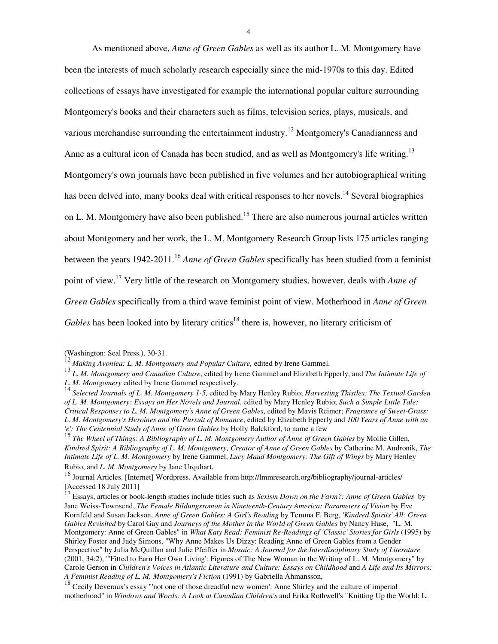As mentioned above, *Anne of Green Gables* as well as its author L. M. Montgomery have been the interests of much scholarly research especially since the mid-1970s to this day. Edited collections of essays have investigated for example the international popular culture surrounding Montgomery's books and their characters such as films, television series, plays, musicals, and various merchandise surrounding the entertainment industry.<sup>12</sup> Montgomery's Canadianness and Anne as a cultural icon of Canada has been studied, and as well as Montgomery's life writing.<sup>13</sup> Montgomery's own journals have been published in five volumes and her autobiographical writing has been delved into, many books deal with critical responses to her novels.<sup>14</sup> Several biographies on L. M. Montgomery have also been published.<sup>15</sup> There are also numerous journal articles written about Montgomery and her work, the L. M. Montgomery Research Group lists 175 articles ranging between the years 1942-2011.<sup>16</sup> *Anne of Green Gables* specifically has been studied from a feminist point of view.<sup>17</sup> Very little of the research on Montgomery studies, however, deals with *Anne of Green Gables* specifically from a third wave feminist point of view. Motherhood in *Anne of Green Gables* has been looked into by literary critics<sup>18</sup> there is, however, no literary criticism of

<sup>(</sup>Washington: Seal Press.), 30-31.

<sup>&</sup>lt;sup>12</sup> Making Avonlea: L. M. Montgomery and Popular Culture, edited by Irene Gammel.

<sup>13</sup> *L. M. Montgomery and Canadian Culture*, edited by Irene Gammel and Elizabeth Epperly, and *The Intimate Life of L. M. Montgomery* edited by Irene Gammel respectively.

<sup>14</sup> *Selected Journals of L. M. Montgomery 1-5,* edited by Mary Henley Rubio; *Harvesting Thistles: The Textual Garden of L. M. Montgomery: Essays on Her Novels and Journal*, edited by Mary Henley Rubio; *Such a Simple Little Tale: Critical Responses to L. M. Montgomery's Anne of Green Gables*, edited by Mavis Reimer; *Fragrance of Sweet-Grass: L. M. Montgomery's Heroines and the Pursuit of Romance*, edited by Elizabeth Epperly and *100 Years of Anne with an 'e': The Centennial Study of Anne of Green Gables* by Holly Balckford, to name a few

<sup>15</sup> *The Wheel of Things: A Bibliography of L. M. Montgomery Author of Anne of Green Gables* by Mollie Gillen, *Kindred Spirit: A Bibliography of L. M. Montgomery, Creator of Anne of Green Gables* by Catherine M. Andronik, *The Intimate Life of L. M. Montgomery* by Irene Gammel, *Lucy Maud Montgomery: The Gift of Wings* by Mary Henley Rubio, and *L. M. Montgomery* by Jane Urquhart.

<sup>&</sup>lt;sup>16</sup> Journal Articles. [Internet] Wordpress. Available from http://lmmresearch.org/bibliography/journal-articles/ [Accessed 18 July 2011]

<sup>17</sup> Essays, articles or book-length studies include titles such as *Sexism Down on the Farm?: Anne of Green Gables* by Jane Weiss-Townsend, *The Female Bildungsroman in Nineteenth-Century America: Parameters of Vision* by Eve Kornfeld and Susan Jackson, *Anne of Green Gables: A Girl's Reading* by Temma F. Berg, *'Kindred Spirits' All: Green Gables Revisited* by Carol Gay and *Journeys of the Mother in the World of Green Gables* by Nancy Huse, "L. M. Montgomery: Anne of Green Gables" in *What Katy Read: Feminist Re-Readings of 'Classic' Stories for Girls* (1995) by Shirley Foster and Judy Simons, "Why Anne Makes Us Dizzy: Reading Anne of Green Gables from a Gender Perspective" by Julia McQuillan and Julie Pfeiffer in *Mosaic: A Journal for the Interdisciplinary Study of Literature*  (2001, 34:2), "'Fitted to Earn Her Own Living': Figures of The New Woman in the Writing of L. M. Montgomery" by Carole Gerson in *Children's Voices in Atlantic Literature and Culture: Essays on Childhood* and *A Life and Its Mirrors: A Feminist Reading of L. M. Montgomery's Fiction* (1991) by Gabriella Åhmansson,

<sup>&</sup>lt;sup>18</sup> Cecily Deveraux's essay "'not one of those dreadful new women': Anne Shirley and the culture of imperial motherhood" in *Windows and Words: A Look at Canadian Children's* and Erika Rothwell's "Knitting Up the World: L.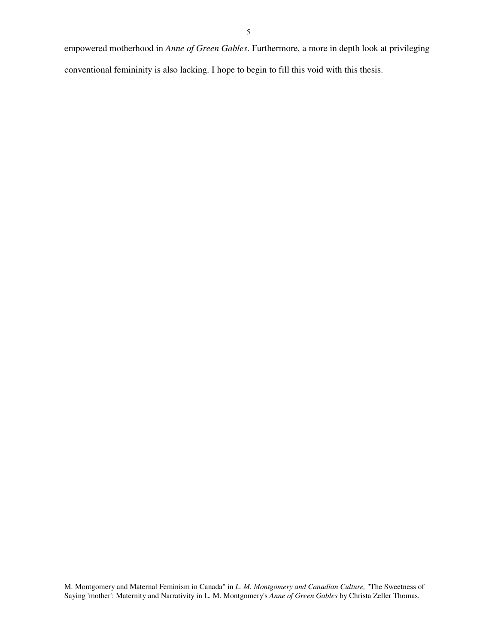empowered motherhood in *Anne of Green Gables*. Furthermore, a more in depth look at privileging conventional femininity is also lacking. I hope to begin to fill this void with this thesis.

M. Montgomery and Maternal Feminism in Canada" in *L. M. Montgomery and Canadian Culture,* "The Sweetness of Saying 'mother': Maternity and Narrativity in L. M. Montgomery's *Anne of Green Gables* by Christa Zeller Thomas.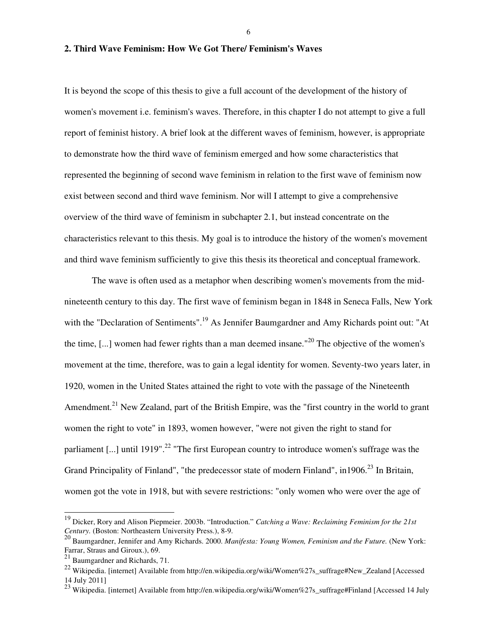6

## **2. Third Wave Feminism: How We Got There/ Feminism's Waves**

It is beyond the scope of this thesis to give a full account of the development of the history of women's movement i.e. feminism's waves. Therefore, in this chapter I do not attempt to give a full report of feminist history. A brief look at the different waves of feminism, however, is appropriate to demonstrate how the third wave of feminism emerged and how some characteristics that represented the beginning of second wave feminism in relation to the first wave of feminism now exist between second and third wave feminism. Nor will I attempt to give a comprehensive overview of the third wave of feminism in subchapter 2.1, but instead concentrate on the characteristics relevant to this thesis. My goal is to introduce the history of the women's movement and third wave feminism sufficiently to give this thesis its theoretical and conceptual framework.

 The wave is often used as a metaphor when describing women's movements from the midnineteenth century to this day. The first wave of feminism began in 1848 in Seneca Falls, New York with the "Declaration of Sentiments".<sup>19</sup> As Jennifer Baumgardner and Amy Richards point out: "At the time,  $[\dots]$  women had fewer rights than a man deemed insane."<sup>20</sup> The objective of the women's movement at the time, therefore, was to gain a legal identity for women. Seventy-two years later, in 1920, women in the United States attained the right to vote with the passage of the Nineteenth Amendment.<sup>21</sup> New Zealand, part of the British Empire, was the "first country in the world to grant women the right to vote" in 1893, women however, "were not given the right to stand for parliament [...] until 1919".<sup>22</sup> "The first European country to introduce women's suffrage was the Grand Principality of Finland", "the predecessor state of modern Finland", in1906.<sup>23</sup> In Britain, women got the vote in 1918, but with severe restrictions: "only women who were over the age of

<sup>19</sup> Dicker, Rory and Alison Piepmeier. 2003b. "Introduction." *Catching a Wave: Reclaiming Feminism for the 21st Century.* (Boston: Northeastern University Press.), 8-9.

<sup>20</sup> Baumgardner, Jennifer and Amy Richards. 2000. *Manifesta: Young Women, Feminism and the Future.* (New York: Farrar, Straus and Giroux.), 69.

<sup>21</sup> Baumgardner and Richards, 71.

<sup>&</sup>lt;sup>22</sup> Wikipedia. [internet] Available from http://en.wikipedia.org/wiki/Women%27s\_suffrage#New\_Zealand [Accessed 14 July 2011]

<sup>&</sup>lt;sup>23</sup> Wikipedia. [internet] Available from http://en.wikipedia.org/wiki/Women%27s\_suffrage#Finland [Accessed 14 July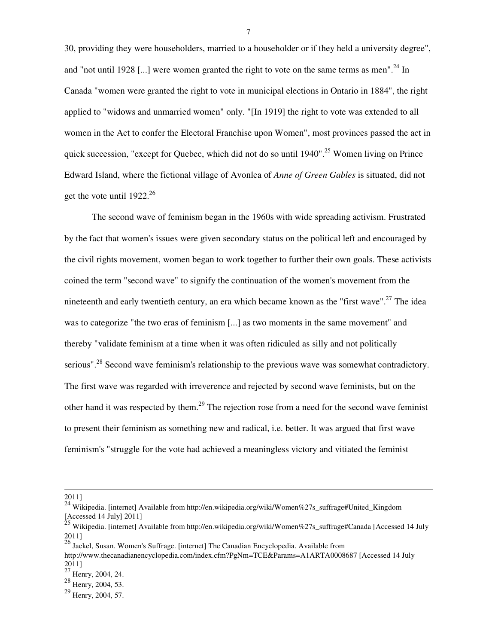30, providing they were householders, married to a householder or if they held a university degree", and "not until 1928 [...] were women granted the right to vote on the same terms as men".<sup>24</sup> In Canada "women were granted the right to vote in municipal elections in Ontario in 1884", the right applied to "widows and unmarried women" only. "[In 1919] the right to vote was extended to all women in the Act to confer the Electoral Franchise upon Women", most provinces passed the act in quick succession, "except for Quebec, which did not do so until  $1940"$ .<sup>25</sup> Women living on Prince Edward Island, where the fictional village of Avonlea of *Anne of Green Gables* is situated, did not get the vote until  $1922^{26}$ 

 The second wave of feminism began in the 1960s with wide spreading activism. Frustrated by the fact that women's issues were given secondary status on the political left and encouraged by the civil rights movement, women began to work together to further their own goals. These activists coined the term "second wave" to signify the continuation of the women's movement from the nineteenth and early twentieth century, an era which became known as the "first wave".<sup>27</sup> The idea was to categorize "the two eras of feminism [...] as two moments in the same movement" and thereby "validate feminism at a time when it was often ridiculed as silly and not politically serious".<sup>28</sup> Second wave feminism's relationship to the previous wave was somewhat contradictory. The first wave was regarded with irreverence and rejected by second wave feminists, but on the other hand it was respected by them.<sup>29</sup> The rejection rose from a need for the second wave feminist to present their feminism as something new and radical, i.e. better. It was argued that first wave feminism's "struggle for the vote had achieved a meaningless victory and vitiated the feminist

l

<sup>26</sup> Jackel, Susan. Women's Suffrage. [internet] The Canadian Encyclopedia. Available from http://www.thecanadianencyclopedia.com/index.cfm?PgNm=TCE&Params=A1ARTA0008687 [Accessed 14 July 2011]

<sup>2011]</sup> 

<sup>24</sup> Wikipedia. [internet] Available from http://en.wikipedia.org/wiki/Women%27s\_suffrage#United\_Kingdom [Accessed 14 July] 2011]

<sup>&</sup>lt;sup>25</sup> Wikipedia. [internet] Available from http://en.wikipedia.org/wiki/Women%27s\_suffrage#Canada [Accessed 14 July 2011]

 $27$  Henry, 2004, 24.

 $28 \frac{125}{12004}$ , 2004, 53.

<sup>29</sup> Henry, 2004, 57.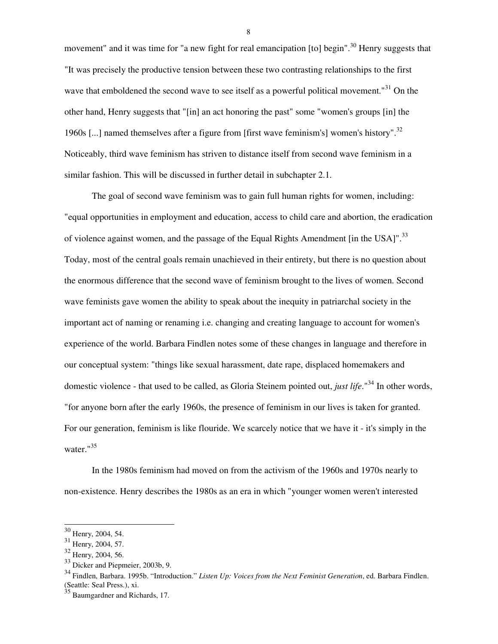movement" and it was time for "a new fight for real emancipation [to] begin".<sup>30</sup> Henry suggests that "It was precisely the productive tension between these two contrasting relationships to the first wave that emboldened the second wave to see itself as a powerful political movement."<sup>31</sup> On the other hand, Henry suggests that "[in] an act honoring the past" some "women's groups [in] the 1960s [...] named themselves after a figure from [first wave feminism's] women's history".<sup>32</sup> Noticeably, third wave feminism has striven to distance itself from second wave feminism in a similar fashion. This will be discussed in further detail in subchapter 2.1.

 The goal of second wave feminism was to gain full human rights for women, including: "equal opportunities in employment and education, access to child care and abortion, the eradication of violence against women, and the passage of the Equal Rights Amendment [in the USA]".<sup>33</sup> Today, most of the central goals remain unachieved in their entirety, but there is no question about the enormous difference that the second wave of feminism brought to the lives of women. Second wave feminists gave women the ability to speak about the inequity in patriarchal society in the important act of naming or renaming i.e. changing and creating language to account for women's experience of the world. Barbara Findlen notes some of these changes in language and therefore in our conceptual system: "things like sexual harassment, date rape, displaced homemakers and domestic violence - that used to be called, as Gloria Steinem pointed out, *just life*."<sup>34</sup> In other words, "for anyone born after the early 1960s, the presence of feminism in our lives is taken for granted. For our generation, feminism is like flouride. We scarcely notice that we have it - it's simply in the water."<sup>35</sup>

 In the 1980s feminism had moved on from the activism of the 1960s and 1970s nearly to non-existence. Henry describes the 1980s as an era in which "younger women weren't interested

l

 $30$  Henry, 2004, 54.

<sup>&</sup>lt;sup>31</sup> Henry, 2004, 57.

<sup>32</sup> Henry, 2004, 56.

<sup>33</sup> Dicker and Piepmeier, 2003b, 9.

<sup>34</sup> Findlen, Barbara. 1995b. "Introduction." *Listen Up: Voices from the Next Feminist Generation*, ed. Barbara Findlen. (Seattle: Seal Press.), xi.

Baumgardner and Richards, 17.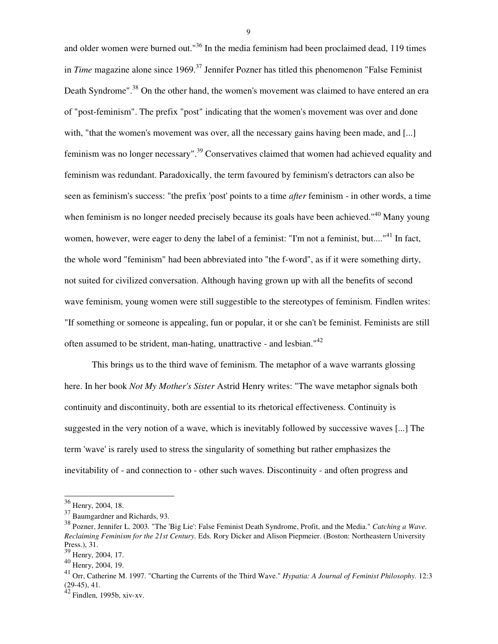and older women were burned out."<sup>36</sup> In the media feminism had been proclaimed dead, 119 times in *Time* magazine alone since 1969.<sup>37</sup> Jennifer Pozner has titled this phenomenon "False Feminist" Death Syndrome".<sup>38</sup> On the other hand, the women's movement was claimed to have entered an era of "post-feminism". The prefix "post" indicating that the women's movement was over and done with, "that the women's movement was over, all the necessary gains having been made, and [...] feminism was no longer necessary".<sup>39</sup> Conservatives claimed that women had achieved equality and feminism was redundant. Paradoxically, the term favoured by feminism's detractors can also be seen as feminism's success: "the prefix 'post' points to a time *after* feminism - in other words, a time when feminism is no longer needed precisely because its goals have been achieved."<sup>40</sup> Many young women, however, were eager to deny the label of a feminist: "I'm not a feminist, but...."<sup>41</sup> In fact, the whole word "feminism" had been abbreviated into "the f-word", as if it were something dirty, not suited for civilized conversation. Although having grown up with all the benefits of second wave feminism, young women were still suggestible to the stereotypes of feminism. Findlen writes: "If something or someone is appealing, fun or popular, it or she can't be feminist. Feminists are still often assumed to be strident, man-hating, unattractive - and lesbian."<sup>42</sup>

 This brings us to the third wave of feminism. The metaphor of a wave warrants glossing here. In her book *Not My Mother's Sister* Astrid Henry writes: "The wave metaphor signals both continuity and discontinuity, both are essential to its rhetorical effectiveness. Continuity is suggested in the very notion of a wave, which is inevitably followed by successive waves [...] The term 'wave' is rarely used to stress the singularity of something but rather emphasizes the inevitability of - and connection to - other such waves. Discontinuity - and often progress and

 $\overline{a}$ 

 $36$  Henry, 2004, 18.

<sup>37</sup> Baumgardner and Richards, 93.

<sup>38</sup> Pozner, Jennifer L. 2003. "The 'Big Lie': False Feminist Death Syndrome, Profit, and the Media." *Catching a Wave. Reclaiming Feminism for the 21st Century.* Eds. Rory Dicker and Alison Piepmeier. (Boston: Northeastern University Press.), 31.

<sup>39</sup> Henry, 2004, 17.

<sup>40</sup> Henry, 2004, 19.

<sup>41</sup> Orr, Catherine M. 1997. "Charting the Currents of the Third Wave." *Hypatia: A Journal of Feminist Philosophy*. 12:3 (29-45), 41.

 $42$  Findlen, 1995b, xiv-xv.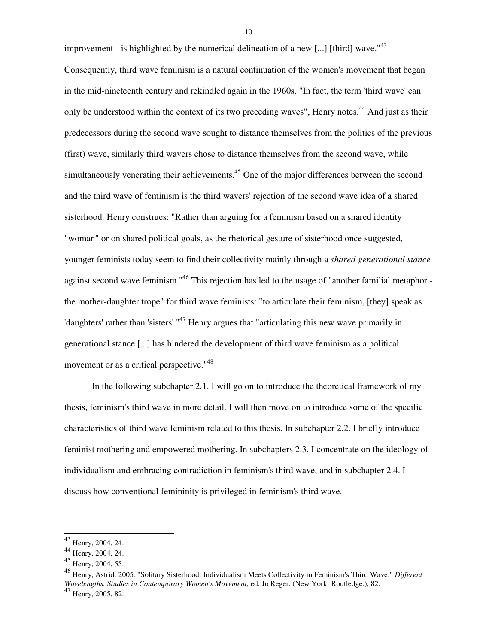improvement - is highlighted by the numerical delineation of a new [...] [third] wave."<sup>43</sup> Consequently, third wave feminism is a natural continuation of the women's movement that began in the mid-nineteenth century and rekindled again in the 1960s. "In fact, the term 'third wave' can only be understood within the context of its two preceding waves", Henry notes.<sup>44</sup> And just as their predecessors during the second wave sought to distance themselves from the politics of the previous (first) wave, similarly third wavers chose to distance themselves from the second wave, while simultaneously venerating their achievements.<sup>45</sup> One of the major differences between the second and the third wave of feminism is the third wavers' rejection of the second wave idea of a shared sisterhood. Henry construes: "Rather than arguing for a feminism based on a shared identity "woman" or on shared political goals, as the rhetorical gesture of sisterhood once suggested, younger feminists today seem to find their collectivity mainly through a *shared generational stance* against second wave feminism."<sup>46</sup> This rejection has led to the usage of "another familial metaphor the mother-daughter trope" for third wave feminists: "to articulate their feminism, [they] speak as 'daughters' rather than 'sisters'."<sup>47</sup> Henry argues that "articulating this new wave primarily in generational stance [...] has hindered the development of third wave feminism as a political movement or as a critical perspective."<sup>48</sup>

 In the following subchapter 2.1. I will go on to introduce the theoretical framework of my thesis, feminism's third wave in more detail. I will then move on to introduce some of the specific characteristics of third wave feminism related to this thesis. In subchapter 2.2. I briefly introduce feminist mothering and empowered mothering. In subchapters 2.3. I concentrate on the ideology of individualism and embracing contradiction in feminism's third wave, and in subchapter 2.4. I discuss how conventional femininity is privileged in feminism's third wave.

l

<sup>&</sup>lt;sup>43</sup> Henry, 2004, 24.

<sup>44</sup> Henry, 2004, 24.

<sup>45</sup> Henry, 2004, 55.

<sup>46</sup> Henry, Astrid. 2005. "Solitary Sisterhood: Individualism Meets Collectivity in Feminism's Third Wave." *Different Wavelengths. Studies in Contemporary Women's Movement*, ed. Jo Reger. (New York: Routledge.), 82.

<sup>47</sup> Henry, 2005, 82.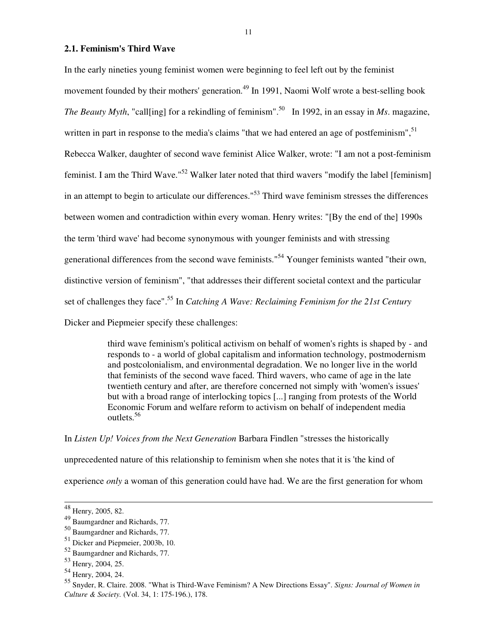**2.1. Feminism's Third Wave** 

In the early nineties young feminist women were beginning to feel left out by the feminist movement founded by their mothers' generation.<sup>49</sup> In 1991, Naomi Wolf wrote a best-selling book *The Beauty Myth*, "call[ing] for a rekindling of feminism".<sup>50</sup> In 1992, in an essay in *Ms*. magazine, written in part in response to the media's claims "that we had entered an age of postfeminism",<sup>51</sup> Rebecca Walker, daughter of second wave feminist Alice Walker, wrote: "I am not a post-feminism feminist. I am the Third Wave."<sup>52</sup> Walker later noted that third wavers "modify the label [feminism] in an attempt to begin to articulate our differences."<sup>53</sup> Third wave feminism stresses the differences between women and contradiction within every woman. Henry writes: "[By the end of the] 1990s the term 'third wave' had become synonymous with younger feminists and with stressing generational differences from the second wave feminists."<sup>54</sup> Younger feminists wanted "their own, distinctive version of feminism", "that addresses their different societal context and the particular set of challenges they face".<sup>55</sup> In *Catching A Wave: Reclaiming Feminism for the 21st Century* Dicker and Piepmeier specify these challenges:

> third wave feminism's political activism on behalf of women's rights is shaped by - and responds to - a world of global capitalism and information technology, postmodernism and postcolonialism, and environmental degradation. We no longer live in the world that feminists of the second wave faced. Third wavers, who came of age in the late twentieth century and after, are therefore concerned not simply with 'women's issues' but with a broad range of interlocking topics [...] ranging from protests of the World Economic Forum and welfare reform to activism on behalf of independent media outlets.<sup>56</sup>

In *Listen Up! Voices from the Next Generation* Barbara Findlen "stresses the historically

unprecedented nature of this relationship to feminism when she notes that it is 'the kind of

experience *only* a woman of this generation could have had. We are the first generation for whom

<sup>&</sup>lt;sup>48</sup> Henry, 2005, 82.

<sup>49</sup> Baumgardner and Richards, 77.

<sup>50</sup> Baumgardner and Richards, 77.

<sup>51</sup> Dicker and Piepmeier, 2003b, 10.

<sup>52</sup> Baumgardner and Richards, 77.

<sup>53</sup> Henry, 2004, 25.

<sup>54</sup> Henry, 2004, 24.

<sup>55</sup> Snyder, R. Claire. 2008. "What is Third-Wave Feminism? A New Directions Essay". *Signs: Journal of Women in Culture & Society.* (Vol. 34, 1: 175-196.), 178.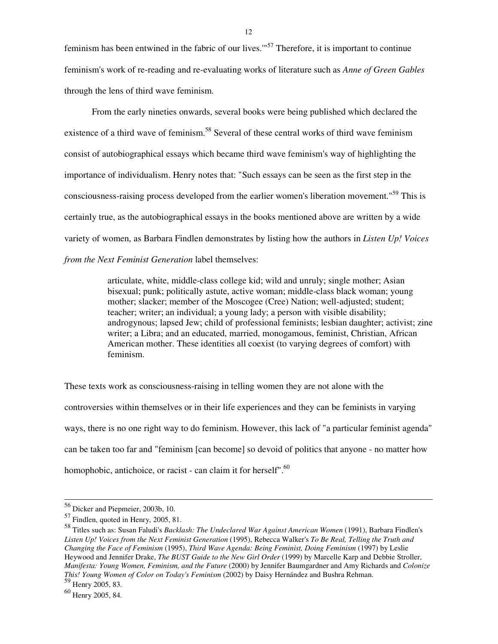feminism has been entwined in the fabric of our lives."<sup>57</sup> Therefore, it is important to continue feminism's work of re-reading and re-evaluating works of literature such as *Anne of Green Gables* through the lens of third wave feminism.

 From the early nineties onwards, several books were being published which declared the existence of a third wave of feminism.<sup>58</sup> Several of these central works of third wave feminism consist of autobiographical essays which became third wave feminism's way of highlighting the importance of individualism. Henry notes that: "Such essays can be seen as the first step in the consciousness-raising process developed from the earlier women's liberation movement."<sup>59</sup> This is certainly true, as the autobiographical essays in the books mentioned above are written by a wide variety of women, as Barbara Findlen demonstrates by listing how the authors in *Listen Up! Voices from the Next Feminist Generation* label themselves:

> articulate, white, middle-class college kid; wild and unruly; single mother; Asian bisexual; punk; politically astute, active woman; middle-class black woman; young mother; slacker; member of the Moscogee (Cree) Nation; well-adjusted; student; teacher; writer; an individual; a young lady; a person with visible disability; androgynous; lapsed Jew; child of professional feminists; lesbian daughter; activist; zine writer; a Libra; and an educated, married, monogamous, feminist, Christian, African American mother. These identities all coexist (to varying degrees of comfort) with feminism.

These texts work as consciousness-raising in telling women they are not alone with the controversies within themselves or in their life experiences and they can be feminists in varying ways, there is no one right way to do feminism. However, this lack of "a particular feminist agenda" can be taken too far and "feminism [can become] so devoid of politics that anyone - no matter how homophobic, antichoice, or racist - can claim it for herself".<sup>60</sup>

<sup>56</sup> Dicker and Piepmeier, 2003b, 10.

<sup>57</sup> Findlen, quoted in Henry, 2005, 81.

<sup>58</sup> Titles such as: Susan Faludi's *Backlash: The Undeclared War Against American Women* (1991), Barbara Findlen's *Listen Up! Voices from the Next Feminist Generation* (1995), Rebecca Walker's *To Be Real, Telling the Truth and Changing the Face of Feminism* (1995), *Third Wave Agenda: Being Feminist, Doing Feminism* (1997) by Leslie Heywood and Jennifer Drake, *The BUST Guide to the New Girl Order* (1999) by Marcelle Karp and Debbie Stroller, *Manifesta: Young Women, Feminism, and the Future* (2000) by Jennifer Baumgardner and Amy Richards and *Colonize This! Young Women of Color on Today's Feminism* (2002) by Daisy Hernández and Bushra Rehman. <sup>59</sup> Henry 2005, 83.

<sup>60</sup> Henry 2005, 84.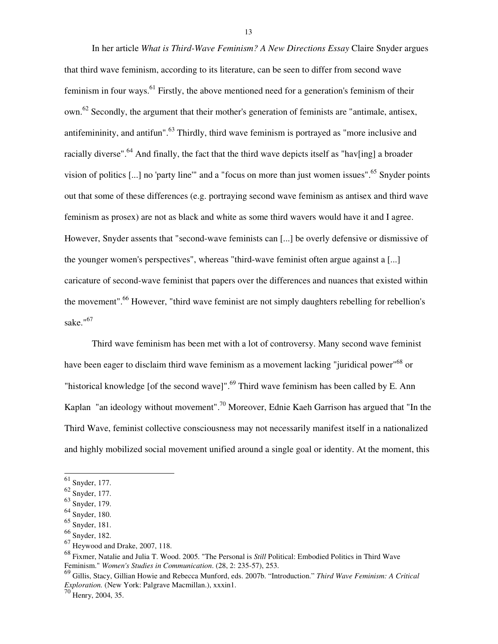In her article *What is Third-Wave Feminism? A New Directions Essay* Claire Snyder argues that third wave feminism, according to its literature, can be seen to differ from second wave feminism in four ways.<sup>61</sup> Firstly, the above mentioned need for a generation's feminism of their own.<sup>62</sup> Secondly, the argument that their mother's generation of feminists are "antimale, antisex, antifemininity, and antifun".<sup>63</sup> Thirdly, third wave feminism is portrayed as "more inclusive and racially diverse".<sup>64</sup> And finally, the fact that the third wave depicts itself as "hav[ing] a broader vision of politics  $[...]$  no 'party line'" and a "focus on more than just women issues".<sup>65</sup> Snyder points out that some of these differences (e.g. portraying second wave feminism as antisex and third wave feminism as prosex) are not as black and white as some third wavers would have it and I agree. However, Snyder assents that "second-wave feminists can [...] be overly defensive or dismissive of the younger women's perspectives", whereas "third-wave feminist often argue against a [...] caricature of second-wave feminist that papers over the differences and nuances that existed within the movement".<sup>66</sup> However, "third wave feminist are not simply daughters rebelling for rebellion's sake."<sup>67</sup>

 Third wave feminism has been met with a lot of controversy. Many second wave feminist have been eager to disclaim third wave feminism as a movement lacking "juridical power"<sup>68</sup> or "historical knowledge [of the second wave]".<sup>69</sup> Third wave feminism has been called by E. Ann Kaplan "an ideology without movement".<sup>70</sup> Moreover, Ednie Kaeh Garrison has argued that "In the Third Wave, feminist collective consciousness may not necessarily manifest itself in a nationalized and highly mobilized social movement unified around a single goal or identity. At the moment, this

l

 $61$  Snyder, 177.

<sup>62</sup> Snyder, 177.

<sup>63</sup> Snyder, 179.

<sup>64</sup> Snyder, 180.

<sup>65</sup> Snyder, 181.

<sup>66</sup> Snyder, 182.

<sup>67</sup> Heywood and Drake, 2007, 118.

<sup>68</sup> Fixmer, Natalie and Julia T. Wood. 2005. "The Personal is *Still* Political: Embodied Politics in Third Wave Feminism." *Women's Studies in Communication*. (28, 2: 235-57), 253.

<sup>69</sup> Gillis, Stacy, Gillian Howie and Rebecca Munford, eds. 2007b. "Introduction." *Third Wave Feminism: A Critical Exploration.* (New York: Palgrave Macmillan.), xxxin1.

 $^{\prime}$  Henry, 2004, 35.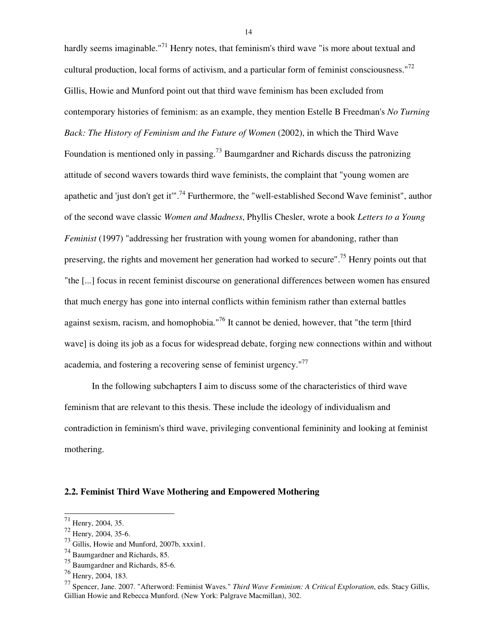hardly seems imaginable."<sup>71</sup> Henry notes, that feminism's third wave "is more about textual and cultural production, local forms of activism, and a particular form of feminist consciousness."<sup>72</sup> Gillis, Howie and Munford point out that third wave feminism has been excluded from contemporary histories of feminism: as an example, they mention Estelle B Freedman's *No Turning Back: The History of Feminism and the Future of Women* (2002), in which the Third Wave Foundation is mentioned only in passing.<sup>73</sup> Baumgardner and Richards discuss the patronizing attitude of second wavers towards third wave feminists, the complaint that "young women are apathetic and 'just don't get it".<sup>74</sup> Furthermore, the "well-established Second Wave feminist", author of the second wave classic *Women and Madness*, Phyllis Chesler, wrote a book *Letters to a Young Feminist* (1997) "addressing her frustration with young women for abandoning, rather than preserving, the rights and movement her generation had worked to secure".<sup>75</sup> Henry points out that "the [...] focus in recent feminist discourse on generational differences between women has ensured that much energy has gone into internal conflicts within feminism rather than external battles against sexism, racism, and homophobia."<sup>76</sup> It cannot be denied, however, that "the term [third wave] is doing its job as a focus for widespread debate, forging new connections within and without academia, and fostering a recovering sense of feminist urgency."<sup>77</sup>

 In the following subchapters I aim to discuss some of the characteristics of third wave feminism that are relevant to this thesis. These include the ideology of individualism and contradiction in feminism's third wave, privileging conventional femininity and looking at feminist mothering.

#### **2.2. Feminist Third Wave Mothering and Empowered Mothering**

l

 $71$  Henry, 2004, 35.

 $72$  Henry, 2004, 35-6.

<sup>73</sup> Gillis, Howie and Munford, 2007b, xxxin1.

<sup>74</sup> Baumgardner and Richards, 85.

<sup>75</sup> Baumgardner and Richards, 85-6.

<sup>76</sup> Henry, 2004, 183.

<sup>77</sup> Spencer, Jane. 2007. "Afterword: Feminist Waves." *Third Wave Feminism: A Critical Exploration*, eds. Stacy Gillis, Gillian Howie and Rebecca Munford. (New York: Palgrave Macmillan), 302.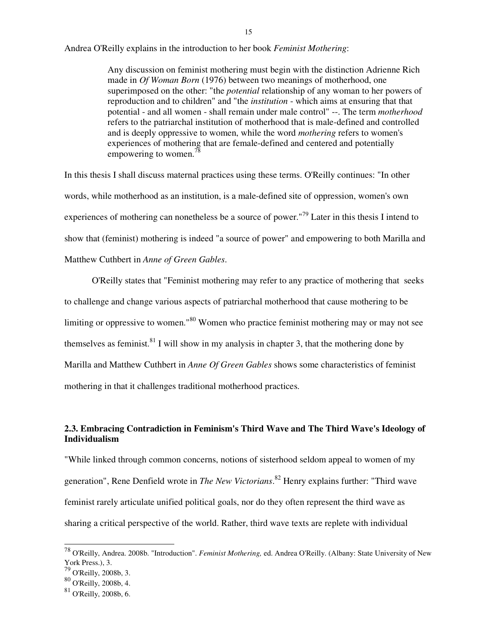Andrea O'Reilly explains in the introduction to her book *Feminist Mothering*:

Any discussion on feminist mothering must begin with the distinction Adrienne Rich made in *Of Woman Born* (1976) between two meanings of motherhood, one superimposed on the other: "the *potential* relationship of any woman to her powers of reproduction and to children" and "the *institution* - which aims at ensuring that that potential - and all women - shall remain under male control" --. The term *motherhood*  refers to the patriarchal institution of motherhood that is male-defined and controlled and is deeply oppressive to women, while the word *mothering* refers to women's experiences of mothering that are female-defined and centered and potentially empowering to women.<sup>78</sup>

In this thesis I shall discuss maternal practices using these terms. O'Reilly continues: "In other words, while motherhood as an institution, is a male-defined site of oppression, women's own experiences of mothering can nonetheless be a source of power."<sup>79</sup> Later in this thesis I intend to show that (feminist) mothering is indeed "a source of power" and empowering to both Marilla and Matthew Cuthbert in *Anne of Green Gables*.

 O'Reilly states that "Feminist mothering may refer to any practice of mothering that seeks to challenge and change various aspects of patriarchal motherhood that cause mothering to be limiting or oppressive to women."<sup>80</sup> Women who practice feminist mothering may or may not see themselves as feminist.<sup>81</sup> I will show in my analysis in chapter 3, that the mothering done by Marilla and Matthew Cuthbert in *Anne Of Green Gables* shows some characteristics of feminist mothering in that it challenges traditional motherhood practices.

# **2.3. Embracing Contradiction in Feminism's Third Wave and The Third Wave's Ideology of Individualism**

"While linked through common concerns, notions of sisterhood seldom appeal to women of my generation", Rene Denfield wrote in *The New Victorians*. <sup>82</sup> Henry explains further: "Third wave feminist rarely articulate unified political goals, nor do they often represent the third wave as sharing a critical perspective of the world. Rather, third wave texts are replete with individual

<sup>78</sup> O'Reilly, Andrea. 2008b. "Introduction". *Feminist Mothering,* ed. Andrea O'Reilly. (Albany: State University of New York Press.), 3.

 $79$  O'Reilly, 2008b, 3.

<sup>80</sup> O'Reilly, 2008b, 4.

<sup>81</sup> O'Reilly, 2008b, 6.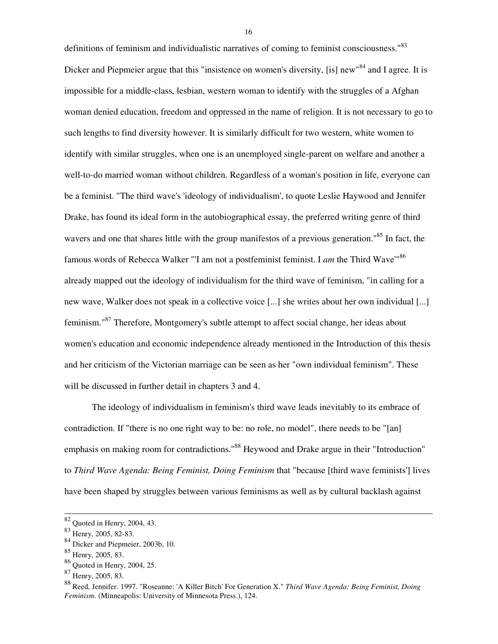definitions of feminism and individualistic narratives of coming to feminist consciousness.<sup>83</sup> Dicker and Piepmeier argue that this "insistence on women's diversity, [is] new"<sup>84</sup> and I agree. It is impossible for a middle-class, lesbian, western woman to identify with the struggles of a Afghan woman denied education, freedom and oppressed in the name of religion. It is not necessary to go to such lengths to find diversity however. It is similarly difficult for two western, white women to identify with similar struggles, when one is an unemployed single-parent on welfare and another a well-to-do married woman without children. Regardless of a woman's position in life, everyone can be a feminist. "The third wave's 'ideology of individualism', to quote Leslie Haywood and Jennifer Drake, has found its ideal form in the autobiographical essay, the preferred writing genre of third wavers and one that shares little with the group manifestos of a previous generation."<sup>85</sup> In fact, the famous words of Rebecca Walker "'I am not a postfeminist feminist. I *am* the Third Wave'"<sup>86</sup> already mapped out the ideology of individualism for the third wave of feminism, "in calling for a new wave, Walker does not speak in a collective voice [...] she writes about her own individual [...] feminism."<sup>87</sup> Therefore, Montgomery's subtle attempt to affect social change, her ideas about women's education and economic independence already mentioned in the Introduction of this thesis and her criticism of the Victorian marriage can be seen as her "own individual feminism". These will be discussed in further detail in chapters 3 and 4.

 The ideology of individualism in feminism's third wave leads inevitably to its embrace of contradiction. If "there is no one right way to be: no role, no model", there needs to be "[an] emphasis on making room for contradictions."<sup>88</sup> Heywood and Drake argue in their "Introduction" to *Third Wave Agenda: Being Feminist, Doing Feminism* that "because [third wave feminists'] lives have been shaped by struggles between various feminisms as well as by cultural backlash against

l

 $82$  Quoted in Henry, 2004, 43.

<sup>83</sup> Henry, 2005, 82-83.

<sup>84</sup> Dicker and Piepmeier, 2003b, 10.

<sup>85</sup> Henry, 2005, 83.

<sup>86</sup> Quoted in Henry, 2004, 25.

<sup>87</sup> Henry, 2005, 83.

<sup>88</sup> Reed, Jennifer. 1997. "Roseanne: 'A Killer Bitch' For Generation X." *Third Wave Agenda: Being Feminist, Doing Feminism*. (Minneapolis: University of Minnesota Press.), 124.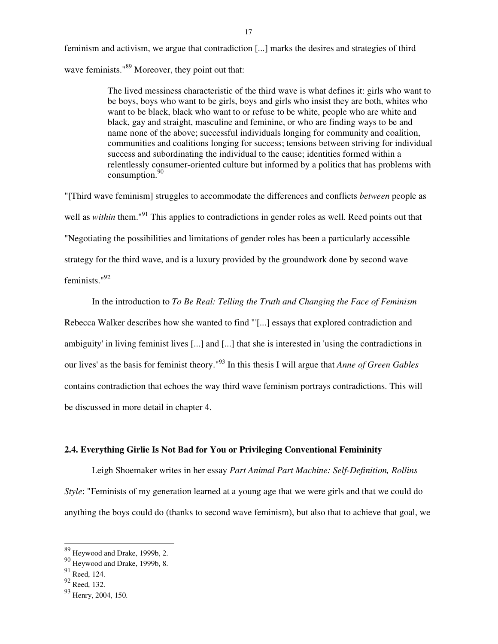feminism and activism, we argue that contradiction [...] marks the desires and strategies of third wave feminists."<sup>89</sup> Moreover, they point out that:

> The lived messiness characteristic of the third wave is what defines it: girls who want to be boys, boys who want to be girls, boys and girls who insist they are both, whites who want to be black, black who want to or refuse to be white, people who are white and black, gay and straight, masculine and feminine, or who are finding ways to be and name none of the above; successful individuals longing for community and coalition, communities and coalitions longing for success; tensions between striving for individual success and subordinating the individual to the cause; identities formed within a relentlessly consumer-oriented culture but informed by a politics that has problems with consumption. $90$

"[Third wave feminism] struggles to accommodate the differences and conflicts *between* people as well as *within* them."<sup>91</sup> This applies to contradictions in gender roles as well. Reed points out that "Negotiating the possibilities and limitations of gender roles has been a particularly accessible strategy for the third wave, and is a luxury provided by the groundwork done by second wave feminists."<sup>92</sup>

 In the introduction to *To Be Real: Telling the Truth and Changing the Face of Feminism*  Rebecca Walker describes how she wanted to find "'[...] essays that explored contradiction and ambiguity' in living feminist lives [...] and [...] that she is interested in 'using the contradictions in our lives' as the basis for feminist theory."<sup>93</sup> In this thesis I will argue that *Anne of Green Gables* contains contradiction that echoes the way third wave feminism portrays contradictions. This will be discussed in more detail in chapter 4.

## **2.4. Everything Girlie Is Not Bad for You or Privileging Conventional Femininity**

Leigh Shoemaker writes in her essay *Part Animal Part Machine: Self-Definition, Rollins Style*: "Feminists of my generation learned at a young age that we were girls and that we could do anything the boys could do (thanks to second wave feminism), but also that to achieve that goal, we

 $89$  Heywood and Drake, 1999b, 2.

<sup>90</sup> Heywood and Drake, 1999b, 8.

 $91$  Reed, 124.

<sup>92</sup> Reed, 132.

<sup>93</sup> Henry, 2004, 150.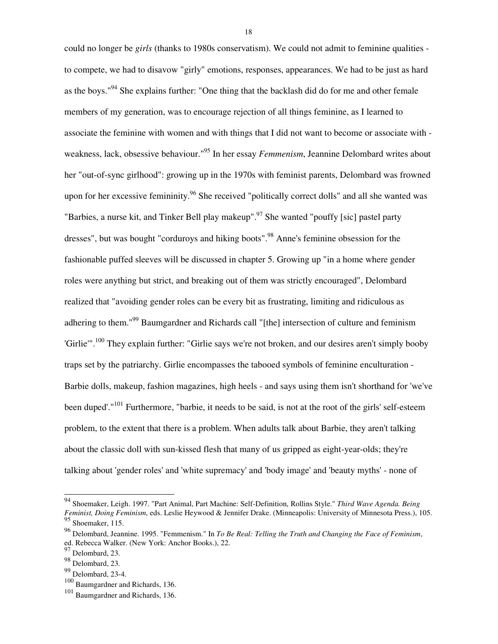could no longer be *girls* (thanks to 1980s conservatism). We could not admit to feminine qualities to compete, we had to disavow "girly" emotions, responses, appearances. We had to be just as hard as the boys."<sup>94</sup> She explains further: "One thing that the backlash did do for me and other female members of my generation, was to encourage rejection of all things feminine, as I learned to associate the feminine with women and with things that I did not want to become or associate with weakness, lack, obsessive behaviour."<sup>95</sup> In her essay *Femmenism*, Jeannine Delombard writes about her "out-of-sync girlhood": growing up in the 1970s with feminist parents, Delombard was frowned upon for her excessive femininity.<sup>96</sup> She received "politically correct dolls" and all she wanted was "Barbies, a nurse kit, and Tinker Bell play makeup".<sup>97</sup> She wanted "pouffy [sic] pastel party dresses", but was bought "corduroys and hiking boots".<sup>98</sup> Anne's feminine obsession for the fashionable puffed sleeves will be discussed in chapter 5. Growing up "in a home where gender roles were anything but strict, and breaking out of them was strictly encouraged", Delombard realized that "avoiding gender roles can be every bit as frustrating, limiting and ridiculous as adhering to them."<sup>99</sup> Baumgardner and Richards call "[the] intersection of culture and feminism 'Girlie'".<sup>100</sup> They explain further: "Girlie says we're not broken, and our desires aren't simply booby traps set by the patriarchy. Girlie encompasses the tabooed symbols of feminine enculturation - Barbie dolls, makeup, fashion magazines, high heels - and says using them isn't shorthand for 'we've been duped'."<sup>101</sup> Furthermore, "barbie, it needs to be said, is not at the root of the girls' self-esteem problem, to the extent that there is a problem. When adults talk about Barbie, they aren't talking about the classic doll with sun-kissed flesh that many of us gripped as eight-year-olds; they're talking about 'gender roles' and 'white supremacy' and 'body image' and 'beauty myths' - none of

 $\overline{a}$ 

<sup>94</sup> Shoemaker, Leigh. 1997. "Part Animal, Part Machine: Self-Definition, Rollins Style." *Third Wave Agenda. Being Feminist, Doing Feminism*, eds. Leslie Heywood & Jennifer Drake. (Minneapolis: University of Minnesota Press.), 105.  $\frac{95}{95}$  Shoemaker, 115.

<sup>96</sup> Delombard, Jeannine. 1995. "Femmenism." In *To Be Real: Telling the Truth and Changing the Face of Feminism*, ed. Rebecca Walker. (New York: Anchor Books.), 22.

<sup>97</sup> Delombard, 23.

<sup>98</sup> Delombard, 23.

<sup>99</sup> Delombard, 23-4.

<sup>100</sup> Baumgardner and Richards, 136.

<sup>101</sup> Baumgardner and Richards, 136.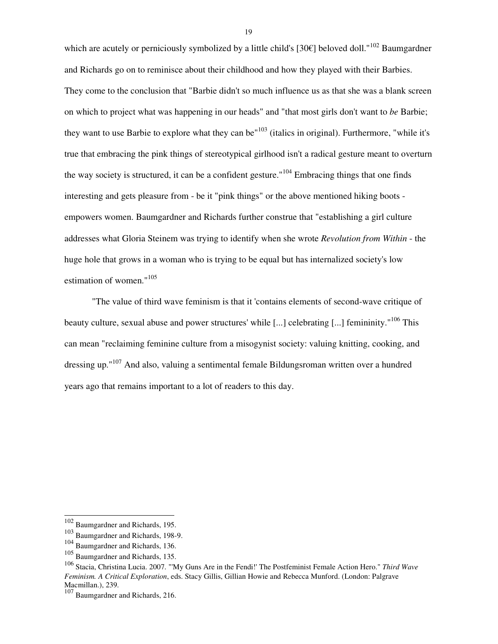which are acutely or perniciously symbolized by a little child's [30€] beloved doll."<sup>102</sup> Baumgardner and Richards go on to reminisce about their childhood and how they played with their Barbies. They come to the conclusion that "Barbie didn't so much influence us as that she was a blank screen on which to project what was happening in our heads" and "that most girls don't want to *be* Barbie; they want to use Barbie to explore what they can be<sup> $103$ </sup> (italics in original). Furthermore, "while it's true that embracing the pink things of stereotypical girlhood isn't a radical gesture meant to overturn the way society is structured, it can be a confident gesture."<sup>104</sup> Embracing things that one finds interesting and gets pleasure from - be it "pink things" or the above mentioned hiking boots empowers women. Baumgardner and Richards further construe that "establishing a girl culture addresses what Gloria Steinem was trying to identify when she wrote *Revolution from Within* - the huge hole that grows in a woman who is trying to be equal but has internalized society's low estimation of women."<sup>105</sup>

 "The value of third wave feminism is that it 'contains elements of second-wave critique of beauty culture, sexual abuse and power structures' while [...] celebrating [...] femininity."<sup>106</sup> This can mean "reclaiming feminine culture from a misogynist society: valuing knitting, cooking, and dressing up."<sup>107</sup> And also, valuing a sentimental female Bildungsroman written over a hundred years ago that remains important to a lot of readers to this day.

l

<sup>&</sup>lt;sup>102</sup> Baumgardner and Richards, 195.

<sup>103</sup> Baumgardner and Richards, 198-9.

<sup>104</sup> Baumgardner and Richards, 136.

<sup>105</sup> Baumgardner and Richards, 135.

<sup>106</sup> Stacia, Christina Lucia. 2007. "'My Guns Are in the Fendi!' The Postfeminist Female Action Hero." *Third Wave Feminism. A Critical Exploration*, eds. Stacy Gillis, Gillian Howie and Rebecca Munford. (London: Palgrave Macmillan.), 239.

Baumgardner and Richards, 216.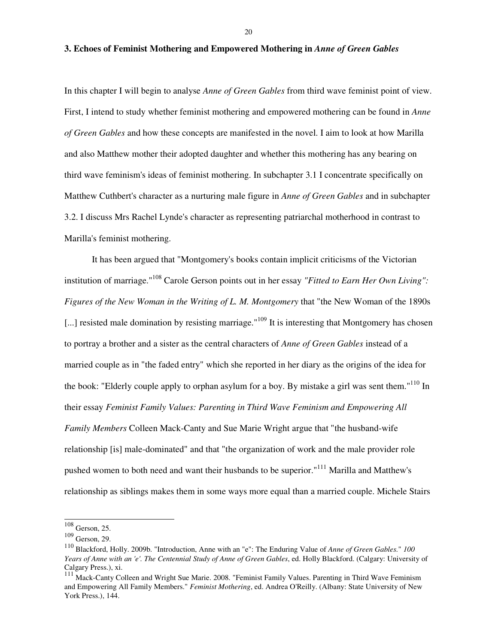## **3. Echoes of Feminist Mothering and Empowered Mothering in** *Anne of Green Gables*

In this chapter I will begin to analyse *Anne of Green Gables* from third wave feminist point of view. First, I intend to study whether feminist mothering and empowered mothering can be found in *Anne of Green Gables* and how these concepts are manifested in the novel. I aim to look at how Marilla and also Matthew mother their adopted daughter and whether this mothering has any bearing on third wave feminism's ideas of feminist mothering. In subchapter 3.1 I concentrate specifically on Matthew Cuthbert's character as a nurturing male figure in *Anne of Green Gables* and in subchapter 3.2. I discuss Mrs Rachel Lynde's character as representing patriarchal motherhood in contrast to Marilla's feminist mothering.

 It has been argued that "Montgomery's books contain implicit criticisms of the Victorian institution of marriage."<sup>108</sup> Carole Gerson points out in her essay *"Fitted to Earn Her Own Living": Figures of the New Woman in the Writing of L. M. Montgomery* that "the New Woman of the 1890s [...] resisted male domination by resisting marriage."<sup>109</sup> It is interesting that Montgomery has chosen to portray a brother and a sister as the central characters of *Anne of Green Gables* instead of a married couple as in "the faded entry" which she reported in her diary as the origins of the idea for the book: "Elderly couple apply to orphan asylum for a boy. By mistake a girl was sent them."<sup>110</sup> In their essay *Feminist Family Values: Parenting in Third Wave Feminism and Empowering All Family Members* Colleen Mack-Canty and Sue Marie Wright argue that "the husband-wife relationship [is] male-dominated" and that "the organization of work and the male provider role pushed women to both need and want their husbands to be superior."<sup>111</sup> Marilla and Matthew's relationship as siblings makes them in some ways more equal than a married couple. Michele Stairs

 $\overline{a}$ 

 $108$  Gerson, 25.

<sup>109</sup> Gerson, 29.

<sup>110</sup> Blackford, Holly. 2009b. "Introduction, Anne with an "e": The Enduring Value of *Anne of Green Gables.*" *<sup>100</sup> Years of Anne with an 'e'. The Centennial Study of Anne of Green Gables*, ed. Holly Blackford. (Calgary: University of Calgary Press.), xi.

<sup>111</sup> Mack-Canty Colleen and Wright Sue Marie. 2008. "Feminist Family Values. Parenting in Third Wave Feminism and Empowering All Family Members." *Feminist Mothering*, ed. Andrea O'Reilly. (Albany: State University of New York Press.), 144.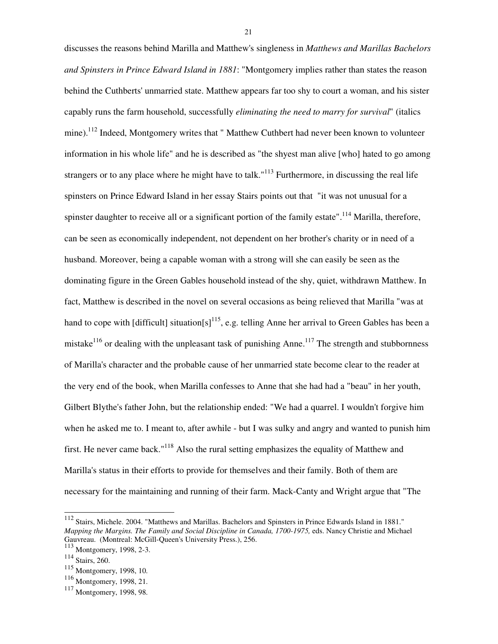discusses the reasons behind Marilla and Matthew's singleness in *Matthews and Marillas Bachelors and Spinsters in Prince Edward Island in 1881*: "Montgomery implies rather than states the reason behind the Cuthberts' unmarried state. Matthew appears far too shy to court a woman, and his sister capably runs the farm household, successfully *eliminating the need to marry for survival*" (italics mine).<sup>112</sup> Indeed, Montgomery writes that " Matthew Cuthbert had never been known to volunteer information in his whole life" and he is described as "the shyest man alive [who] hated to go among strangers or to any place where he might have to talk."<sup>113</sup> Furthermore, in discussing the real life spinsters on Prince Edward Island in her essay Stairs points out that "it was not unusual for a spinster daughter to receive all or a significant portion of the family estate".<sup>114</sup> Marilla, therefore, can be seen as economically independent, not dependent on her brother's charity or in need of a husband. Moreover, being a capable woman with a strong will she can easily be seen as the dominating figure in the Green Gables household instead of the shy, quiet, withdrawn Matthew. In fact, Matthew is described in the novel on several occasions as being relieved that Marilla "was at hand to cope with [difficult] situation[s]<sup>115</sup>, e.g. telling Anne her arrival to Green Gables has been a mistake<sup>116</sup> or dealing with the unpleasant task of punishing Anne.<sup>117</sup> The strength and stubbornness of Marilla's character and the probable cause of her unmarried state become clear to the reader at the very end of the book, when Marilla confesses to Anne that she had had a "beau" in her youth, Gilbert Blythe's father John, but the relationship ended: "We had a quarrel. I wouldn't forgive him when he asked me to. I meant to, after awhile - but I was sulky and angry and wanted to punish him first. He never came back."<sup>118</sup> Also the rural setting emphasizes the equality of Matthew and Marilla's status in their efforts to provide for themselves and their family. Both of them are necessary for the maintaining and running of their farm. Mack-Canty and Wright argue that "The

l

<sup>&</sup>lt;sup>112</sup> Stairs, Michele. 2004. "Matthews and Marillas. Bachelors and Spinsters in Prince Edwards Island in 1881." *Mapping the Margins. The Family and Social Discipline in Canada, 1700-1975,* eds. Nancy Christie and Michael Gauvreau. (Montreal: McGill-Queen's University Press.), 256.

<sup>113</sup> Montgomery, 1998, 2-3.

<sup>114</sup> Stairs, 260.

<sup>115</sup> Montgomery, 1998, 10.

<sup>116</sup> Montgomery, 1998, 21.

<sup>&</sup>lt;sup>117</sup> Montgomery, 1998, 98.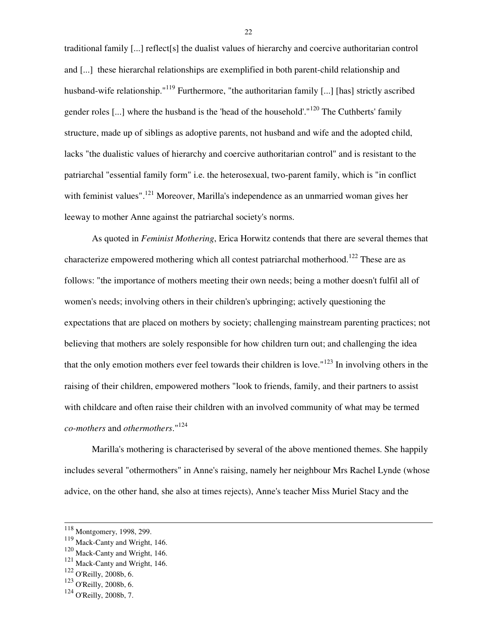traditional family [...] reflect[s] the dualist values of hierarchy and coercive authoritarian control and [...] these hierarchal relationships are exemplified in both parent-child relationship and husband-wife relationship."<sup>119</sup> Furthermore, "the authoritarian family [...] [has] strictly ascribed gender roles [...] where the husband is the 'head of the household'."<sup>120</sup> The Cuthberts' family structure, made up of siblings as adoptive parents, not husband and wife and the adopted child, lacks "the dualistic values of hierarchy and coercive authoritarian control" and is resistant to the patriarchal "essential family form" i.e. the heterosexual, two-parent family, which is "in conflict with feminist values".<sup>121</sup> Moreover, Marilla's independence as an unmarried woman gives her leeway to mother Anne against the patriarchal society's norms.

 As quoted in *Feminist Mothering*, Erica Horwitz contends that there are several themes that characterize empowered mothering which all contest patriarchal motherhood.<sup>122</sup> These are as follows: "the importance of mothers meeting their own needs; being a mother doesn't fulfil all of women's needs; involving others in their children's upbringing; actively questioning the expectations that are placed on mothers by society; challenging mainstream parenting practices; not believing that mothers are solely responsible for how children turn out; and challenging the idea that the only emotion mothers ever feel towards their children is love."<sup>123</sup> In involving others in the raising of their children, empowered mothers "look to friends, family, and their partners to assist with childcare and often raise their children with an involved community of what may be termed *co-mothers* and *othermothers*."<sup>124</sup>

 Marilla's mothering is characterised by several of the above mentioned themes. She happily includes several "othermothers" in Anne's raising, namely her neighbour Mrs Rachel Lynde (whose advice, on the other hand, she also at times rejects), Anne's teacher Miss Muriel Stacy and the

l

<sup>&</sup>lt;sup>118</sup> Montgomery, 1998, 299.

<sup>119</sup> Mack-Canty and Wright, 146.

<sup>120</sup> Mack-Canty and Wright, 146.

<sup>121</sup> Mack-Canty and Wright, 146.

<sup>122</sup> O'Reilly, 2008b, 6.

<sup>123</sup> O'Reilly, 2008b, 6.

<sup>124</sup> O'Reilly, 2008b, 7.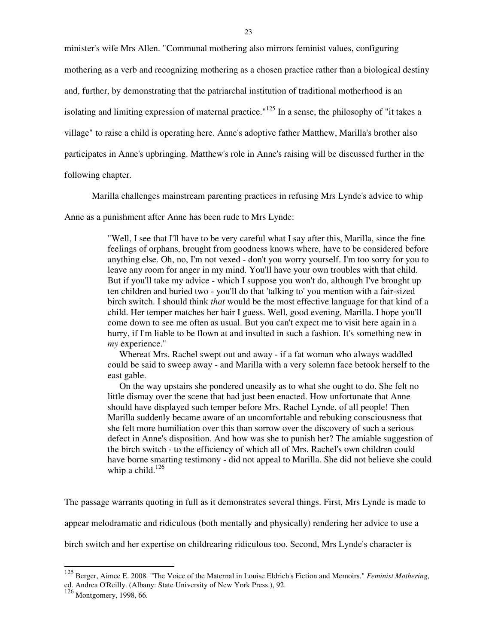minister's wife Mrs Allen. "Communal mothering also mirrors feminist values, configuring mothering as a verb and recognizing mothering as a chosen practice rather than a biological destiny and, further, by demonstrating that the patriarchal institution of traditional motherhood is an isolating and limiting expression of maternal practice."<sup>125</sup> In a sense, the philosophy of "it takes a village" to raise a child is operating here. Anne's adoptive father Matthew, Marilla's brother also participates in Anne's upbringing. Matthew's role in Anne's raising will be discussed further in the

following chapter.

Marilla challenges mainstream parenting practices in refusing Mrs Lynde's advice to whip

Anne as a punishment after Anne has been rude to Mrs Lynde:

"Well, I see that I'll have to be very careful what I say after this, Marilla, since the fine feelings of orphans, brought from goodness knows where, have to be considered before anything else. Oh, no, I'm not vexed - don't you worry yourself. I'm too sorry for you to leave any room for anger in my mind. You'll have your own troubles with that child. But if you'll take my advice - which I suppose you won't do, although I've brought up ten children and buried two - you'll do that 'talking to' you mention with a fair-sized birch switch. I should think *that* would be the most effective language for that kind of a child. Her temper matches her hair I guess. Well, good evening, Marilla. I hope you'll come down to see me often as usual. But you can't expect me to visit here again in a hurry, if I'm liable to be flown at and insulted in such a fashion. It's something new in *my* experience."

 Whereat Mrs. Rachel swept out and away - if a fat woman who always waddled could be said to sweep away - and Marilla with a very solemn face betook herself to the east gable.

 On the way upstairs she pondered uneasily as to what she ought to do. She felt no little dismay over the scene that had just been enacted. How unfortunate that Anne should have displayed such temper before Mrs. Rachel Lynde, of all people! Then Marilla suddenly became aware of an uncomfortable and rebuking consciousness that she felt more humiliation over this than sorrow over the discovery of such a serious defect in Anne's disposition. And how was she to punish her? The amiable suggestion of the birch switch - to the efficiency of which all of Mrs. Rachel's own children could have borne smarting testimony - did not appeal to Marilla. She did not believe she could whip a child. $126$ 

The passage warrants quoting in full as it demonstrates several things. First, Mrs Lynde is made to appear melodramatic and ridiculous (both mentally and physically) rendering her advice to use a birch switch and her expertise on childrearing ridiculous too. Second, Mrs Lynde's character is

 $\overline{a}$ 

<sup>125</sup> Berger, Aimee E. 2008. "The Voice of the Maternal in Louise Eldrich's Fiction and Memoirs." *Feminist Mothering*, ed. Andrea O'Reilly. (Albany: State University of New York Press.), 92.

<sup>126</sup> Montgomery, 1998, 66.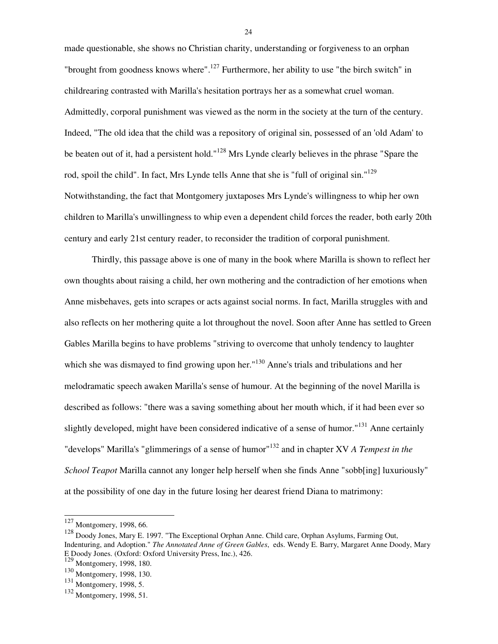made questionable, she shows no Christian charity, understanding or forgiveness to an orphan "brought from goodness knows where".<sup>127</sup> Furthermore, her ability to use "the birch switch" in childrearing contrasted with Marilla's hesitation portrays her as a somewhat cruel woman. Admittedly, corporal punishment was viewed as the norm in the society at the turn of the century. Indeed, "The old idea that the child was a repository of original sin, possessed of an 'old Adam' to be beaten out of it, had a persistent hold."<sup>128</sup> Mrs Lynde clearly believes in the phrase "Spare the rod, spoil the child". In fact, Mrs Lynde tells Anne that she is "full of original sin."<sup>129</sup> Notwithstanding, the fact that Montgomery juxtaposes Mrs Lynde's willingness to whip her own children to Marilla's unwillingness to whip even a dependent child forces the reader, both early 20th century and early 21st century reader, to reconsider the tradition of corporal punishment.

 Thirdly, this passage above is one of many in the book where Marilla is shown to reflect her own thoughts about raising a child, her own mothering and the contradiction of her emotions when Anne misbehaves, gets into scrapes or acts against social norms. In fact, Marilla struggles with and also reflects on her mothering quite a lot throughout the novel. Soon after Anne has settled to Green Gables Marilla begins to have problems "striving to overcome that unholy tendency to laughter which she was dismayed to find growing upon her."<sup>130</sup> Anne's trials and tribulations and her melodramatic speech awaken Marilla's sense of humour. At the beginning of the novel Marilla is described as follows: "there was a saving something about her mouth which, if it had been ever so slightly developed, might have been considered indicative of a sense of humor."<sup>131</sup> Anne certainly "develops" Marilla's "glimmerings of a sense of humor"<sup>132</sup> and in chapter XV *A Tempest in the School Teapot* Marilla cannot any longer help herself when she finds Anne "sobb[ing] luxuriously" at the possibility of one day in the future losing her dearest friend Diana to matrimony:

l

 $127$  Montgomery, 1998, 66.

<sup>128</sup> Doody Jones, Mary E. 1997. "The Exceptional Orphan Anne. Child care, Orphan Asylums, Farming Out, Indenturing, and Adoption." *The Annotated Anne of Green Gables*, eds. Wendy E. Barry, Margaret Anne Doody, Mary E Doody Jones. (Oxford: Oxford University Press, Inc.), 426.

<sup>129&</sup>lt;br>Montgomery, 1998, 180.

<sup>130</sup> Montgomery, 1998, 130.

<sup>131</sup> Montgomery, 1998, 5.

<sup>132</sup> Montgomery, 1998, 51.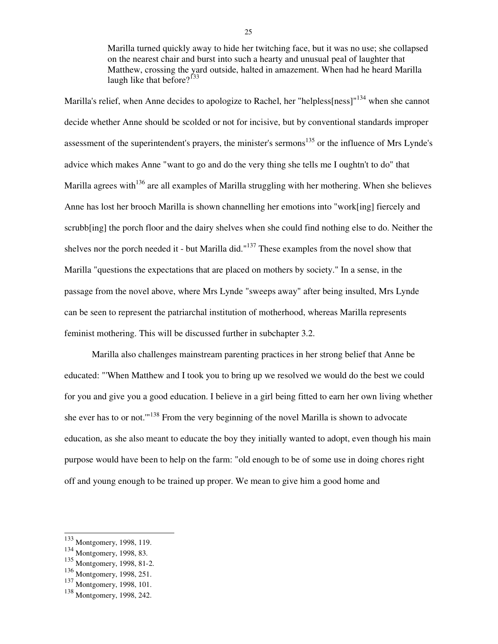Marilla turned quickly away to hide her twitching face, but it was no use; she collapsed on the nearest chair and burst into such a hearty and unusual peal of laughter that Matthew, crossing the yard outside, halted in amazement. When had he heard Marilla laugh like that before? $133$ 

Marilla's relief, when Anne decides to apologize to Rachel, her "helpless[ness]"<sup>134</sup> when she cannot decide whether Anne should be scolded or not for incisive, but by conventional standards improper assessment of the superintendent's prayers, the minister's sermons<sup>135</sup> or the influence of Mrs Lynde's advice which makes Anne "want to go and do the very thing she tells me I oughtn't to do" that Marilla agrees with<sup>136</sup> are all examples of Marilla struggling with her mothering. When she believes Anne has lost her brooch Marilla is shown channelling her emotions into "work[ing] fiercely and scrubb[ing] the porch floor and the dairy shelves when she could find nothing else to do. Neither the shelves nor the porch needed it - but Marilla did." $137$  These examples from the novel show that Marilla "questions the expectations that are placed on mothers by society." In a sense, in the passage from the novel above, where Mrs Lynde "sweeps away" after being insulted, Mrs Lynde can be seen to represent the patriarchal institution of motherhood, whereas Marilla represents feminist mothering. This will be discussed further in subchapter 3.2.

 Marilla also challenges mainstream parenting practices in her strong belief that Anne be educated: "'When Matthew and I took you to bring up we resolved we would do the best we could for you and give you a good education. I believe in a girl being fitted to earn her own living whether she ever has to or not."<sup>138</sup> From the very beginning of the novel Marilla is shown to advocate education, as she also meant to educate the boy they initially wanted to adopt, even though his main purpose would have been to help on the farm: "old enough to be of some use in doing chores right off and young enough to be trained up proper. We mean to give him a good home and

 $\overline{a}$ 

<sup>&</sup>lt;sup>133</sup> Montgomery, 1998, 119.

<sup>134</sup> Montgomery, 1998, 83.

<sup>135</sup> Montgomery, 1998, 81-2.

<sup>136</sup> Montgomery, 1998, 251.

<sup>137</sup> Montgomery, 1998, 101.

<sup>138</sup> Montgomery, 1998, 242.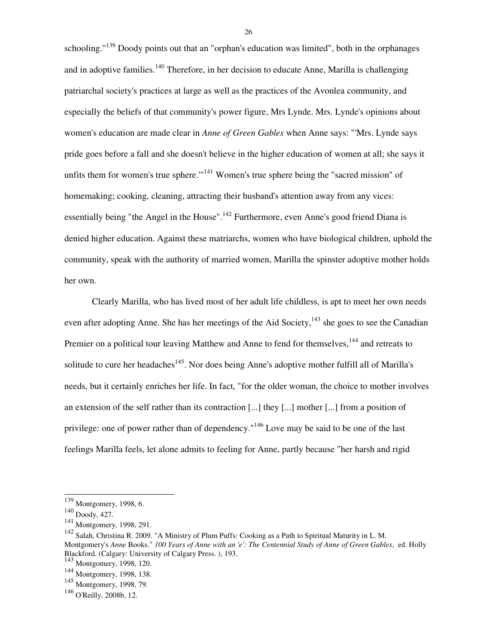schooling." $139$  Doody points out that an "orphan's education was limited", both in the orphanages and in adoptive families.<sup>140</sup> Therefore, in her decision to educate Anne, Marilla is challenging patriarchal society's practices at large as well as the practices of the Avonlea community, and especially the beliefs of that community's power figure, Mrs Lynde. Mrs. Lynde's opinions about women's education are made clear in *Anne of Green Gables* when Anne says: "'Mrs. Lynde says pride goes before a fall and she doesn't believe in the higher education of women at all; she says it unfits them for women's true sphere."<sup>141</sup> Women's true sphere being the "sacred mission" of homemaking; cooking, cleaning, attracting their husband's attention away from any vices: essentially being "the Angel in the House".<sup>142</sup> Furthermore, even Anne's good friend Diana is denied higher education. Against these matriarchs, women who have biological children, uphold the community, speak with the authority of married women, Marilla the spinster adoptive mother holds her own.

 Clearly Marilla, who has lived most of her adult life childless, is apt to meet her own needs even after adopting Anne. She has her meetings of the Aid Society,<sup>143</sup> she goes to see the Canadian Premier on a political tour leaving Matthew and Anne to fend for themselves,<sup>144</sup> and retreats to solitude to cure her headaches<sup>145</sup>. Nor does being Anne's adoptive mother fulfill all of Marilla's needs, but it certainly enriches her life. In fact, "for the older woman, the choice to mother involves an extension of the self rather than its contraction [...] they [...] mother [...] from a position of privilege: one of power rather than of dependency."<sup>146</sup> Love may be said to be one of the last feelings Marilla feels, let alone admits to feeling for Anne, partly because "her harsh and rigid

 $\overline{a}$ 

<sup>139</sup> Montgomery, 1998, 6.

<sup>140</sup> Doody, 427.

<sup>141</sup> Montgomery, 1998, 291.

<sup>142</sup> Salah, Christina R. 2009. "A Ministry of Plum Puffs: Cooking as a Path to Spiritual Maturity in L. M. Montgomery's *Anne* Books." *100 Years of Anne with an 'e': The Centennial Study of Anne of Green Gables*, ed. Holly Blackford. (Calgary: University of Calgary Press. ), 193.

<sup>143</sup> Montgomery, 1998, 120.

<sup>144</sup> Montgomery, 1998, 138.

<sup>&</sup>lt;sup>145</sup> Montgomery, 1998, 79.

<sup>146</sup> O'Reilly, 2008b, 12.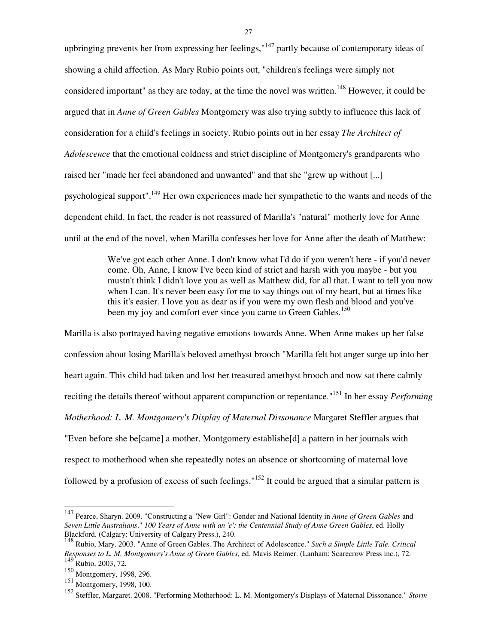upbringing prevents her from expressing her feelings,  $147$  partly because of contemporary ideas of showing a child affection. As Mary Rubio points out, "children's feelings were simply not considered important" as they are today, at the time the novel was written.<sup>148</sup> However, it could be argued that in *Anne of Green Gables* Montgomery was also trying subtly to influence this lack of consideration for a child's feelings in society. Rubio points out in her essay *The Architect of Adolescence* that the emotional coldness and strict discipline of Montgomery's grandparents who raised her "made her feel abandoned and unwanted" and that she "grew up without [...] psychological support".<sup>149</sup> Her own experiences made her sympathetic to the wants and needs of the dependent child. In fact, the reader is not reassured of Marilla's "natural" motherly love for Anne until at the end of the novel, when Marilla confesses her love for Anne after the death of Matthew:

> We've got each other Anne. I don't know what I'd do if you weren't here - if you'd never come. Oh, Anne, I know I've been kind of strict and harsh with you maybe - but you mustn't think I didn't love you as well as Matthew did, for all that. I want to tell you now when I can. It's never been easy for me to say things out of my heart, but at times like this it's easier. I love you as dear as if you were my own flesh and blood and you've been my joy and comfort ever since you came to Green Gables.<sup>150</sup>

Marilla is also portrayed having negative emotions towards Anne. When Anne makes up her false confession about losing Marilla's beloved amethyst brooch "Marilla felt hot anger surge up into her heart again. This child had taken and lost her treasured amethyst brooch and now sat there calmly reciting the details thereof without apparent compunction or repentance."<sup>151</sup> In her essay *Performing Motherhood: L. M. Montgomery's Display of Maternal Dissonance* Margaret Steffler argues that "Even before she be[came] a mother, Montgomery establishe[d] a pattern in her journals with respect to motherhood when she repeatedly notes an absence or shortcoming of maternal love followed by a profusion of excess of such feelings."<sup>152</sup> It could be argued that a similar pattern is

 $\overline{a}$ 

<sup>147</sup> Pearce, Sharyn. 2009. "Constructing a "New Girl": Gender and National Identity in *Anne of Green Gables* and *Seven Little Australians*." *100 Years of Anne with an 'e': the Centennial Study of Anne Green Gables*, ed. Holly Blackford. (Calgary: University of Calgary Press.), 240.

<sup>148</sup> Rubio, Mary. 2003. "Anne of Green Gables. The Architect of Adolescence." *Such a Simple Little Tale. Critical Responses to L. M. Montgomery's Anne of Green Gables,* ed. Mavis Reimer. (Lanham: Scarecrow Press inc.), 72.  $149$  Rubio, 2003, 72.

<sup>150</sup> Montgomery, 1998, 296.

<sup>151</sup> Montgomery, 1998, 100.

<sup>152</sup> Steffler, Margaret. 2008. "Performing Motherhood: L. M. Montgomery's Displays of Maternal Dissonance." *Storm*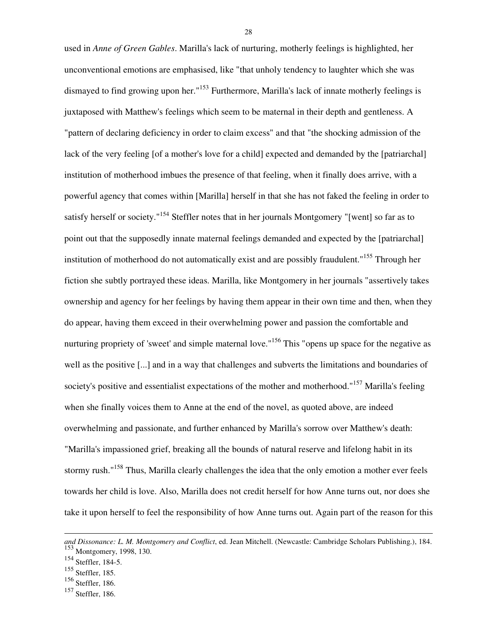used in *Anne of Green Gables*. Marilla's lack of nurturing, motherly feelings is highlighted, her unconventional emotions are emphasised, like "that unholy tendency to laughter which she was dismayed to find growing upon her."<sup>153</sup> Furthermore, Marilla's lack of innate motherly feelings is juxtaposed with Matthew's feelings which seem to be maternal in their depth and gentleness. A "pattern of declaring deficiency in order to claim excess" and that "the shocking admission of the lack of the very feeling [of a mother's love for a child] expected and demanded by the [patriarchal] institution of motherhood imbues the presence of that feeling, when it finally does arrive, with a powerful agency that comes within [Marilla] herself in that she has not faked the feeling in order to satisfy herself or society."<sup>154</sup> Steffler notes that in her journals Montgomery "[went] so far as to point out that the supposedly innate maternal feelings demanded and expected by the [patriarchal] institution of motherhood do not automatically exist and are possibly fraudulent."<sup>155</sup> Through her fiction she subtly portrayed these ideas. Marilla, like Montgomery in her journals "assertively takes ownership and agency for her feelings by having them appear in their own time and then, when they do appear, having them exceed in their overwhelming power and passion the comfortable and nurturing propriety of 'sweet' and simple maternal love."<sup>156</sup> This "opens up space for the negative as well as the positive [...] and in a way that challenges and subverts the limitations and boundaries of society's positive and essentialist expectations of the mother and motherhood."<sup>157</sup> Marilla's feeling when she finally voices them to Anne at the end of the novel, as quoted above, are indeed overwhelming and passionate, and further enhanced by Marilla's sorrow over Matthew's death: "Marilla's impassioned grief, breaking all the bounds of natural reserve and lifelong habit in its stormy rush."<sup>158</sup> Thus, Marilla clearly challenges the idea that the only emotion a mother ever feels towards her child is love. Also, Marilla does not credit herself for how Anne turns out, nor does she take it upon herself to feel the responsibility of how Anne turns out. Again part of the reason for this

l

*and Dissonance: L. M. Montgomery and Conflict*, ed. Jean Mitchell. (Newcastle: Cambridge Scholars Publishing.), 184. <sup>153</sup> Montgomery, 1998, 130.

 $154$  Steffler, 184-5.

<sup>155</sup> Steffler, 185.

<sup>156</sup> Steffler, 186.

<sup>157</sup> Steffler, 186.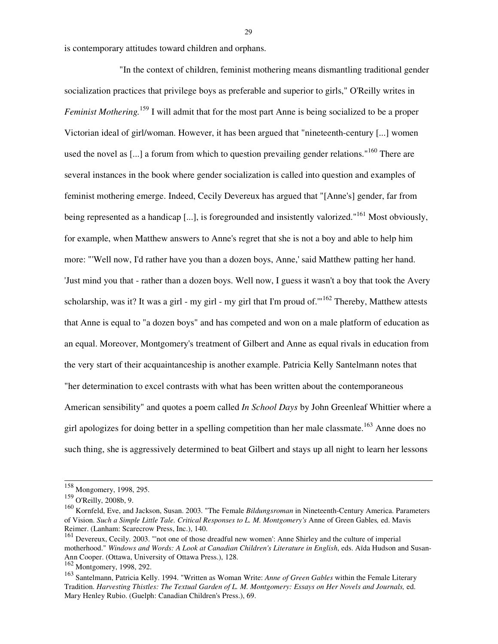is contemporary attitudes toward children and orphans.

 "In the context of children, feminist mothering means dismantling traditional gender socialization practices that privilege boys as preferable and superior to girls," O'Reilly writes in *Feminist Mothering.*<sup>159</sup> I will admit that for the most part Anne is being socialized to be a proper Victorian ideal of girl/woman. However, it has been argued that "nineteenth-century [...] women used the novel as [...] a forum from which to question prevailing gender relations."<sup>160</sup> There are several instances in the book where gender socialization is called into question and examples of feminist mothering emerge. Indeed, Cecily Devereux has argued that "[Anne's] gender, far from being represented as a handicap [...], is foregrounded and insistently valorized."<sup>161</sup> Most obviously, for example, when Matthew answers to Anne's regret that she is not a boy and able to help him more: "'Well now, I'd rather have you than a dozen boys, Anne,' said Matthew patting her hand. 'Just mind you that - rather than a dozen boys. Well now, I guess it wasn't a boy that took the Avery scholarship, was it? It was a girl - my girl - my girl that I'm proud of."<sup>162</sup> Thereby, Matthew attests that Anne is equal to "a dozen boys" and has competed and won on a male platform of education as an equal. Moreover, Montgomery's treatment of Gilbert and Anne as equal rivals in education from the very start of their acquaintanceship is another example. Patricia Kelly Santelmann notes that "her determination to excel contrasts with what has been written about the contemporaneous American sensibility" and quotes a poem called *In School Days* by John Greenleaf Whittier where a girl apologizes for doing better in a spelling competition than her male classmate.<sup>163</sup> Anne does no such thing, she is aggressively determined to beat Gilbert and stays up all night to learn her lessons

<sup>158</sup> Mongomery, 1998, 295.

<sup>159</sup> O'Reilly, 2008b, 9.

<sup>160</sup> Kornfeld, Eve, and Jackson, Susan. 2003. "The Female *Bildungsroman* in Nineteenth-Century America. Parameters of Vision. *Such a Simple Little Tale. Critical Responses to L. M. Montgomery's* Anne of Green Gables*,* ed. Mavis Reimer. (Lanham: Scarecrow Press, Inc.), 140.

<sup>&</sup>lt;sup>161</sup> Devereux, Cecily. 2003. "'not one of those dreadful new women': Anne Shirley and the culture of imperial motherhood." *Windows and Words: A Look at Canadian Children's Literature in English*, eds. Aïda Hudson and Susan-Ann Cooper. (Ottawa, University of Ottawa Press.), 128.

<sup>162</sup> Montgomery, 1998, 292.

<sup>163</sup> Santelmann, Patricia Kelly. 1994. "Written as Woman Write: *Anne of Green Gables* within the Female Literary Tradition. *Harvesting Thistles: The Textual Garden of L. M. Montgomery: Essays on Her Novels and Journals,* ed. Mary Henley Rubio. (Guelph: Canadian Children's Press.), 69.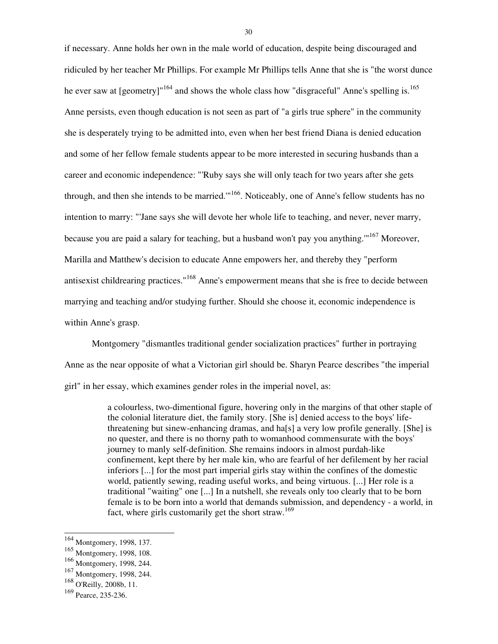if necessary. Anne holds her own in the male world of education, despite being discouraged and ridiculed by her teacher Mr Phillips. For example Mr Phillips tells Anne that she is "the worst dunce he ever saw at [geometry]<sup>"164</sup> and shows the whole class how "disgraceful" Anne's spelling is.<sup>165</sup> Anne persists, even though education is not seen as part of "a girls true sphere" in the community she is desperately trying to be admitted into, even when her best friend Diana is denied education and some of her fellow female students appear to be more interested in securing husbands than a career and economic independence: "'Ruby says she will only teach for two years after she gets through, and then she intends to be married."<sup>166</sup>. Noticeably, one of Anne's fellow students has no intention to marry: "'Jane says she will devote her whole life to teaching, and never, never marry, because you are paid a salary for teaching, but a husband won't pay you anything."<sup>167</sup> Moreover, Marilla and Matthew's decision to educate Anne empowers her, and thereby they "perform antisexist childrearing practices."<sup>168</sup> Anne's empowerment means that she is free to decide between marrying and teaching and/or studying further. Should she choose it, economic independence is within Anne's grasp.

 Montgomery "dismantles traditional gender socialization practices" further in portraying Anne as the near opposite of what a Victorian girl should be. Sharyn Pearce describes "the imperial girl" in her essay, which examines gender roles in the imperial novel, as:

> a colourless, two-dimentional figure, hovering only in the margins of that other staple of the colonial literature diet, the family story. [She is] denied access to the boys' lifethreatening but sinew-enhancing dramas, and ha[s] a very low profile generally. [She] is no quester, and there is no thorny path to womanhood commensurate with the boys' journey to manly self-definition. She remains indoors in almost purdah-like confinement, kept there by her male kin, who are fearful of her defilement by her racial inferiors [...] for the most part imperial girls stay within the confines of the domestic world, patiently sewing, reading useful works, and being virtuous. [...] Her role is a traditional "waiting" one [...] In a nutshell, she reveals only too clearly that to be born female is to be born into a world that demands submission, and dependency - a world, in fact, where girls customarily get the short straw.<sup>169</sup>

 $\overline{a}$ 

<sup>&</sup>lt;sup>164</sup> Montgomery, 1998, 137.

<sup>165</sup> Montgomery, 1998, 108.

<sup>166</sup> Montgomery, 1998, 244.

<sup>167</sup> Montgomery, 1998, 244.

<sup>168</sup> O'Reilly, 2008b, 11.

<sup>169</sup> Pearce, 235-236.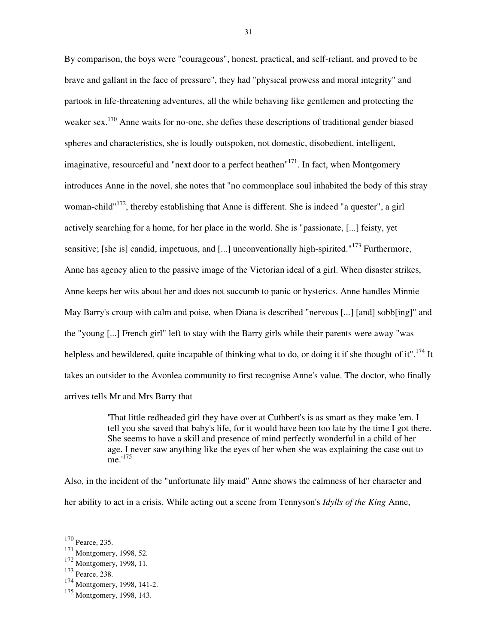By comparison, the boys were "courageous", honest, practical, and self-reliant, and proved to be brave and gallant in the face of pressure", they had "physical prowess and moral integrity" and partook in life-threatening adventures, all the while behaving like gentlemen and protecting the weaker sex.<sup>170</sup> Anne waits for no-one, she defies these descriptions of traditional gender biased spheres and characteristics, she is loudly outspoken, not domestic, disobedient, intelligent, imaginative, resourceful and "next door to a perfect heathen"<sup>171</sup>. In fact, when Montgomery introduces Anne in the novel, she notes that "no commonplace soul inhabited the body of this stray woman-child"<sup>172</sup>, thereby establishing that Anne is different. She is indeed "a quester", a girl actively searching for a home, for her place in the world. She is "passionate, [...] feisty, yet sensitive; [she is] candid, impetuous, and [...] unconventionally high-spirited."<sup>173</sup> Furthermore, Anne has agency alien to the passive image of the Victorian ideal of a girl. When disaster strikes, Anne keeps her wits about her and does not succumb to panic or hysterics. Anne handles Minnie May Barry's croup with calm and poise, when Diana is described "nervous [...] [and] sobb[ing]" and the "young [...] French girl" left to stay with the Barry girls while their parents were away "was helpless and bewildered, quite incapable of thinking what to do, or doing it if she thought of it".<sup>174</sup> It takes an outsider to the Avonlea community to first recognise Anne's value. The doctor, who finally arrives tells Mr and Mrs Barry that

> 'That little redheaded girl they have over at Cuthbert's is as smart as they make 'em. I tell you she saved that baby's life, for it would have been too late by the time I got there. She seems to have a skill and presence of mind perfectly wonderful in a child of her age. I never saw anything like the eyes of her when she was explaining the case out to  $me.^{175}$

Also, in the incident of the "unfortunate lily maid" Anne shows the calmness of her character and her ability to act in a crisis. While acting out a scene from Tennyson's *Idylls of the King* Anne,

 $\overline{a}$ 

<sup>&</sup>lt;sup>170</sup> Pearce, 235.

<sup>171</sup> Montgomery, 1998, 52.

<sup>172</sup> Montgomery, 1998, 11.

<sup>173</sup> Pearce, 238.

<sup>174</sup> Montgomery, 1998, 141-2.

<sup>175</sup> Montgomery, 1998, 143.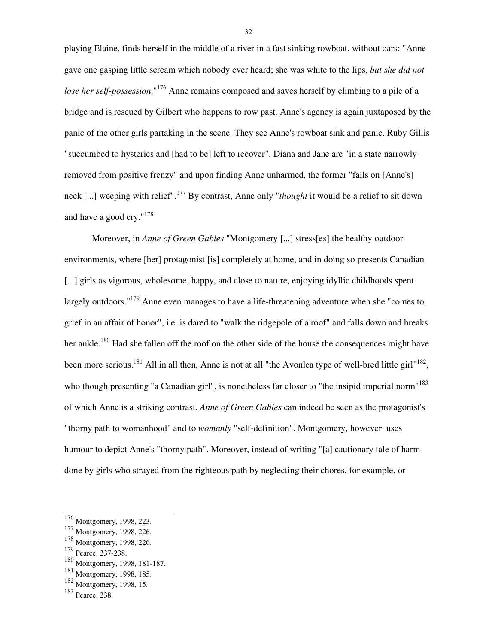playing Elaine, finds herself in the middle of a river in a fast sinking rowboat, without oars: "Anne gave one gasping little scream which nobody ever heard; she was white to the lips, *but she did not lose her self-possession*."<sup>176</sup> Anne remains composed and saves herself by climbing to a pile of a bridge and is rescued by Gilbert who happens to row past. Anne's agency is again juxtaposed by the panic of the other girls partaking in the scene. They see Anne's rowboat sink and panic. Ruby Gillis "succumbed to hysterics and [had to be] left to recover", Diana and Jane are "in a state narrowly removed from positive frenzy" and upon finding Anne unharmed, the former "falls on [Anne's] neck [...] weeping with relief".<sup>177</sup> By contrast, Anne only "*thought* it would be a relief to sit down and have a good cry."<sup>178</sup>

 Moreover, in *Anne of Green Gables* "Montgomery [...] stress[es] the healthy outdoor environments, where [her] protagonist [is] completely at home, and in doing so presents Canadian [...] girls as vigorous, wholesome, happy, and close to nature, enjoying idyllic childhoods spent largely outdoors."<sup>179</sup> Anne even manages to have a life-threatening adventure when she "comes to grief in an affair of honor", i.e. is dared to "walk the ridgepole of a roof" and falls down and breaks her ankle.<sup>180</sup> Had she fallen off the roof on the other side of the house the consequences might have been more serious.<sup>181</sup> All in all then, Anne is not at all "the Avonlea type of well-bred little girl"<sup>182</sup>, who though presenting "a Canadian girl", is nonetheless far closer to "the insipid imperial norm"<sup>183</sup> of which Anne is a striking contrast. *Anne of Green Gables* can indeed be seen as the protagonist's "thorny path to womanhood" and to *womanly* "self-definition". Montgomery, however uses humour to depict Anne's "thorny path". Moreover, instead of writing "[a] cautionary tale of harm done by girls who strayed from the righteous path by neglecting their chores, for example, or

l

<sup>&</sup>lt;sup>176</sup> Montgomery, 1998, 223.

<sup>177</sup> Montgomery, 1998, 226.

<sup>178</sup> Montgomery, 1998, 226.

<sup>179</sup> Pearce, 237-238.

<sup>180</sup> Montgomery, 1998, 181-187.

<sup>181</sup> Montgomery, 1998, 185.

<sup>182</sup> Montgomery, 1998, 15.

<sup>183</sup> Pearce, 238.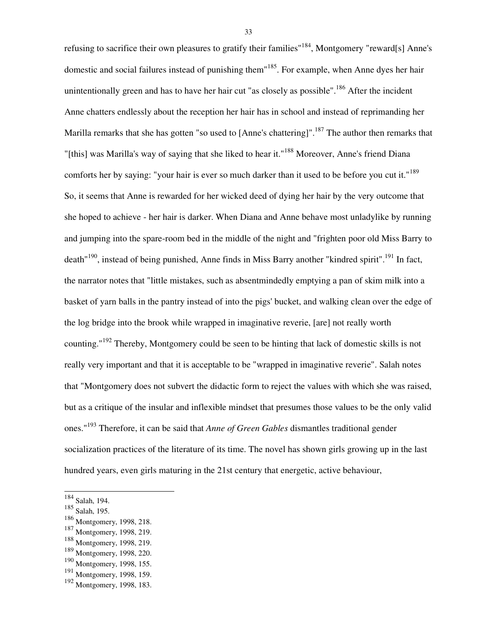refusing to sacrifice their own pleasures to gratify their families"<sup>184</sup>, Montgomery "reward[s] Anne's domestic and social failures instead of punishing them"<sup>185</sup>. For example, when Anne dyes her hair unintentionally green and has to have her hair cut "as closely as possible".<sup>186</sup> After the incident Anne chatters endlessly about the reception her hair has in school and instead of reprimanding her Marilla remarks that she has gotten "so used to [Anne's chattering]".<sup>187</sup> The author then remarks that "[this] was Marilla's way of saying that she liked to hear it."<sup>188</sup> Moreover, Anne's friend Diana comforts her by saying: "your hair is ever so much darker than it used to be before you cut it."<sup>189</sup> So, it seems that Anne is rewarded for her wicked deed of dying her hair by the very outcome that she hoped to achieve - her hair is darker. When Diana and Anne behave most unladylike by running and jumping into the spare-room bed in the middle of the night and "frighten poor old Miss Barry to death<sup>"190</sup>, instead of being punished, Anne finds in Miss Barry another "kindred spirit".<sup>191</sup> In fact, the narrator notes that "little mistakes, such as absentmindedly emptying a pan of skim milk into a basket of yarn balls in the pantry instead of into the pigs' bucket, and walking clean over the edge of the log bridge into the brook while wrapped in imaginative reverie, [are] not really worth counting."<sup>192</sup> Thereby, Montgomery could be seen to be hinting that lack of domestic skills is not really very important and that it is acceptable to be "wrapped in imaginative reverie". Salah notes that "Montgomery does not subvert the didactic form to reject the values with which she was raised, but as a critique of the insular and inflexible mindset that presumes those values to be the only valid ones."<sup>193</sup> Therefore, it can be said that *Anne of Green Gables* dismantles traditional gender socialization practices of the literature of its time. The novel has shown girls growing up in the last hundred years, even girls maturing in the 21st century that energetic, active behaviour,

 $\overline{a}$ 

<sup>184</sup> Salah, 194.

<sup>185</sup> Salah, 195.

<sup>186</sup> Montgomery, 1998, 218.

<sup>187</sup> Montgomery, 1998, 219.

<sup>188</sup> Montgomery, 1998, 219.

<sup>189</sup> Montgomery, 1998, 220.

<sup>190</sup> Montgomery, 1998, 155.

<sup>191</sup> Montgomery, 1998, 159.

<sup>192</sup> Montgomery, 1998, 183.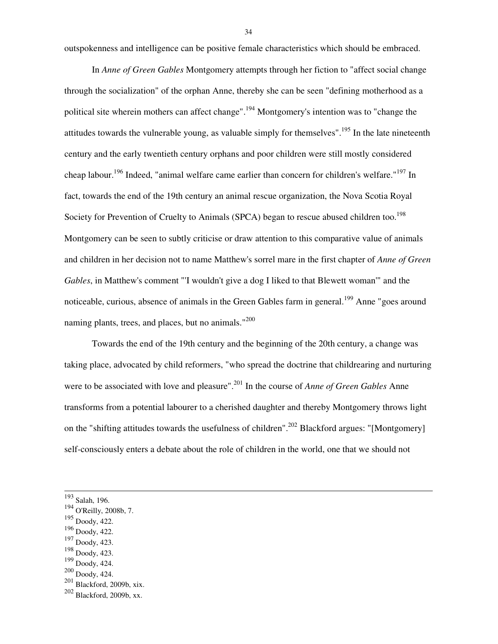outspokenness and intelligence can be positive female characteristics which should be embraced.

 In *Anne of Green Gables* Montgomery attempts through her fiction to "affect social change through the socialization" of the orphan Anne, thereby she can be seen "defining motherhood as a political site wherein mothers can affect change".<sup>194</sup> Montgomery's intention was to "change the attitudes towards the vulnerable young, as valuable simply for themselves".<sup>195</sup> In the late nineteenth century and the early twentieth century orphans and poor children were still mostly considered cheap labour.<sup>196</sup> Indeed, "animal welfare came earlier than concern for children's welfare."<sup>197</sup> In fact, towards the end of the 19th century an animal rescue organization, the Nova Scotia Royal Society for Prevention of Cruelty to Animals (SPCA) began to rescue abused children too.<sup>198</sup> Montgomery can be seen to subtly criticise or draw attention to this comparative value of animals and children in her decision not to name Matthew's sorrel mare in the first chapter of *Anne of Green Gables*, in Matthew's comment "'I wouldn't give a dog I liked to that Blewett woman'" and the noticeable, curious, absence of animals in the Green Gables farm in general.<sup>199</sup> Anne "goes around naming plants, trees, and places, but no animals."<sup>200</sup>

 Towards the end of the 19th century and the beginning of the 20th century, a change was taking place, advocated by child reformers, "who spread the doctrine that childrearing and nurturing were to be associated with love and pleasure".<sup>201</sup> In the course of *Anne of Green Gables* Anne transforms from a potential labourer to a cherished daughter and thereby Montgomery throws light on the "shifting attitudes towards the usefulness of children".<sup>202</sup> Blackford argues: "[Montgomery] self-consciously enters a debate about the role of children in the world, one that we should not

l

- <sup>196</sup> Doody, 422.
- <sup>197</sup> Doody, 423.
- <sup>198</sup> Doody, 423.

<sup>200</sup> Doody, 424.

<sup>193</sup> Salah, 196.

<sup>194</sup> O'Reilly, 2008b, 7.

<sup>195</sup> Doody, 422.

<sup>199</sup> Doody, 424.

<sup>201</sup> Blackford, 2009b, xix.

<sup>202</sup> Blackford, 2009b, xx.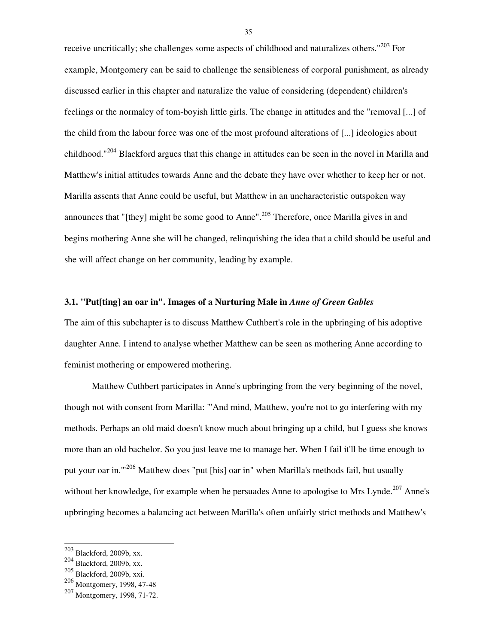receive uncritically; she challenges some aspects of childhood and naturalizes others."<sup>203</sup> For example, Montgomery can be said to challenge the sensibleness of corporal punishment, as already discussed earlier in this chapter and naturalize the value of considering (dependent) children's feelings or the normalcy of tom-boyish little girls. The change in attitudes and the "removal [...] of the child from the labour force was one of the most profound alterations of [...] ideologies about childhood."<sup>204</sup> Blackford argues that this change in attitudes can be seen in the novel in Marilla and Matthew's initial attitudes towards Anne and the debate they have over whether to keep her or not. Marilla assents that Anne could be useful, but Matthew in an uncharacteristic outspoken way announces that "[they] might be some good to Anne".<sup>205</sup> Therefore, once Marilla gives in and begins mothering Anne she will be changed, relinquishing the idea that a child should be useful and she will affect change on her community, leading by example.

#### **3.1. "Put[ting] an oar in". Images of a Nurturing Male in** *Anne of Green Gables*

The aim of this subchapter is to discuss Matthew Cuthbert's role in the upbringing of his adoptive daughter Anne. I intend to analyse whether Matthew can be seen as mothering Anne according to feminist mothering or empowered mothering.

 Matthew Cuthbert participates in Anne's upbringing from the very beginning of the novel, though not with consent from Marilla: "'And mind, Matthew, you're not to go interfering with my methods. Perhaps an old maid doesn't know much about bringing up a child, but I guess she knows more than an old bachelor. So you just leave me to manage her. When I fail it'll be time enough to put your oar in.'"<sup>206</sup> Matthew does "put [his] oar in" when Marilla's methods fail, but usually without her knowledge, for example when he persuades Anne to apologise to Mrs Lynde.<sup>207</sup> Anne's upbringing becomes a balancing act between Marilla's often unfairly strict methods and Matthew's

l

 $203$  Blackford, 2009b, xx.

<sup>204</sup> Blackford, 2009b, xx.

<sup>205</sup> Blackford, 2009b, xxi.

<sup>206</sup> Montgomery, 1998, 47-48

<sup>207</sup> Montgomery, 1998, 71-72.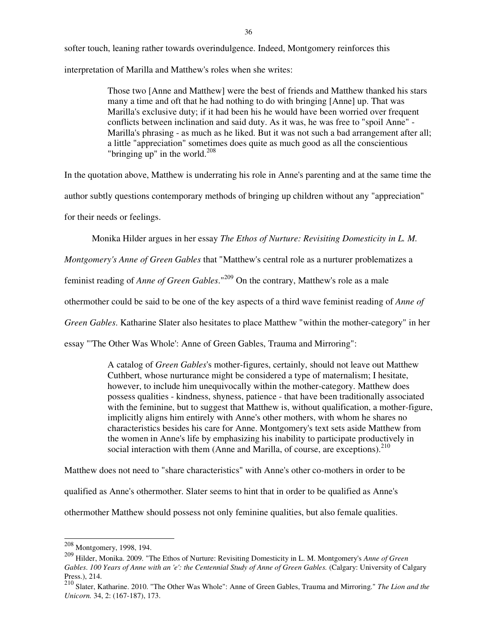softer touch, leaning rather towards overindulgence. Indeed, Montgomery reinforces this interpretation of Marilla and Matthew's roles when she writes:

> Those two [Anne and Matthew] were the best of friends and Matthew thanked his stars many a time and oft that he had nothing to do with bringing [Anne] up. That was Marilla's exclusive duty; if it had been his he would have been worried over frequent conflicts between inclination and said duty. As it was, he was free to "spoil Anne" - Marilla's phrasing - as much as he liked. But it was not such a bad arrangement after all; a little "appreciation" sometimes does quite as much good as all the conscientious "bringing up" in the world.<sup>208</sup>

In the quotation above, Matthew is underrating his role in Anne's parenting and at the same time the

author subtly questions contemporary methods of bringing up children without any "appreciation"

for their needs or feelings.

Monika Hilder argues in her essay *The Ethos of Nurture: Revisiting Domesticity in L. M.* 

*Montgomery's Anne of Green Gables* that "Matthew's central role as a nurturer problematizes a

feminist reading of *Anne of Green Gables*."<sup>209</sup> On the contrary, Matthew's role as a male

othermother could be said to be one of the key aspects of a third wave feminist reading of *Anne of* 

*Green Gables*. Katharine Slater also hesitates to place Matthew "within the mother-category" in her

essay "'The Other Was Whole': Anne of Green Gables, Trauma and Mirroring":

A catalog of *Green Gables*'s mother-figures, certainly, should not leave out Matthew Cuthbert, whose nurturance might be considered a type of maternalism; I hesitate, however, to include him unequivocally within the mother-category. Matthew does possess qualities - kindness, shyness, patience - that have been traditionally associated with the feminine, but to suggest that Matthew is, without qualification, a mother-figure, implicitly aligns him entirely with Anne's other mothers, with whom he shares no characteristics besides his care for Anne. Montgomery's text sets aside Matthew from the women in Anne's life by emphasizing his inability to participate productively in social interaction with them (Anne and Marilla, of course, are exceptions).<sup>210</sup>

Matthew does not need to "share characteristics" with Anne's other co-mothers in order to be qualified as Anne's othermother. Slater seems to hint that in order to be qualified as Anne's othermother Matthew should possess not only feminine qualities, but also female qualities.

 $208$  Montgomery, 1998, 194.

<sup>209</sup> Hilder, Monika. 2009. "The Ethos of Nurture: Revisiting Domesticity in L. M. Montgomery's *Anne of Green Gables*. *100 Years of Anne with an 'e': the Centennial Study of Anne of Green Gables.* (Calgary: University of Calgary Press.), 214.

<sup>210</sup> Slater, Katharine. 2010. "The Other Was Whole": Anne of Green Gables, Trauma and Mirroring." *The Lion and the Unicorn.* 34, 2: (167-187), 173.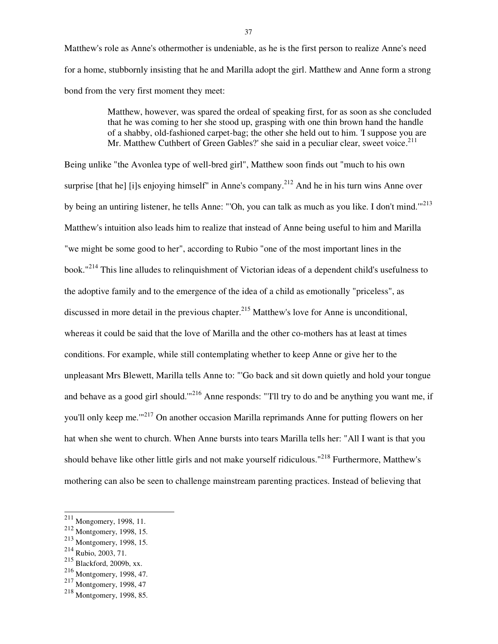Matthew's role as Anne's othermother is undeniable, as he is the first person to realize Anne's need for a home, stubbornly insisting that he and Marilla adopt the girl. Matthew and Anne form a strong bond from the very first moment they meet:

> Matthew, however, was spared the ordeal of speaking first, for as soon as she concluded that he was coming to her she stood up, grasping with one thin brown hand the handle of a shabby, old-fashioned carpet-bag; the other she held out to him. 'I suppose you are Mr. Matthew Cuthbert of Green Gables?' she said in a peculiar clear, sweet voice. $^{211}$

Being unlike "the Avonlea type of well-bred girl", Matthew soon finds out "much to his own surprise [that he] [i]s enjoying himself" in Anne's company.<sup>212</sup> And he in his turn wins Anne over by being an untiring listener, he tells Anne: "'Oh, you can talk as much as you like. I don't mind.'"<sup>213</sup> Matthew's intuition also leads him to realize that instead of Anne being useful to him and Marilla "we might be some good to her", according to Rubio "one of the most important lines in the book."<sup>214</sup> This line alludes to relinquishment of Victorian ideas of a dependent child's usefulness to the adoptive family and to the emergence of the idea of a child as emotionally "priceless", as discussed in more detail in the previous chapter.<sup>215</sup> Matthew's love for Anne is unconditional, whereas it could be said that the love of Marilla and the other co-mothers has at least at times conditions. For example, while still contemplating whether to keep Anne or give her to the unpleasant Mrs Blewett, Marilla tells Anne to: "'Go back and sit down quietly and hold your tongue and behave as a good girl should."<sup>216</sup> Anne responds: "T'll try to do and be anything you want me, if you'll only keep me."<sup>217</sup> On another occasion Marilla reprimands Anne for putting flowers on her hat when she went to church. When Anne bursts into tears Marilla tells her: "All I want is that you should behave like other little girls and not make yourself ridiculous."<sup>218</sup> Furthermore, Matthew's mothering can also be seen to challenge mainstream parenting practices. Instead of believing that

 $^{211}$  Mongomery, 1998, 11.

<sup>212</sup> Montgomery, 1998, 15.

<sup>213</sup> Montgomery, 1998, 15.

<sup>214</sup> Rubio, 2003, 71.

<sup>215</sup> Blackford, 2009b, xx.

<sup>216</sup> Montgomery, 1998, 47.

<sup>217</sup> Montgomery, 1998, 47

<sup>218</sup> Montgomery, 1998, 85.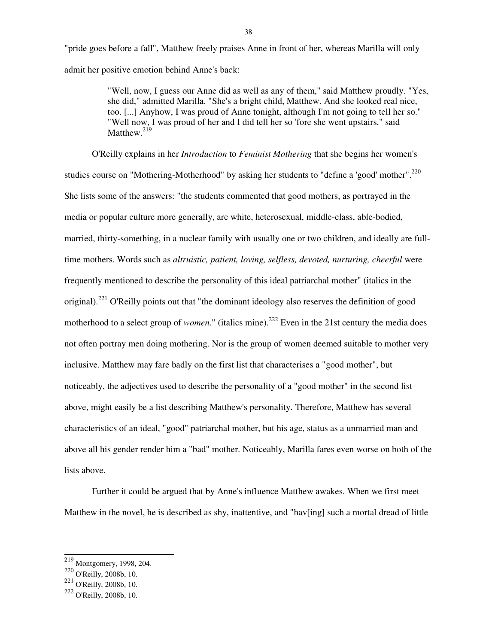"pride goes before a fall", Matthew freely praises Anne in front of her, whereas Marilla will only admit her positive emotion behind Anne's back:

> "Well, now, I guess our Anne did as well as any of them," said Matthew proudly. "Yes, she did," admitted Marilla. "She's a bright child, Matthew. And she looked real nice, too. [...] Anyhow, I was proud of Anne tonight, although I'm not going to tell her so." "Well now, I was proud of her and I did tell her so 'fore she went upstairs," said Matthew.<sup>219</sup>

 O'Reilly explains in her *Introduction* to *Feminist Mothering* that she begins her women's studies course on "Mothering-Motherhood" by asking her students to "define a 'good' mother".<sup>220</sup> She lists some of the answers: "the students commented that good mothers, as portrayed in the media or popular culture more generally, are white, heterosexual, middle-class, able-bodied, married, thirty-something, in a nuclear family with usually one or two children, and ideally are fulltime mothers. Words such as *altruistic, patient, loving, selfless, devoted, nurturing, cheerful* were frequently mentioned to describe the personality of this ideal patriarchal mother" (italics in the original).<sup>221</sup> O'Reilly points out that "the dominant ideology also reserves the definition of good motherhood to a select group of *women*." (italics mine).<sup>222</sup> Even in the 21st century the media does not often portray men doing mothering. Nor is the group of women deemed suitable to mother very inclusive. Matthew may fare badly on the first list that characterises a "good mother", but noticeably, the adjectives used to describe the personality of a "good mother" in the second list above, might easily be a list describing Matthew's personality. Therefore, Matthew has several characteristics of an ideal, "good" patriarchal mother, but his age, status as a unmarried man and above all his gender render him a "bad" mother. Noticeably, Marilla fares even worse on both of the lists above.

 Further it could be argued that by Anne's influence Matthew awakes. When we first meet Matthew in the novel, he is described as shy, inattentive, and "have ling such a mortal dread of little

 $\overline{a}$ 

 $^{219}$  Montgomery, 1998, 204.

<sup>220</sup> O'Reilly, 2008b, 10.

 $^{221}$  O'Reilly, 2008b, 10.

<sup>222</sup> O'Reilly, 2008b, 10.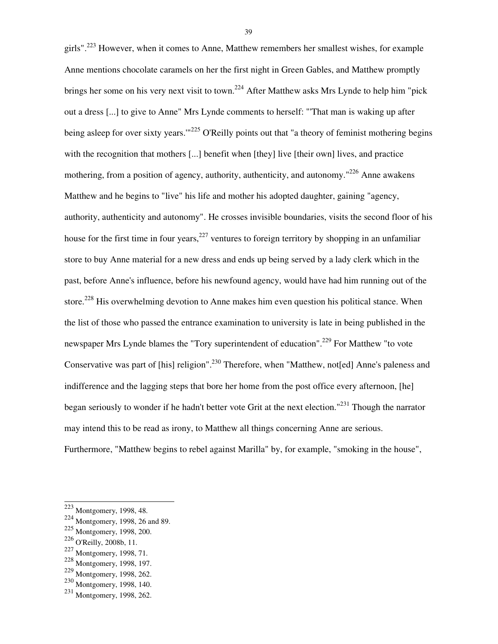girls".<sup>223</sup> However, when it comes to Anne, Matthew remembers her smallest wishes, for example Anne mentions chocolate caramels on her the first night in Green Gables, and Matthew promptly brings her some on his very next visit to town.<sup>224</sup> After Matthew asks Mrs Lynde to help him "pick" out a dress [...] to give to Anne" Mrs Lynde comments to herself: "'That man is waking up after being asleep for over sixty years."<sup>225</sup> O'Reilly points out that "a theory of feminist mothering begins with the recognition that mothers [...] benefit when [they] live [their own] lives, and practice mothering, from a position of agency, authority, authenticity, and autonomy."<sup>226</sup> Anne awakens Matthew and he begins to "live" his life and mother his adopted daughter, gaining "agency, authority, authenticity and autonomy". He crosses invisible boundaries, visits the second floor of his house for the first time in four years,  $227$  ventures to foreign territory by shopping in an unfamiliar store to buy Anne material for a new dress and ends up being served by a lady clerk which in the past, before Anne's influence, before his newfound agency, would have had him running out of the store.<sup>228</sup> His overwhelming devotion to Anne makes him even question his political stance. When the list of those who passed the entrance examination to university is late in being published in the newspaper Mrs Lynde blames the "Tory superintendent of education".<sup>229</sup> For Matthew "to vote Conservative was part of [his] religion".<sup>230</sup> Therefore, when "Matthew, not[ed] Anne's paleness and indifference and the lagging steps that bore her home from the post office every afternoon, [he] began seriously to wonder if he hadn't better vote Grit at the next election."<sup>231</sup> Though the narrator may intend this to be read as irony, to Matthew all things concerning Anne are serious. Furthermore, "Matthew begins to rebel against Marilla" by, for example, "smoking in the house",

l

 $223$  Montgomery, 1998, 48.

<sup>224</sup> Montgomery, 1998, 26 and 89.

<sup>225</sup> Montgomery, 1998, 200.

<sup>226</sup> O'Reilly, 2008b, 11.

<sup>227</sup> Montgomery, 1998, 71.

<sup>228</sup> Montgomery, 1998, 197.

<sup>229</sup> Montgomery, 1998, 262.

<sup>230</sup> Montgomery, 1998, 140.

<sup>231</sup> Montgomery, 1998, 262.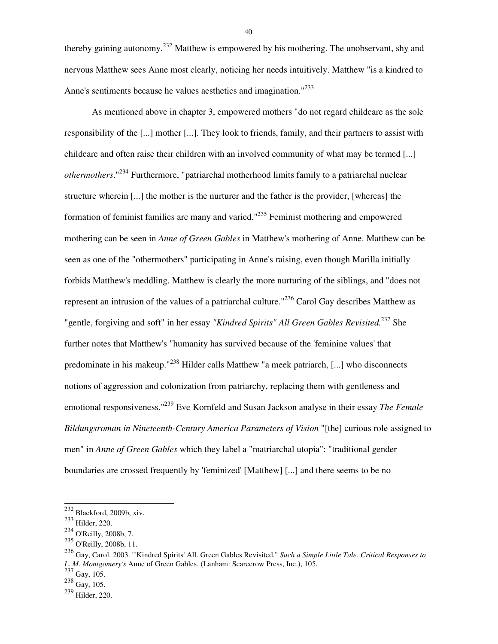thereby gaining autonomy.<sup>232</sup> Matthew is empowered by his mothering. The unobservant, shy and nervous Matthew sees Anne most clearly, noticing her needs intuitively. Matthew "is a kindred to Anne's sentiments because he values aesthetics and imagination.<sup>"233</sup>

 As mentioned above in chapter 3, empowered mothers "do not regard childcare as the sole responsibility of the [...] mother [...]. They look to friends, family, and their partners to assist with childcare and often raise their children with an involved community of what may be termed [...] *othermothers*."<sup>234</sup> Furthermore, "patriarchal motherhood limits family to a patriarchal nuclear structure wherein [...] the mother is the nurturer and the father is the provider, [whereas] the formation of feminist families are many and varied."<sup>235</sup> Feminist mothering and empowered mothering can be seen in *Anne of Green Gables* in Matthew's mothering of Anne. Matthew can be seen as one of the "othermothers" participating in Anne's raising, even though Marilla initially forbids Matthew's meddling. Matthew is clearly the more nurturing of the siblings, and "does not represent an intrusion of the values of a patriarchal culture."<sup>236</sup> Carol Gay describes Matthew as "gentle, forgiving and soft" in her essay *"Kindred Spirits" All Green Gables Revisited.*<sup>237</sup> She further notes that Matthew's "humanity has survived because of the 'feminine values' that predominate in his makeup."<sup>238</sup> Hilder calls Matthew "a meek patriarch, [...] who disconnects notions of aggression and colonization from patriarchy, replacing them with gentleness and emotional responsiveness."<sup>239</sup> Eve Kornfeld and Susan Jackson analyse in their essay *The Female Bildungsroman in Nineteenth-Century America Parameters of Vision* "[the] curious role assigned to men" in *Anne of Green Gables* which they label a "matriarchal utopia": "traditional gender boundaries are crossed frequently by 'feminized' [Matthew] [...] and there seems to be no

l

<sup>232</sup> Blackford, 2009b, xiv.

<sup>233</sup> Hilder, 220.

<sup>234</sup> O'Reilly, 2008b, 7.

<sup>235</sup> O'Reilly, 2008b, 11.

<sup>236</sup> Gay, Carol. 2003. "'Kindred Spirits' All. Green Gables Revisited." *Such a Simple Little Tale. Critical Responses to L. M. Montgomery's* Anne of Green Gables*.* (Lanham: Scarecrow Press, Inc.), 105.

 $237$  Gay, 105.

 $^{238}$  Gay, 105.

<sup>239</sup> Hilder, 220.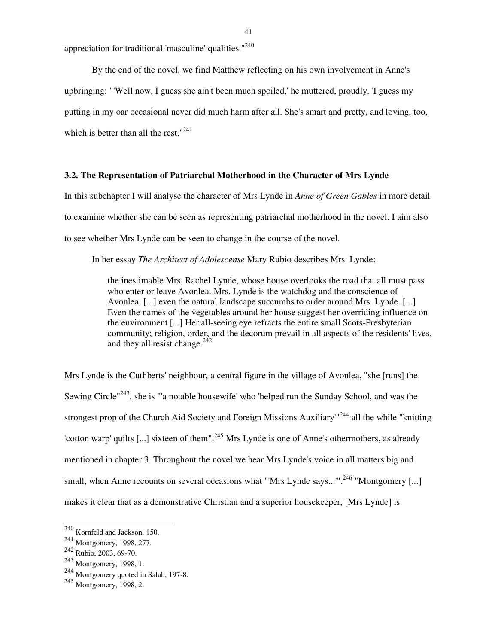appreciation for traditional 'masculine' qualities."<sup>240</sup>

 By the end of the novel, we find Matthew reflecting on his own involvement in Anne's upbringing: "'Well now, I guess she ain't been much spoiled,' he muttered, proudly. 'I guess my putting in my oar occasional never did much harm after all. She's smart and pretty, and loving, too, which is better than all the rest." $241$ 

## **3.2. The Representation of Patriarchal Motherhood in the Character of Mrs Lynde**

In this subchapter I will analyse the character of Mrs Lynde in *Anne of Green Gables* in more detail to examine whether she can be seen as representing patriarchal motherhood in the novel. I aim also to see whether Mrs Lynde can be seen to change in the course of the novel.

In her essay *The Architect of Adolescense* Mary Rubio describes Mrs. Lynde:

the inestimable Mrs. Rachel Lynde, whose house overlooks the road that all must pass who enter or leave Avonlea. Mrs. Lynde is the watchdog and the conscience of Avonlea, [...] even the natural landscape succumbs to order around Mrs. Lynde. [...] Even the names of the vegetables around her house suggest her overriding influence on the environment [...] Her all-seeing eye refracts the entire small Scots-Presbyterian community; religion, order, and the decorum prevail in all aspects of the residents' lives, and they all resist change.<sup>242</sup>

Mrs Lynde is the Cuthberts' neighbour, a central figure in the village of Avonlea, "she [runs] the Sewing Circle<sup>"243</sup>, she is "'a notable housewife' who 'helped run the Sunday School, and was the strongest prop of the Church Aid Society and Foreign Missions Auxiliary<sup>11244</sup> all the while "knitting" 'cotton warp' quilts  $[...]$  sixteen of them".<sup>245</sup> Mrs Lynde is one of Anne's othermothers, as already mentioned in chapter 3. Throughout the novel we hear Mrs Lynde's voice in all matters big and small, when Anne recounts on several occasions what "'Mrs Lynde says..."'.<sup>246</sup> "Montgomery [...] makes it clear that as a demonstrative Christian and a superior housekeeper, [Mrs Lynde] is

 $240$  Kornfeld and Jackson, 150.

<sup>241</sup> Montgomery, 1998, 277.

<sup>242</sup> Rubio, 2003, 69-70.

<sup>243</sup> Montgomery, 1998, 1.

<sup>244</sup> Montgomery quoted in Salah, 197-8.

<sup>245</sup> Montgomery, 1998, 2.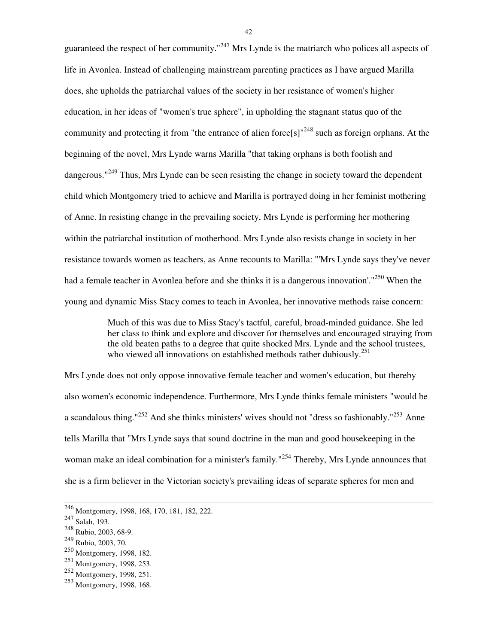guaranteed the respect of her community."<sup>247</sup> Mrs Lynde is the matriarch who polices all aspects of life in Avonlea. Instead of challenging mainstream parenting practices as I have argued Marilla does, she upholds the patriarchal values of the society in her resistance of women's higher education, in her ideas of "women's true sphere", in upholding the stagnant status quo of the community and protecting it from "the entrance of alien force[s]"<sup>248</sup> such as foreign orphans. At the beginning of the novel, Mrs Lynde warns Marilla "that taking orphans is both foolish and dangerous."<sup>249</sup> Thus, Mrs Lynde can be seen resisting the change in society toward the dependent child which Montgomery tried to achieve and Marilla is portrayed doing in her feminist mothering of Anne. In resisting change in the prevailing society, Mrs Lynde is performing her mothering within the patriarchal institution of motherhood. Mrs Lynde also resists change in society in her resistance towards women as teachers, as Anne recounts to Marilla: "'Mrs Lynde says they've never had a female teacher in Avonlea before and she thinks it is a dangerous innovation'."<sup>250</sup> When the young and dynamic Miss Stacy comes to teach in Avonlea, her innovative methods raise concern:

> Much of this was due to Miss Stacy's tactful, careful, broad-minded guidance. She led her class to think and explore and discover for themselves and encouraged straying from the old beaten paths to a degree that quite shocked Mrs. Lynde and the school trustees, who viewed all innovations on established methods rather dubiously.  $251$

Mrs Lynde does not only oppose innovative female teacher and women's education, but thereby also women's economic independence. Furthermore, Mrs Lynde thinks female ministers "would be a scandalous thing."<sup>252</sup> And she thinks ministers' wives should not "dress so fashionably."<sup>253</sup> Anne tells Marilla that "Mrs Lynde says that sound doctrine in the man and good housekeeping in the woman make an ideal combination for a minister's family."<sup>254</sup> Thereby, Mrs Lynde announces that she is a firm believer in the Victorian society's prevailing ideas of separate spheres for men and

l

<sup>&</sup>lt;sup>246</sup> Montgomery, 1998, 168, 170, 181, 182, 222.

<sup>247</sup> Salah, 193.

<sup>248</sup> Rubio, 2003, 68-9.

<sup>249</sup> Rubio, 2003, 70.

<sup>250</sup> Montgomery, 1998, 182.

<sup>251</sup> Montgomery, 1998, 253.

<sup>252</sup> Montgomery, 1998, 251.

<sup>253</sup> Montgomery, 1998, 168.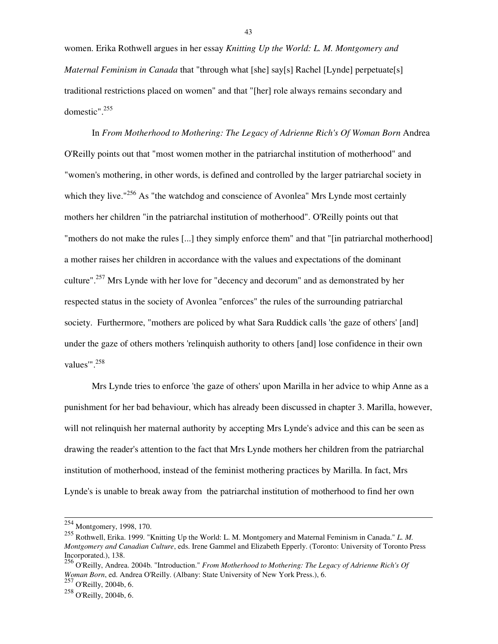women. Erika Rothwell argues in her essay *Knitting Up the World: L. M. Montgomery and Maternal Feminism in Canada* that "through what [she] say[s] Rachel [Lynde] perpetuate[s] traditional restrictions placed on women" and that "[her] role always remains secondary and domestic".<sup>255</sup>

 In *From Motherhood to Mothering: The Legacy of Adrienne Rich's Of Woman Born* Andrea O'Reilly points out that "most women mother in the patriarchal institution of motherhood" and "women's mothering, in other words, is defined and controlled by the larger patriarchal society in which they live."<sup>256</sup> As "the watchdog and conscience of Avonlea" Mrs Lynde most certainly mothers her children "in the patriarchal institution of motherhood". O'Reilly points out that "mothers do not make the rules [...] they simply enforce them" and that "[in patriarchal motherhood] a mother raises her children in accordance with the values and expectations of the dominant culture".<sup>257</sup> Mrs Lynde with her love for "decency and decorum" and as demonstrated by her respected status in the society of Avonlea "enforces" the rules of the surrounding patriarchal society. Furthermore, "mothers are policed by what Sara Ruddick calls 'the gaze of others' [and] under the gaze of others mothers 'relinquish authority to others [and] lose confidence in their own values"'.<sup>258</sup>

 Mrs Lynde tries to enforce 'the gaze of others' upon Marilla in her advice to whip Anne as a punishment for her bad behaviour, which has already been discussed in chapter 3. Marilla, however, will not relinquish her maternal authority by accepting Mrs Lynde's advice and this can be seen as drawing the reader's attention to the fact that Mrs Lynde mothers her children from the patriarchal institution of motherhood, instead of the feminist mothering practices by Marilla. In fact, Mrs Lynde's is unable to break away from the patriarchal institution of motherhood to find her own

l

 $257$  O'Reilly, 2004b, 6.

 $254$  Montgomery, 1998, 170.

<sup>255</sup> Rothwell, Erika. 1999. "Knitting Up the World: L. M. Montgomery and Maternal Feminism in Canada." *L. M. Montgomery and Canadian Culture*, eds. Irene Gammel and Elizabeth Epperly. (Toronto: University of Toronto Press Incorporated.), 138.

<sup>256</sup> O'Reilly, Andrea. 2004b. "Introduction." *From Motherhood to Mothering: The Legacy of Adrienne Rich's Of Woman Born*, ed. Andrea O'Reilly. (Albany: State University of New York Press.), 6.

<sup>258</sup> O'Reilly, 2004b, 6.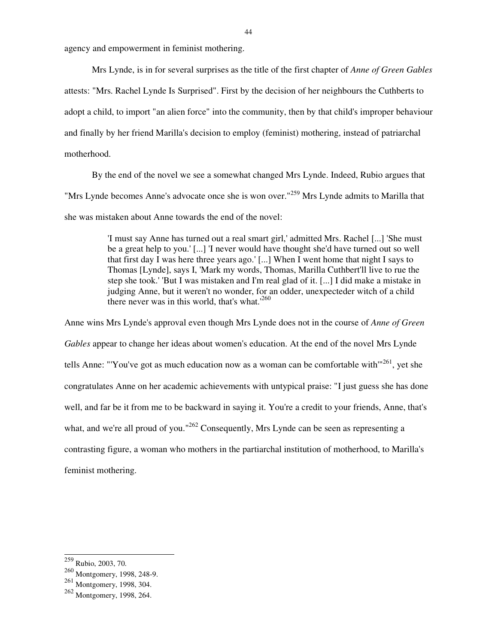agency and empowerment in feminist mothering.

 Mrs Lynde, is in for several surprises as the title of the first chapter of *Anne of Green Gables* attests: "Mrs. Rachel Lynde Is Surprised". First by the decision of her neighbours the Cuthberts to adopt a child, to import "an alien force" into the community, then by that child's improper behaviour and finally by her friend Marilla's decision to employ (feminist) mothering, instead of patriarchal motherhood.

 By the end of the novel we see a somewhat changed Mrs Lynde. Indeed, Rubio argues that "Mrs Lynde becomes Anne's advocate once she is won over."<sup>259</sup> Mrs Lynde admits to Marilla that she was mistaken about Anne towards the end of the novel:

> 'I must say Anne has turned out a real smart girl,' admitted Mrs. Rachel [...] 'She must be a great help to you.' [...] 'I never would have thought she'd have turned out so well that first day I was here three years ago.' [...] When I went home that night I says to Thomas [Lynde], says I, 'Mark my words, Thomas, Marilla Cuthbert'll live to rue the step she took.' 'But I was mistaken and I'm real glad of it. [...] I did make a mistake in judging Anne, but it weren't no wonder, for an odder, unexpecteder witch of a child there never was in this world, that's what.<sup>260</sup>

Anne wins Mrs Lynde's approval even though Mrs Lynde does not in the course of *Anne of Green Gables* appear to change her ideas about women's education. At the end of the novel Mrs Lynde tells Anne: "'You've got as much education now as a woman can be comfortable with $"^{261}$ , vet she congratulates Anne on her academic achievements with untypical praise: "I just guess she has done well, and far be it from me to be backward in saying it. You're a credit to your friends, Anne, that's what, and we're all proud of you."<sup>262</sup> Consequently, Mrs Lynde can be seen as representing a contrasting figure, a woman who mothers in the partiarchal institution of motherhood, to Marilla's feminist mothering.

 $\overline{a}$ 

<sup>&</sup>lt;sup>259</sup> Rubio, 2003, 70.

<sup>260</sup> Montgomery, 1998, 248-9.

<sup>261</sup> Montgomery, 1998, 304.

<sup>262</sup> Montgomery, 1998, 264.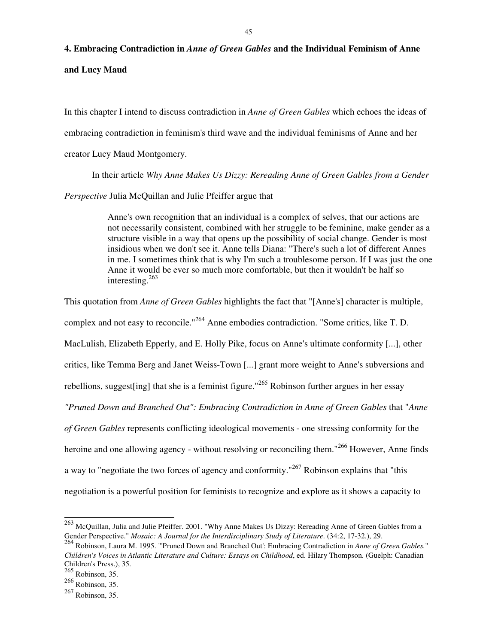# **4. Embracing Contradiction in** *Anne of Green Gables* **and the Individual Feminism of Anne**

**and Lucy Maud** 

In this chapter I intend to discuss contradiction in *Anne of Green Gables* which echoes the ideas of embracing contradiction in feminism's third wave and the individual feminisms of Anne and her creator Lucy Maud Montgomery.

In their article *Why Anne Makes Us Dizzy: Rereading Anne of Green Gables from a Gender* 

*Perspective* Julia McQuillan and Julie Pfeiffer argue that

Anne's own recognition that an individual is a complex of selves, that our actions are not necessarily consistent, combined with her struggle to be feminine, make gender as a structure visible in a way that opens up the possibility of social change. Gender is most insidious when we don't see it. Anne tells Diana: "There's such a lot of different Annes in me. I sometimes think that is why I'm such a troublesome person. If I was just the one Anne it would be ever so much more comfortable, but then it wouldn't be half so interesting. $263$ 

This quotation from *Anne of Green Gables* highlights the fact that "[Anne's] character is multiple, complex and not easy to reconcile."<sup>264</sup> Anne embodies contradiction. "Some critics, like T. D. MacLulish, Elizabeth Epperly, and E. Holly Pike, focus on Anne's ultimate conformity [...], other critics, like Temma Berg and Janet Weiss-Town [...] grant more weight to Anne's subversions and rebellions, suggest [ing] that she is a feminist figure."<sup>265</sup> Robinson further argues in her essay *"Pruned Down and Branched Out": Embracing Contradiction in Anne of Green Gables* that "*Anne of Green Gables* represents conflicting ideological movements - one stressing conformity for the heroine and one allowing agency - without resolving or reconciling them."<sup>266</sup> However, Anne finds a way to "negotiate the two forces of agency and conformity."<sup>267</sup> Robinson explains that "this negotiation is a powerful position for feminists to recognize and explore as it shows a capacity to

 $^{263}$  McQuillan, Julia and Julie Pfeiffer. 2001. "Why Anne Makes Us Dizzy: Rereading Anne of Green Gables from a Gender Perspective." *Mosaic: A Journal for the Interdisciplinary Study of Literature*. (34:2, 17-32.), 29.

<sup>264</sup> Robinson, Laura M. 1995. "'Pruned Down and Branched Out': Embracing Contradiction in *Anne of Green Gables.*" *Children's Voices in Atlantic Literature and Culture: Essays on Childhood*, ed. Hilary Thompson. (Guelph: Canadian Children's Press.), 35.

 $\frac{265}{265}$  Robinson, 35.

 $266$  Robinson, 35.

<sup>267</sup> Robinson, 35.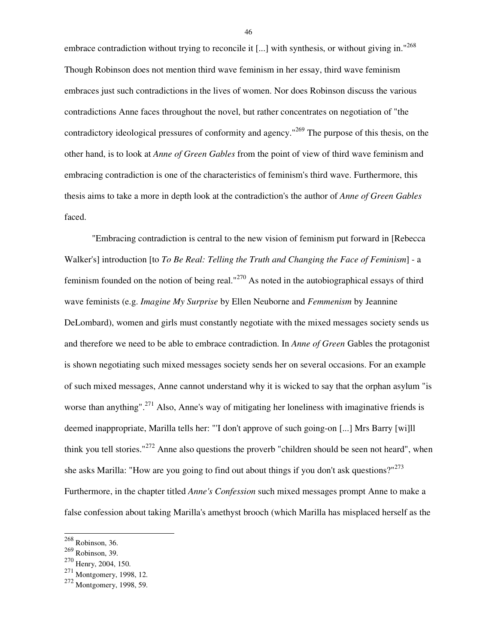embrace contradiction without trying to reconcile it [...] with synthesis, or without giving in."<sup>268</sup> Though Robinson does not mention third wave feminism in her essay, third wave feminism embraces just such contradictions in the lives of women. Nor does Robinson discuss the various contradictions Anne faces throughout the novel, but rather concentrates on negotiation of "the contradictory ideological pressures of conformity and agency.<sup>"269</sup> The purpose of this thesis, on the other hand, is to look at *Anne of Green Gables* from the point of view of third wave feminism and embracing contradiction is one of the characteristics of feminism's third wave. Furthermore, this thesis aims to take a more in depth look at the contradiction's the author of *Anne of Green Gables* faced.

 "Embracing contradiction is central to the new vision of feminism put forward in [Rebecca Walker's] introduction [to *To Be Real: Telling the Truth and Changing the Face of Feminism*] - a feminism founded on the notion of being real."<sup>270</sup> As noted in the autobiographical essays of third wave feminists (e.g. *Imagine My Surprise* by Ellen Neuborne and *Femmenism* by Jeannine DeLombard), women and girls must constantly negotiate with the mixed messages society sends us and therefore we need to be able to embrace contradiction. In *Anne of Green* Gables the protagonist is shown negotiating such mixed messages society sends her on several occasions. For an example of such mixed messages, Anne cannot understand why it is wicked to say that the orphan asylum "is worse than anything".<sup>271</sup> Also, Anne's way of mitigating her loneliness with imaginative friends is deemed inappropriate, Marilla tells her: "'I don't approve of such going-on [...] Mrs Barry [wi]ll think you tell stories."<sup>272</sup> Anne also questions the proverb "children should be seen not heard", when she asks Marilla: "How are you going to find out about things if you don't ask questions?"<sup>273</sup> Furthermore, in the chapter titled *Anne's Confession* such mixed messages prompt Anne to make a false confession about taking Marilla's amethyst brooch (which Marilla has misplaced herself as the

l

 $268$  Robinson, 36.

<sup>269</sup> Robinson, 39.

<sup>&</sup>lt;sup>270</sup> Henry, 2004, 150.

 $^{271}$  Montgomery, 1998, 12.

<sup>&</sup>lt;sup>272</sup> Montgomery, 1998, 59.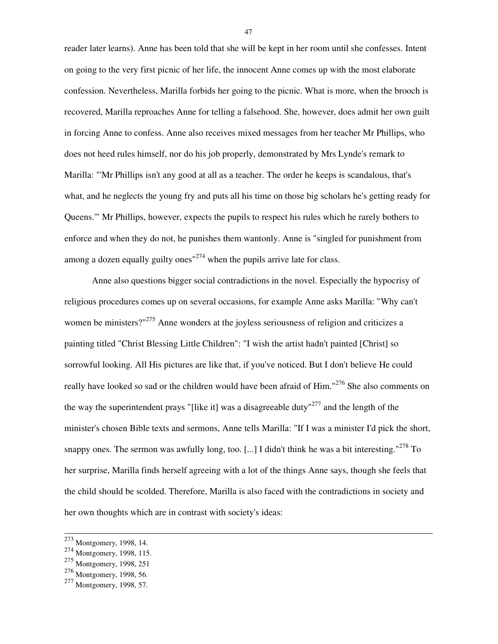reader later learns). Anne has been told that she will be kept in her room until she confesses. Intent on going to the very first picnic of her life, the innocent Anne comes up with the most elaborate confession. Nevertheless, Marilla forbids her going to the picnic. What is more, when the brooch is recovered, Marilla reproaches Anne for telling a falsehood. She, however, does admit her own guilt in forcing Anne to confess. Anne also receives mixed messages from her teacher Mr Phillips, who does not heed rules himself, nor do his job properly, demonstrated by Mrs Lynde's remark to Marilla: "'Mr Phillips isn't any good at all as a teacher. The order he keeps is scandalous, that's what, and he neglects the young fry and puts all his time on those big scholars he's getting ready for Queens.'" Mr Phillips, however, expects the pupils to respect his rules which he rarely bothers to enforce and when they do not, he punishes them wantonly. Anne is "singled for punishment from among a dozen equally guilty ones $n^{274}$  when the pupils arrive late for class.

 Anne also questions bigger social contradictions in the novel. Especially the hypocrisy of religious procedures comes up on several occasions, for example Anne asks Marilla: "Why can't women be ministers?"<sup>275</sup> Anne wonders at the joyless seriousness of religion and criticizes a painting titled "Christ Blessing Little Children": "I wish the artist hadn't painted [Christ] so sorrowful looking. All His pictures are like that, if you've noticed. But I don't believe He could really have looked so sad or the children would have been afraid of Him."<sup>276</sup> She also comments on the way the superintendent prays "[like it] was a disagreeable duty"<sup>277</sup> and the length of the minister's chosen Bible texts and sermons, Anne tells Marilla: "If I was a minister I'd pick the short, snappy ones. The sermon was awfully long, too. [...] I didn't think he was a bit interesting." $278$  To her surprise, Marilla finds herself agreeing with a lot of the things Anne says, though she feels that the child should be scolded. Therefore, Marilla is also faced with the contradictions in society and her own thoughts which are in contrast with society's ideas:

l

 $273$  Montgomery, 1998, 14.

<sup>274</sup> Montgomery, 1998, 115.

<sup>275</sup> Montgomery, 1998, 251

<sup>276</sup> Montgomery, 1998, 56.

<sup>&</sup>lt;sup>277</sup> Montgomery, 1998, 57.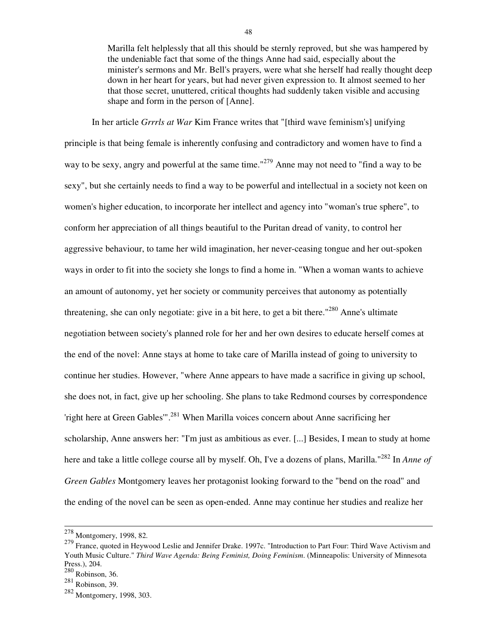Marilla felt helplessly that all this should be sternly reproved, but she was hampered by the undeniable fact that some of the things Anne had said, especially about the minister's sermons and Mr. Bell's prayers, were what she herself had really thought deep down in her heart for years, but had never given expression to. It almost seemed to her that those secret, unuttered, critical thoughts had suddenly taken visible and accusing shape and form in the person of [Anne].

 In her article *Grrrls at War* Kim France writes that "[third wave feminism's] unifying principle is that being female is inherently confusing and contradictory and women have to find a way to be sexy, angry and powerful at the same time."<sup>279</sup> Anne may not need to "find a way to be sexy", but she certainly needs to find a way to be powerful and intellectual in a society not keen on women's higher education, to incorporate her intellect and agency into "woman's true sphere", to conform her appreciation of all things beautiful to the Puritan dread of vanity, to control her aggressive behaviour, to tame her wild imagination, her never-ceasing tongue and her out-spoken ways in order to fit into the society she longs to find a home in. "When a woman wants to achieve an amount of autonomy, yet her society or community perceives that autonomy as potentially threatening, she can only negotiate: give in a bit here, to get a bit there."<sup>280</sup> Anne's ultimate negotiation between society's planned role for her and her own desires to educate herself comes at the end of the novel: Anne stays at home to take care of Marilla instead of going to university to continue her studies. However, "where Anne appears to have made a sacrifice in giving up school, she does not, in fact, give up her schooling. She plans to take Redmond courses by correspondence 'right here at Green Gables'".<sup>281</sup> When Marilla voices concern about Anne sacrificing her scholarship, Anne answers her: "I'm just as ambitious as ever. [...] Besides, I mean to study at home here and take a little college course all by myself. Oh, I've a dozens of plans, Marilla."<sup>282</sup> In *Anne of Green Gables* Montgomery leaves her protagonist looking forward to the "bend on the road" and the ending of the novel can be seen as open-ended. Anne may continue her studies and realize her

 $\overline{a}$ 

 $278$  Montgomery, 1998, 82.

<sup>&</sup>lt;sup>279</sup> France, quoted in Heywood Leslie and Jennifer Drake. 1997c. "Introduction to Part Four: Third Wave Activism and Youth Music Culture." *Third Wave Agenda: Being Feminist, Doing Feminism*. (Minneapolis: University of Minnesota Press.), 204.

 $280$  Robinson, 36.

 $281$  Robinson, 39.

<sup>282</sup> Montgomery, 1998, 303.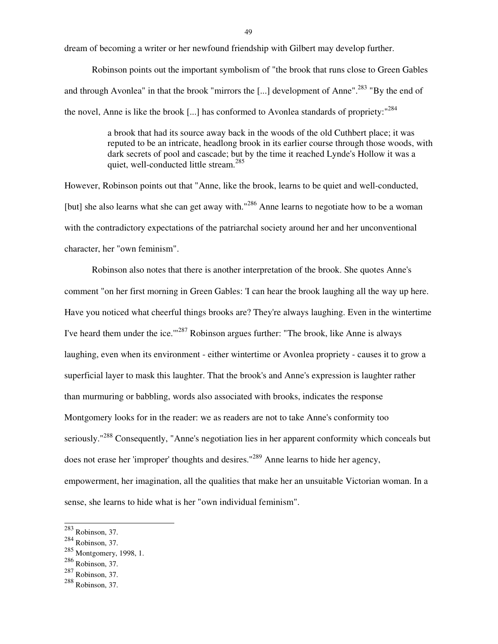dream of becoming a writer or her newfound friendship with Gilbert may develop further.

 Robinson points out the important symbolism of "the brook that runs close to Green Gables and through Avonlea" in that the brook "mirrors the [...] development of Anne".<sup>283</sup> "By the end of the novel, Anne is like the brook [...] has conformed to Avonlea standards of propriety:<sup>"284</sup>

> a brook that had its source away back in the woods of the old Cuthbert place; it was reputed to be an intricate, headlong brook in its earlier course through those woods, with dark secrets of pool and cascade; but by the time it reached Lynde's Hollow it was a quiet, well-conducted little stream.<sup>285</sup>

However, Robinson points out that "Anne, like the brook, learns to be quiet and well-conducted, [but] she also learns what she can get away with."<sup>286</sup> Anne learns to negotiate how to be a woman with the contradictory expectations of the patriarchal society around her and her unconventional character, her "own feminism".

 Robinson also notes that there is another interpretation of the brook. She quotes Anne's comment "on her first morning in Green Gables: 'I can hear the brook laughing all the way up here. Have you noticed what cheerful things brooks are? They're always laughing. Even in the wintertime I've heard them under the ice.'"<sup>287</sup> Robinson argues further: "The brook, like Anne is always laughing, even when its environment - either wintertime or Avonlea propriety - causes it to grow a superficial layer to mask this laughter. That the brook's and Anne's expression is laughter rather than murmuring or babbling, words also associated with brooks, indicates the response Montgomery looks for in the reader: we as readers are not to take Anne's conformity too seriously."<sup>288</sup> Consequently, "Anne's negotiation lies in her apparent conformity which conceals but does not erase her 'improper' thoughts and desires."<sup>289</sup> Anne learns to hide her agency, empowerment, her imagination, all the qualities that make her an unsuitable Victorian woman. In a sense, she learns to hide what is her "own individual feminism".

 $283$  Robinson, 37.

 $284$  Robinson, 37.

<sup>285</sup> Montgomery, 1998, 1.

<sup>286</sup> Robinson, 37.

 $287$  Robinson, 37.

<sup>288</sup> Robinson, 37.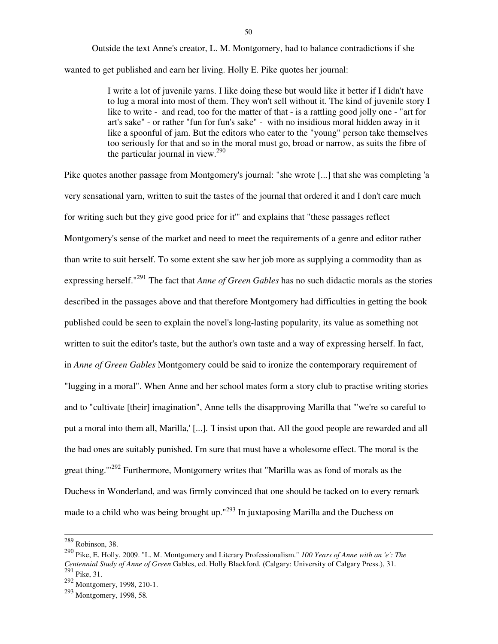Outside the text Anne's creator, L. M. Montgomery, had to balance contradictions if she wanted to get published and earn her living. Holly E. Pike quotes her journal:

> I write a lot of juvenile yarns. I like doing these but would like it better if I didn't have to lug a moral into most of them. They won't sell without it. The kind of juvenile story I like to write - and read, too for the matter of that - is a rattling good jolly one - "art for art's sake" - or rather "fun for fun's sake" - with no insidious moral hidden away in it like a spoonful of jam. But the editors who cater to the "young" person take themselves too seriously for that and so in the moral must go, broad or narrow, as suits the fibre of the particular journal in view. $290$

Pike quotes another passage from Montgomery's journal: "she wrote [...] that she was completing 'a very sensational yarn, written to suit the tastes of the journal that ordered it and I don't care much for writing such but they give good price for it'" and explains that "these passages reflect Montgomery's sense of the market and need to meet the requirements of a genre and editor rather than write to suit herself. To some extent she saw her job more as supplying a commodity than as expressing herself."<sup>291</sup> The fact that *Anne of Green Gables* has no such didactic morals as the stories described in the passages above and that therefore Montgomery had difficulties in getting the book published could be seen to explain the novel's long-lasting popularity, its value as something not written to suit the editor's taste, but the author's own taste and a way of expressing herself. In fact, in *Anne of Green Gables* Montgomery could be said to ironize the contemporary requirement of "lugging in a moral". When Anne and her school mates form a story club to practise writing stories and to "cultivate [their] imagination", Anne tells the disapproving Marilla that "'we're so careful to put a moral into them all, Marilla,' [...]. 'I insist upon that. All the good people are rewarded and all the bad ones are suitably punished. I'm sure that must have a wholesome effect. The moral is the great thing.<sup>"292</sup> Furthermore, Montgomery writes that "Marilla was as fond of morals as the Duchess in Wonderland, and was firmly convinced that one should be tacked on to every remark made to a child who was being brought up." $^{293}$  In juxtaposing Marilla and the Duchess on

 $289$  Robinson, 38.

<sup>290</sup> Pike, E. Holly. 2009. "L. M. Montgomery and Literary Professionalism." *100 Years of Anne with an 'e': The Centennial Study of Anne of Green* Gables, ed. Holly Blackford. (Calgary: University of Calgary Press.), 31.  $^{291}$  Pike, 31.

<sup>292</sup> Montgomery, 1998, 210-1.

<sup>293</sup> Montgomery, 1998, 58.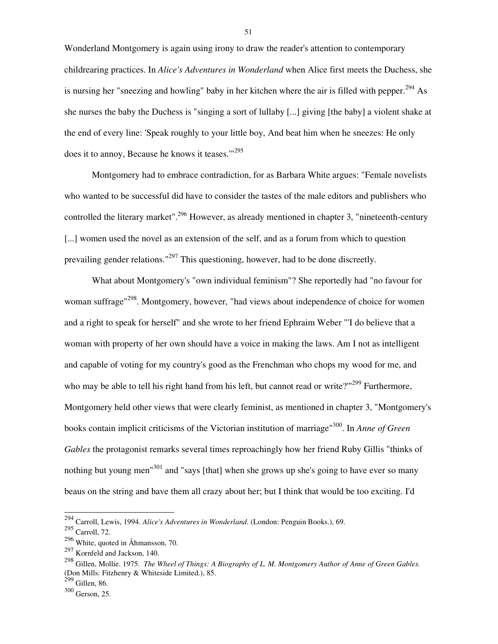Wonderland Montgomery is again using irony to draw the reader's attention to contemporary childrearing practices. In *Alice's Adventures in Wonderland* when Alice first meets the Duchess, she is nursing her "sneezing and howling" baby in her kitchen where the air is filled with pepper.<sup>294</sup> As she nurses the baby the Duchess is "singing a sort of lullaby [...] giving [the baby] a violent shake at the end of every line: 'Speak roughly to your little boy, And beat him when he sneezes: He only does it to annoy, Because he knows it teases. $1295$ 

 Montgomery had to embrace contradiction, for as Barbara White argues: "Female novelists who wanted to be successful did have to consider the tastes of the male editors and publishers who controlled the literary market".<sup>296</sup> However, as already mentioned in chapter 3, "nineteenth-century" [...] women used the novel as an extension of the self, and as a forum from which to question prevailing gender relations."<sup>297</sup> This questioning, however, had to be done discreetly.

 What about Montgomery's "own individual feminism"? She reportedly had "no favour for woman suffrage<sup>"298</sup>. Montgomery, however, "had views about independence of choice for women and a right to speak for herself" and she wrote to her friend Ephraim Weber "'I do believe that a woman with property of her own should have a voice in making the laws. Am I not as intelligent and capable of voting for my country's good as the Frenchman who chops my wood for me, and who may be able to tell his right hand from his left, but cannot read or write?" $299$  Furthermore, Montgomery held other views that were clearly feminist, as mentioned in chapter 3, "Montgomery's books contain implicit criticisms of the Victorian institution of marriage"<sup>300</sup>. In *Anne of Green Gables* the protagonist remarks several times reproachingly how her friend Ruby Gillis "thinks of nothing but young men<sup>"301</sup> and "says [that] when she grows up she's going to have ever so many beaus on the string and have them all crazy about her; but I think that would be too exciting. I'd

l

<sup>294</sup> Carroll, Lewis, 1994. *Alice's Adventures in Wonderland*. (London: Penguin Books.), 69.

 $295$  Carroll, 72.

<sup>296</sup> White, quoted in Åhmansson, 70.

<sup>297</sup> Kornfeld and Jackson, 140.

<sup>298</sup> Gillen, Mollie. 1975. *The Wheel of Things: A Biography of L. M. Montgomery Author of Anne of Green Gables.* (Don Mills: Fitzhenry & Whiteside Limited.), 85.

 $299$  Gillen, 86.

<sup>300</sup> Gerson, 25.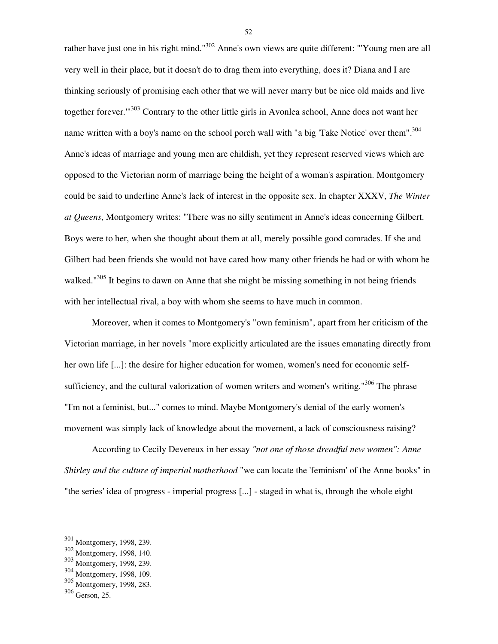rather have just one in his right mind."<sup>302</sup> Anne's own views are quite different: "'Young men are all very well in their place, but it doesn't do to drag them into everything, does it? Diana and I are thinking seriously of promising each other that we will never marry but be nice old maids and live together forever.'"<sup>303</sup> Contrary to the other little girls in Avonlea school, Anne does not want her name written with a boy's name on the school porch wall with "a big 'Take Notice' over them".<sup>304</sup> Anne's ideas of marriage and young men are childish, yet they represent reserved views which are opposed to the Victorian norm of marriage being the height of a woman's aspiration. Montgomery could be said to underline Anne's lack of interest in the opposite sex. In chapter XXXV, *The Winter at Queens*, Montgomery writes: "There was no silly sentiment in Anne's ideas concerning Gilbert. Boys were to her, when she thought about them at all, merely possible good comrades. If she and Gilbert had been friends she would not have cared how many other friends he had or with whom he walked."<sup>305</sup> It begins to dawn on Anne that she might be missing something in not being friends with her intellectual rival, a boy with whom she seems to have much in common.

 Moreover, when it comes to Montgomery's "own feminism", apart from her criticism of the Victorian marriage, in her novels "more explicitly articulated are the issues emanating directly from her own life [...]: the desire for higher education for women, women's need for economic selfsufficiency, and the cultural valorization of women writers and women's writing."<sup>306</sup> The phrase "I'm not a feminist, but..." comes to mind. Maybe Montgomery's denial of the early women's movement was simply lack of knowledge about the movement, a lack of consciousness raising?

 According to Cecily Devereux in her essay *"not one of those dreadful new women": Anne Shirley and the culture of imperial motherhood* "we can locate the 'feminism' of the Anne books" in "the series' idea of progress - imperial progress [...] - staged in what is, through the whole eight

 $\overline{a}$ 

 $301$  Montgomery, 1998, 239.

<sup>302</sup> Montgomery, 1998, 140.

<sup>303</sup> Montgomery, 1998, 239.

<sup>304</sup> Montgomery, 1998, 109.

<sup>305</sup> Montgomery, 1998, 283.

<sup>306</sup> Gerson, 25.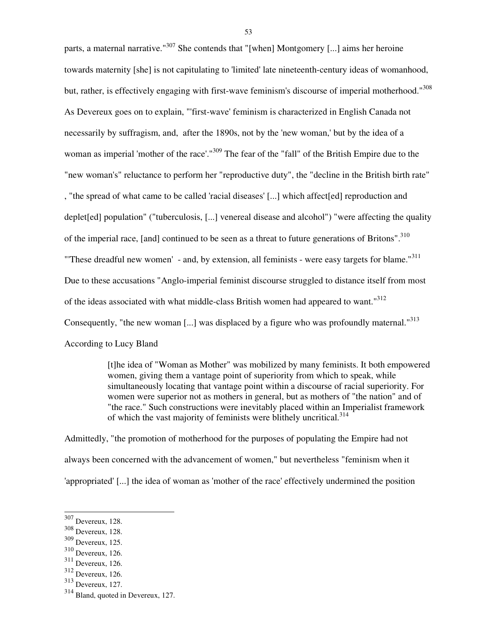parts, a maternal narrative."<sup>307</sup> She contends that "[when] Montgomery [...] aims her heroine towards maternity [she] is not capitulating to 'limited' late nineteenth-century ideas of womanhood, but, rather, is effectively engaging with first-wave feminism's discourse of imperial motherhood."<sup>308</sup> As Devereux goes on to explain, "'first-wave' feminism is characterized in English Canada not necessarily by suffragism, and, after the 1890s, not by the 'new woman,' but by the idea of a woman as imperial 'mother of the race'."<sup>309</sup> The fear of the "fall" of the British Empire due to the "new woman's" reluctance to perform her "reproductive duty", the "decline in the British birth rate" , "the spread of what came to be called 'racial diseases' [...] which affect[ed] reproduction and deplet[ed] population" ("tuberculosis, [...] venereal disease and alcohol") "were affecting the quality of the imperial race, [and] continued to be seen as a threat to future generations of Britons".<sup>310</sup> "These dreadful new women' - and, by extension, all feminists - were easy targets for blame."<sup>311</sup> Due to these accusations "Anglo-imperial feminist discourse struggled to distance itself from most of the ideas associated with what middle-class British women had appeared to want."<sup>312</sup> Consequently, "the new woman [...] was displaced by a figure who was profoundly maternal."<sup>313</sup> According to Lucy Bland

> [t]he idea of "Woman as Mother" was mobilized by many feminists. It both empowered women, giving them a vantage point of superiority from which to speak, while simultaneously locating that vantage point within a discourse of racial superiority. For women were superior not as mothers in general, but as mothers of "the nation" and of "the race." Such constructions were inevitably placed within an Imperialist framework of which the vast majority of feminists were blithely uncritical.<sup>314</sup>

Admittedly, "the promotion of motherhood for the purposes of populating the Empire had not always been concerned with the advancement of women," but nevertheless "feminism when it 'appropriated' [...] the idea of woman as 'mother of the race' effectively undermined the position

<sup>&</sup>lt;sup>307</sup> Devereux, 128.

<sup>308</sup> Devereux, 128.

<sup>309</sup> Devereux, 125.

<sup>310</sup> Devereux, 126.

<sup>311</sup> Devereux, 126.

<sup>312</sup> Devereux, 126.

<sup>313</sup> Devereux, 127.

<sup>314</sup> Bland, quoted in Devereux, 127.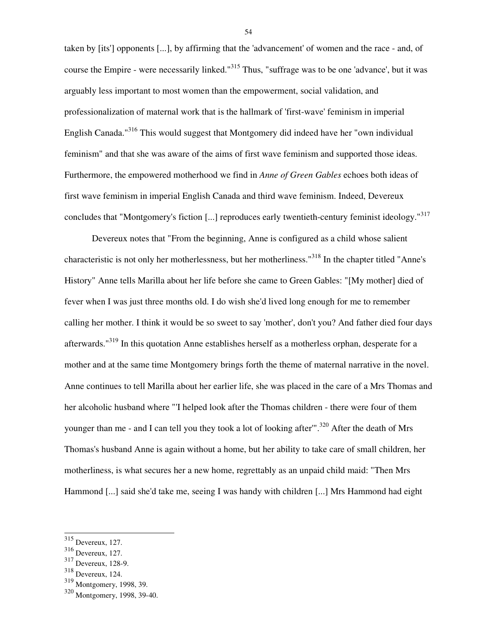taken by [its'] opponents [...], by affirming that the 'advancement' of women and the race - and, of course the Empire - were necessarily linked."<sup>315</sup> Thus, "suffrage was to be one 'advance', but it was arguably less important to most women than the empowerment, social validation, and professionalization of maternal work that is the hallmark of 'first-wave' feminism in imperial English Canada."<sup>316</sup> This would suggest that Montgomery did indeed have her "own individual feminism" and that she was aware of the aims of first wave feminism and supported those ideas. Furthermore, the empowered motherhood we find in *Anne of Green Gables* echoes both ideas of first wave feminism in imperial English Canada and third wave feminism. Indeed, Devereux concludes that "Montgomery's fiction [...] reproduces early twentieth-century feminist ideology."<sup>317</sup>

 Devereux notes that "From the beginning, Anne is configured as a child whose salient characteristic is not only her motherlessness, but her motherliness."<sup>318</sup> In the chapter titled "Anne's History" Anne tells Marilla about her life before she came to Green Gables: "[My mother] died of fever when I was just three months old. I do wish she'd lived long enough for me to remember calling her mother. I think it would be so sweet to say 'mother', don't you? And father died four days afterwards."<sup>319</sup> In this quotation Anne establishes herself as a motherless orphan, desperate for a mother and at the same time Montgomery brings forth the theme of maternal narrative in the novel. Anne continues to tell Marilla about her earlier life, she was placed in the care of a Mrs Thomas and her alcoholic husband where "'I helped look after the Thomas children - there were four of them younger than me - and I can tell you they took a lot of looking after".<sup>320</sup> After the death of Mrs Thomas's husband Anne is again without a home, but her ability to take care of small children, her motherliness, is what secures her a new home, regrettably as an unpaid child maid: "Then Mrs Hammond [...] said she'd take me, seeing I was handy with children [...] Mrs Hammond had eight

 $\overline{a}$ 

 $315$  Devereux, 127.

<sup>316</sup> Devereux, 127.

<sup>317</sup> Devereux, 128-9.

<sup>318</sup> Devereux, 124.

<sup>319</sup> Montgomery, 1998, 39.

<sup>320</sup> Montgomery, 1998, 39-40.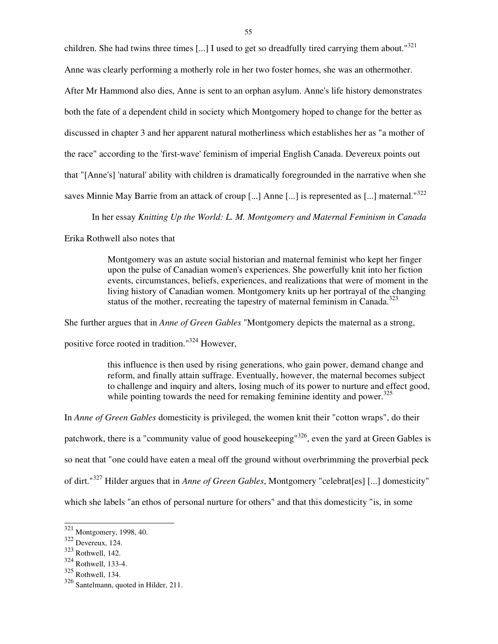children. She had twins three times [...] I used to get so dreadfully tired carrying them about."<sup>321</sup>

Anne was clearly performing a motherly role in her two foster homes, she was an othermother.

After Mr Hammond also dies, Anne is sent to an orphan asylum. Anne's life history demonstrates both the fate of a dependent child in society which Montgomery hoped to change for the better as discussed in chapter 3 and her apparent natural motherliness which establishes her as "a mother of the race" according to the 'first-wave' feminism of imperial English Canada. Devereux points out that "[Anne's] 'natural' ability with children is dramatically foregrounded in the narrative when she saves Minnie May Barrie from an attack of croup [...] Anne [...] is represented as [...] maternal."<sup>322</sup>

In her essay *Knitting Up the World: L. M. Montgomery and Maternal Feminism in Canada*

Erika Rothwell also notes that

Montgomery was an astute social historian and maternal feminist who kept her finger upon the pulse of Canadian women's experiences. She powerfully knit into her fiction events, circumstances, beliefs, experiences, and realizations that were of moment in the living history of Canadian women. Montgomery knits up her portrayal of the changing status of the mother, recreating the tapestry of maternal feminism in Canada. $323$ 

She further argues that in *Anne of Green Gables* "Montgomery depicts the maternal as a strong,

positive force rooted in tradition."<sup>324</sup> However,

this influence is then used by rising generations, who gain power, demand change and reform, and finally attain suffrage. Eventually, however, the maternal becomes subject to challenge and inquiry and alters, losing much of its power to nurture and effect good, while pointing towards the need for remaking feminine identity and power. $325$ 

In *Anne of Green Gables* domesticity is privileged, the women knit their "cotton wraps", do their patchwork, there is a "community value of good housekeeping"<sup>326</sup>, even the yard at Green Gables is so neat that "one could have eaten a meal off the ground without overbrimming the proverbial peck of dirt."<sup>327</sup> Hilder argues that in *Anne of Green Gables*, Montgomery "celebrat[es] [...] domesticity" which she labels "an ethos of personal nurture for others" and that this domesticity "is, in some

 $321$  Montgomery, 1998, 40.

 $322$  Devereux, 124.

<sup>323</sup> Rothwell, 142.

<sup>324</sup> Rothwell, 133-4.

<sup>325</sup> Rothwell, 134.

<sup>326</sup> Santelmann, quoted in Hilder, 211.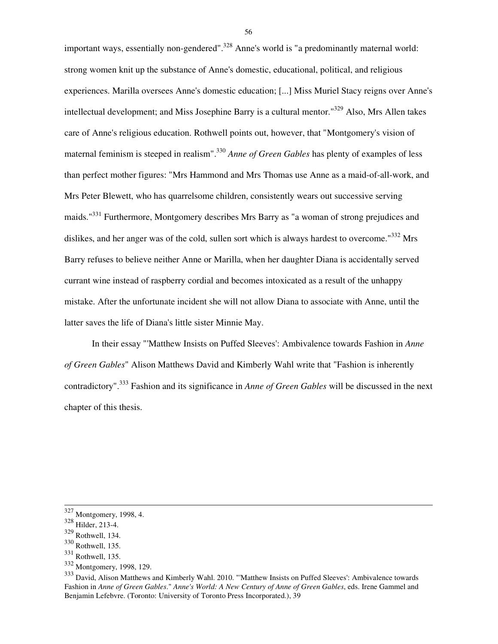important ways, essentially non-gendered".<sup>328</sup> Anne's world is "a predominantly maternal world: strong women knit up the substance of Anne's domestic, educational, political, and religious experiences. Marilla oversees Anne's domestic education; [...] Miss Muriel Stacy reigns over Anne's intellectual development; and Miss Josephine Barry is a cultural mentor."<sup>329</sup> Also, Mrs Allen takes care of Anne's religious education. Rothwell points out, however, that "Montgomery's vision of maternal feminism is steeped in realism".<sup>330</sup> *Anne of Green Gables* has plenty of examples of less than perfect mother figures: "Mrs Hammond and Mrs Thomas use Anne as a maid-of-all-work, and Mrs Peter Blewett, who has quarrelsome children, consistently wears out successive serving maids."<sup>331</sup> Furthermore, Montgomery describes Mrs Barry as "a woman of strong prejudices and dislikes, and her anger was of the cold, sullen sort which is always hardest to overcome."<sup>332</sup> Mrs Barry refuses to believe neither Anne or Marilla, when her daughter Diana is accidentally served currant wine instead of raspberry cordial and becomes intoxicated as a result of the unhappy mistake. After the unfortunate incident she will not allow Diana to associate with Anne, until the latter saves the life of Diana's little sister Minnie May.

 In their essay "'Matthew Insists on Puffed Sleeves': Ambivalence towards Fashion in *Anne of Green Gables*" Alison Matthews David and Kimberly Wahl write that "Fashion is inherently contradictory".<sup>333</sup> Fashion and its significance in *Anne of Green Gables* will be discussed in the next chapter of this thesis.

l

 $327$  Montgomery, 1998, 4.

<sup>328</sup> Hilder, 213-4.

<sup>329</sup> Rothwell, 134.

<sup>330</sup> Rothwell, 135.

 $331$  Rothwell, 135.

<sup>332</sup> Montgomery, 1998, 129.

<sup>333</sup> David, Alison Matthews and Kimberly Wahl. 2010. "'Matthew Insists on Puffed Sleeves': Ambivalence towards Fashion in *Anne of Green Gables*." *Anne's World: A New Century of Anne of Green Gables*, eds. Irene Gammel and Benjamin Lefebvre. (Toronto: University of Toronto Press Incorporated.), 39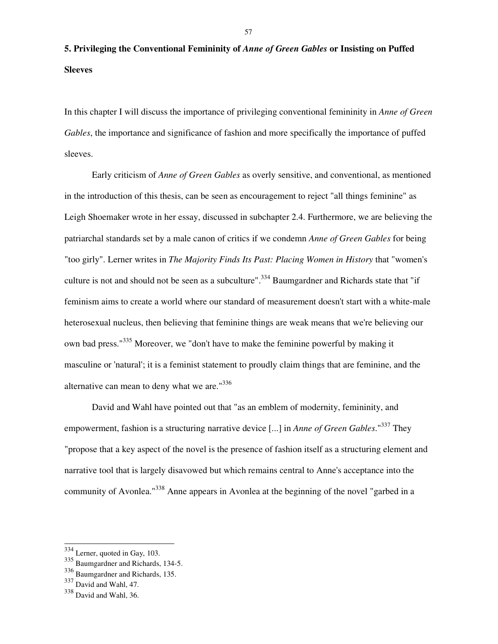# **5. Privileging the Conventional Femininity of** *Anne of Green Gables* **or Insisting on Puffed Sleeves**

In this chapter I will discuss the importance of privileging conventional femininity in *Anne of Green Gables*, the importance and significance of fashion and more specifically the importance of puffed sleeves.

 Early criticism of *Anne of Green Gables* as overly sensitive, and conventional, as mentioned in the introduction of this thesis, can be seen as encouragement to reject "all things feminine" as Leigh Shoemaker wrote in her essay, discussed in subchapter 2.4. Furthermore, we are believing the patriarchal standards set by a male canon of critics if we condemn *Anne of Green Gables* for being "too girly". Lerner writes in *The Majority Finds Its Past: Placing Women in History* that "women's culture is not and should not be seen as a subculture".<sup>334</sup> Baumgardner and Richards state that "if feminism aims to create a world where our standard of measurement doesn't start with a white-male heterosexual nucleus, then believing that feminine things are weak means that we're believing our own bad press."<sup>335</sup> Moreover, we "don't have to make the feminine powerful by making it masculine or 'natural'; it is a feminist statement to proudly claim things that are feminine, and the alternative can mean to deny what we are."<sup>336</sup>

 David and Wahl have pointed out that "as an emblem of modernity, femininity, and empowerment, fashion is a structuring narrative device [...] in *Anne of Green Gables*."<sup>337</sup> They "propose that a key aspect of the novel is the presence of fashion itself as a structuring element and narrative tool that is largely disavowed but which remains central to Anne's acceptance into the community of Avonlea."<sup>338</sup> Anne appears in Avonlea at the beginning of the novel "garbed in a

l

 $334$  Lerner, quoted in Gay, 103.

<sup>335</sup> Baumgardner and Richards, 134-5.

<sup>336</sup> Baumgardner and Richards, 135.

 $337$  David and Wahl, 47.

<sup>338</sup> David and Wahl, 36.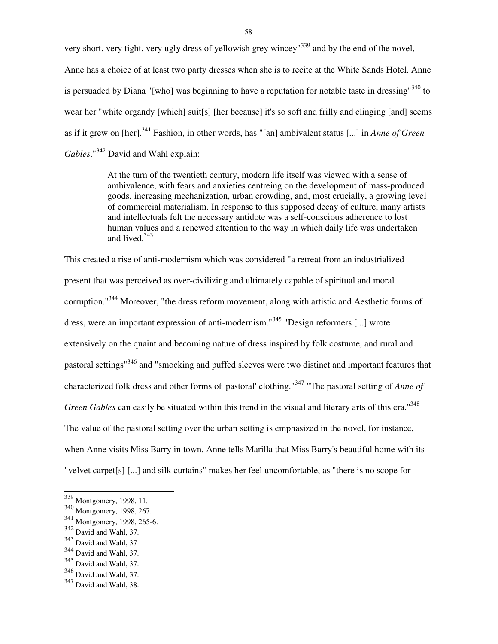very short, very tight, very ugly dress of yellowish grey wincey<sup>1339</sup> and by the end of the novel, Anne has a choice of at least two party dresses when she is to recite at the White Sands Hotel. Anne is persuaded by Diana "[who] was beginning to have a reputation for notable taste in dressing"<sup>340</sup> to wear her "white organdy [which] suit[s] [her because] it's so soft and frilly and clinging [and] seems as if it grew on [her].<sup>341</sup> Fashion, in other words, has "[an] ambivalent status [...] in *Anne of Green Gables*."<sup>342</sup> David and Wahl explain:

> At the turn of the twentieth century, modern life itself was viewed with a sense of ambivalence, with fears and anxieties centreing on the development of mass-produced goods, increasing mechanization, urban crowding, and, most crucially, a growing level of commercial materialism. In response to this supposed decay of culture, many artists and intellectuals felt the necessary antidote was a self-conscious adherence to lost human values and a renewed attention to the way in which daily life was undertaken and lived.<sup>343</sup>

This created a rise of anti-modernism which was considered "a retreat from an industrialized present that was perceived as over-civilizing and ultimately capable of spiritual and moral corruption."<sup>344</sup> Moreover, "the dress reform movement, along with artistic and Aesthetic forms of dress, were an important expression of anti-modernism."<sup>345</sup> "Design reformers [...] wrote extensively on the quaint and becoming nature of dress inspired by folk costume, and rural and pastoral settings"<sup>346</sup> and "smocking and puffed sleeves were two distinct and important features that characterized folk dress and other forms of 'pastoral' clothing."<sup>347</sup> "The pastoral setting of *Anne of Green Gables* can easily be situated within this trend in the visual and literary arts of this era."<sup>348</sup> The value of the pastoral setting over the urban setting is emphasized in the novel, for instance, when Anne visits Miss Barry in town. Anne tells Marilla that Miss Barry's beautiful home with its "velvet carpet[s] [...] and silk curtains" makes her feel uncomfortable, as "there is no scope for

 $\overline{a}$ 

<sup>&</sup>lt;sup>339</sup> Montgomery, 1998, 11.

<sup>340</sup> Montgomery, 1998, 267.

<sup>341</sup> Montgomery, 1998, 265-6.

 $342$  David and Wahl, 37.

<sup>343</sup> David and Wahl, 37

<sup>&</sup>lt;sup>344</sup> David and Wahl, 37.

<sup>345</sup> David and Wahl, 37.

 $346$  David and Wahl, 37.

 $347$  David and Wahl, 38.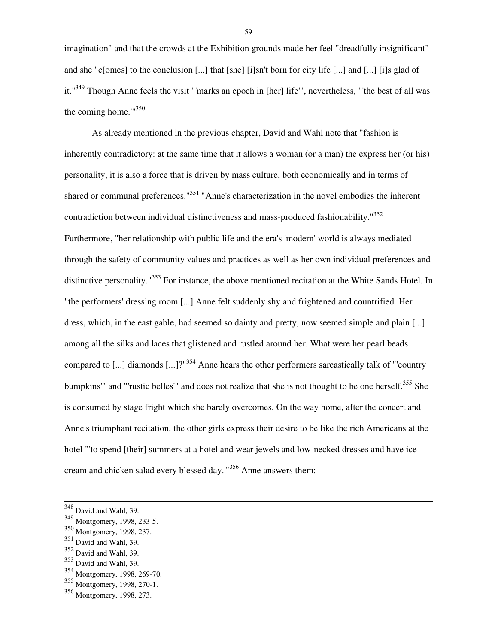imagination" and that the crowds at the Exhibition grounds made her feel "dreadfully insignificant" and she "c[omes] to the conclusion [...] that [she] [i]sn't born for city life [...] and [...] [i]s glad of it."<sup>349</sup> Though Anne feels the visit "'marks an epoch in [her] life'", nevertheless, "'the best of all was the coming home.'"<sup>350</sup>

 As already mentioned in the previous chapter, David and Wahl note that "fashion is inherently contradictory: at the same time that it allows a woman (or a man) the express her (or his) personality, it is also a force that is driven by mass culture, both economically and in terms of shared or communal preferences."<sup>351</sup> "Anne's characterization in the novel embodies the inherent contradiction between individual distinctiveness and mass-produced fashionability."<sup>352</sup> Furthermore, "her relationship with public life and the era's 'modern' world is always mediated through the safety of community values and practices as well as her own individual preferences and distinctive personality."<sup>353</sup> For instance, the above mentioned recitation at the White Sands Hotel. In "the performers' dressing room [...] Anne felt suddenly shy and frightened and countrified. Her dress, which, in the east gable, had seemed so dainty and pretty, now seemed simple and plain [...] among all the silks and laces that glistened and rustled around her. What were her pearl beads compared to [...] diamonds  $\left[... \right]$ ?<sup>"354</sup> Anne hears the other performers sarcastically talk of "'country" bumpkins'" and "'rustic belles'" and does not realize that she is not thought to be one herself.<sup>355</sup> She is consumed by stage fright which she barely overcomes. On the way home, after the concert and Anne's triumphant recitation, the other girls express their desire to be like the rich Americans at the hotel "'to spend [their] summers at a hotel and wear jewels and low-necked dresses and have ice cream and chicken salad every blessed day.'"<sup>356</sup> Anne answers them:

l

 $348$  David and Wahl, 39.

<sup>349</sup> Montgomery, 1998, 233-5.

<sup>350</sup> Montgomery, 1998, 237.

<sup>351</sup> David and Wahl, 39.

<sup>352</sup> David and Wahl, 39.

<sup>353</sup> David and Wahl, 39.

<sup>354</sup> Montgomery, 1998, 269-70.

<sup>355</sup> Montgomery, 1998, 270-1.

<sup>356</sup> Montgomery, 1998, 273.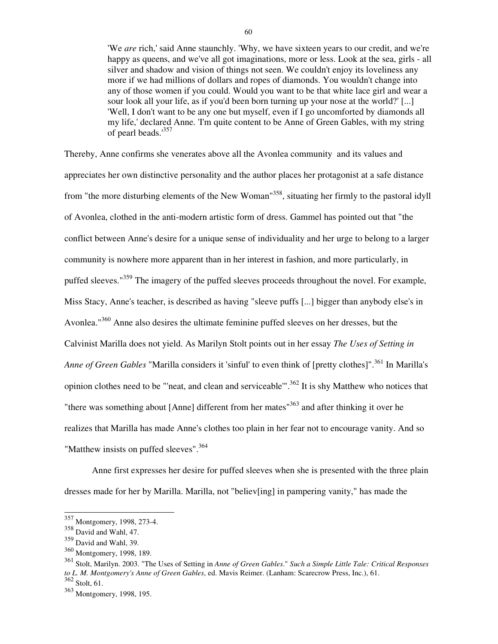'We *are* rich,' said Anne staunchly. 'Why, we have sixteen years to our credit, and we're happy as queens, and we've all got imaginations, more or less. Look at the sea, girls - all silver and shadow and vision of things not seen. We couldn't enjoy its loveliness any more if we had millions of dollars and ropes of diamonds. You wouldn't change into any of those women if you could. Would you want to be that white lace girl and wear a sour look all your life, as if you'd been born turning up your nose at the world?' [...] 'Well, I don't want to be any one but myself, even if I go uncomforted by diamonds all my life,' declared Anne. 'I'm quite content to be Anne of Green Gables, with my string of pearl beads.'<sup>357</sup>

Thereby, Anne confirms she venerates above all the Avonlea community and its values and appreciates her own distinctive personality and the author places her protagonist at a safe distance from "the more disturbing elements of the New Woman"<sup>358</sup>, situating her firmly to the pastoral idyll of Avonlea, clothed in the anti-modern artistic form of dress. Gammel has pointed out that "the conflict between Anne's desire for a unique sense of individuality and her urge to belong to a larger community is nowhere more apparent than in her interest in fashion, and more particularly, in puffed sleeves."<sup>359</sup> The imagery of the puffed sleeves proceeds throughout the novel. For example, Miss Stacy, Anne's teacher, is described as having "sleeve puffs [...] bigger than anybody else's in Avonlea."<sup>360</sup> Anne also desires the ultimate feminine puffed sleeves on her dresses, but the Calvinist Marilla does not yield. As Marilyn Stolt points out in her essay *The Uses of Setting in Anne of Green Gables* "Marilla considers it 'sinful' to even think of [pretty clothes]".<sup>361</sup> In Marilla's opinion clothes need to be "'neat, and clean and serviceable"<sup>362</sup> It is shy Matthew who notices that "there was something about [Anne] different from her mates"<sup>363</sup> and after thinking it over he realizes that Marilla has made Anne's clothes too plain in her fear not to encourage vanity. And so "Matthew insists on puffed sleeves".<sup>364</sup>

 Anne first expresses her desire for puffed sleeves when she is presented with the three plain dresses made for her by Marilla. Marilla, not "believ[ing] in pampering vanity," has made the

<sup>&</sup>lt;sup>357</sup> Montgomery, 1998, 273-4.

 $358$  David and Wahl, 47.

<sup>359</sup> David and Wahl, 39.

<sup>360</sup> Montgomery, 1998, 189.

<sup>361</sup> Stolt, Marilyn. 2003. "The Uses of Setting in *Anne of Green Gables*." *Such a Simple Little Tale: Critical Responses to L. M. Montgomery's Anne of Green Gables*, ed. Mavis Reimer. (Lanham: Scarecrow Press, Inc.), 61.  $362$  Stolt, 61.

<sup>363</sup> Montgomery, 1998, 195.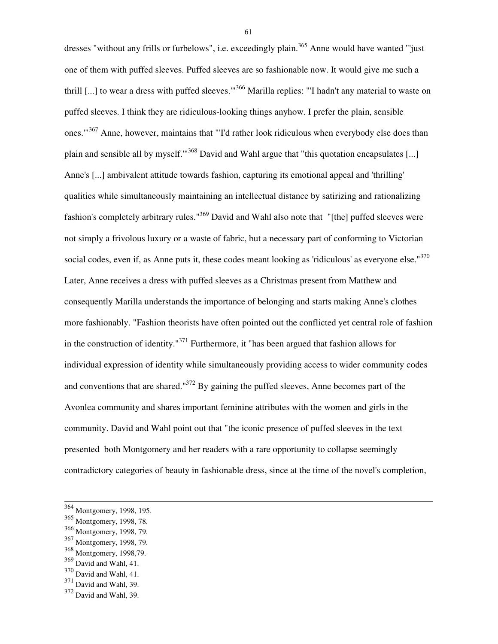dresses "without any frills or furbelows", i.e. exceedingly plain.<sup>365</sup> Anne would have wanted "'just one of them with puffed sleeves. Puffed sleeves are so fashionable now. It would give me such a thrill [...] to wear a dress with puffed sleeves."<sup>366</sup> Marilla replies: "I hadn't any material to waste on puffed sleeves. I think they are ridiculous-looking things anyhow. I prefer the plain, sensible ones."<sup>367</sup> Anne, however, maintains that "Td rather look ridiculous when everybody else does than plain and sensible all by myself."<sup>368</sup> David and Wahl argue that "this quotation encapsulates [...] Anne's [...] ambivalent attitude towards fashion, capturing its emotional appeal and 'thrilling' qualities while simultaneously maintaining an intellectual distance by satirizing and rationalizing fashion's completely arbitrary rules."<sup>369</sup> David and Wahl also note that "[the] puffed sleeves were not simply a frivolous luxury or a waste of fabric, but a necessary part of conforming to Victorian social codes, even if, as Anne puts it, these codes meant looking as 'ridiculous' as everyone else."<sup>370</sup> Later, Anne receives a dress with puffed sleeves as a Christmas present from Matthew and consequently Marilla understands the importance of belonging and starts making Anne's clothes more fashionably. "Fashion theorists have often pointed out the conflicted yet central role of fashion in the construction of identity."<sup>371</sup> Furthermore, it "has been argued that fashion allows for individual expression of identity while simultaneously providing access to wider community codes and conventions that are shared."<sup>372</sup> By gaining the puffed sleeves, Anne becomes part of the Avonlea community and shares important feminine attributes with the women and girls in the community. David and Wahl point out that "the iconic presence of puffed sleeves in the text presented both Montgomery and her readers with a rare opportunity to collapse seemingly contradictory categories of beauty in fashionable dress, since at the time of the novel's completion,

l

<sup>370</sup> David and Wahl, 41.

<sup>&</sup>lt;sup>364</sup> Montgomery, 1998, 195.

<sup>365</sup> Montgomery, 1998, 78.

<sup>366</sup> Montgomery, 1998, 79.

<sup>367</sup> Montgomery, 1998, 79.

<sup>368</sup> Montgomery, 1998,79.

<sup>369</sup> David and Wahl, 41.

<sup>371</sup> David and Wahl, 39.

<sup>372</sup> David and Wahl, 39.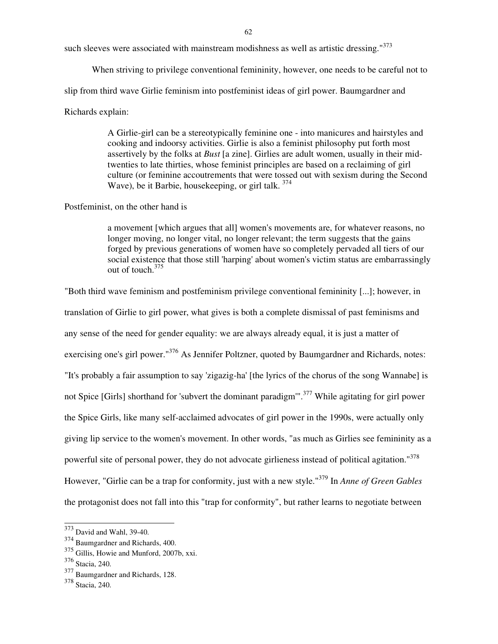such sleeves were associated with mainstream modishness as well as artistic dressing."<sup>373</sup>

When striving to privilege conventional femininity, however, one needs to be careful not to

slip from third wave Girlie feminism into postfeminist ideas of girl power. Baumgardner and

# Richards explain:

A Girlie-girl can be a stereotypically feminine one - into manicures and hairstyles and cooking and indoorsy activities. Girlie is also a feminist philosophy put forth most assertively by the folks at *Bust* [a zine]. Girlies are adult women, usually in their midtwenties to late thirties, whose feminist principles are based on a reclaiming of girl culture (or feminine accoutrements that were tossed out with sexism during the Second Wave), be it Barbie, housekeeping, or girl talk.  $374$ 

## Postfeminist, on the other hand is

a movement [which argues that all] women's movements are, for whatever reasons, no longer moving, no longer vital, no longer relevant; the term suggests that the gains forged by previous generations of women have so completely pervaded all tiers of our social existence that those still 'harping' about women's victim status are embarrassingly out of touch.<sup>375</sup>

"Both third wave feminism and postfeminism privilege conventional femininity [...]; however, in translation of Girlie to girl power, what gives is both a complete dismissal of past feminisms and any sense of the need for gender equality: we are always already equal, it is just a matter of exercising one's girl power."<sup>376</sup> As Jennifer Poltzner, quoted by Baumgardner and Richards, notes: "It's probably a fair assumption to say 'zigazig-ha' [the lyrics of the chorus of the song Wannabe] is not Spice [Girls] shorthand for 'subvert the dominant paradigm'".<sup>377</sup> While agitating for girl power the Spice Girls, like many self-acclaimed advocates of girl power in the 1990s, were actually only giving lip service to the women's movement. In other words, "as much as Girlies see femininity as a powerful site of personal power, they do not advocate girlieness instead of political agitation."<sup>378</sup> However, "Girlie can be a trap for conformity, just with a new style."<sup>379</sup> In *Anne of Green Gables*  the protagonist does not fall into this "trap for conformity", but rather learns to negotiate between

 $373$  David and Wahl, 39-40.

<sup>374</sup> Baumgardner and Richards, 400.

<sup>375</sup> Gillis, Howie and Munford, 2007b, xxi.

<sup>376</sup> Stacia, 240.

<sup>377</sup> Baumgardner and Richards, 128.

<sup>378</sup> Stacia, 240.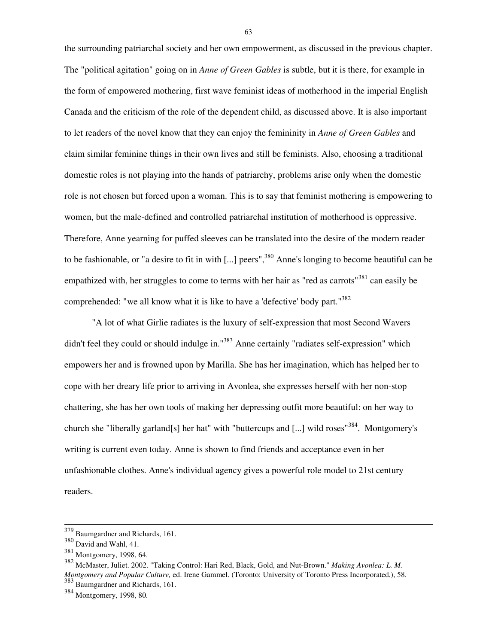the surrounding patriarchal society and her own empowerment, as discussed in the previous chapter. The "political agitation" going on in *Anne of Green Gables* is subtle, but it is there, for example in the form of empowered mothering, first wave feminist ideas of motherhood in the imperial English Canada and the criticism of the role of the dependent child, as discussed above. It is also important to let readers of the novel know that they can enjoy the femininity in *Anne of Green Gables* and claim similar feminine things in their own lives and still be feminists. Also, choosing a traditional domestic roles is not playing into the hands of patriarchy, problems arise only when the domestic role is not chosen but forced upon a woman. This is to say that feminist mothering is empowering to women, but the male-defined and controlled patriarchal institution of motherhood is oppressive. Therefore, Anne yearning for puffed sleeves can be translated into the desire of the modern reader to be fashionable, or "a desire to fit in with [...] peers",<sup>380</sup> Anne's longing to become beautiful can be empathized with, her struggles to come to terms with her hair as "red as carrots"<sup>381</sup> can easily be comprehended: "we all know what it is like to have a 'defective' body part."<sup>382</sup>

 "A lot of what Girlie radiates is the luxury of self-expression that most Second Wavers didn't feel they could or should indulge in."<sup>383</sup> Anne certainly "radiates self-expression" which empowers her and is frowned upon by Marilla. She has her imagination, which has helped her to cope with her dreary life prior to arriving in Avonlea, she expresses herself with her non-stop chattering, she has her own tools of making her depressing outfit more beautiful: on her way to church she "liberally garland[s] her hat" with "buttercups and [...] wild roses"<sup>384</sup>. Montgomery's writing is current even today. Anne is shown to find friends and acceptance even in her unfashionable clothes. Anne's individual agency gives a powerful role model to 21st century readers.

l

 $379$  Baumgardner and Richards, 161.

<sup>380</sup> David and Wahl, 41.

<sup>381</sup> Montgomery, 1998, 64.

<sup>382</sup> McMaster, Juliet. 2002. "Taking Control: Hari Red, Black, Gold, and Nut-Brown." *Making Avonlea: L. M. Montgomery and Popular Culture,* ed. Irene Gammel. (Toronto: University of Toronto Press Incorporated.), 58. <sup>383</sup> Baumgardner and Richards, 161.

<sup>384</sup> Montgomery, 1998, 80.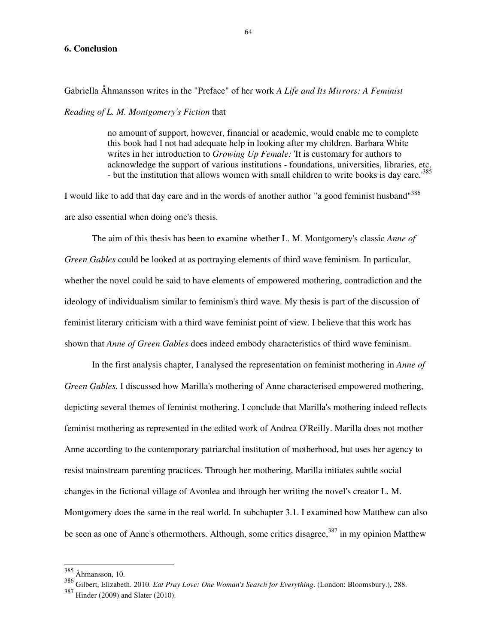#### **6. Conclusion**

Gabriella Åhmansson writes in the "Preface" of her work *A Life and Its Mirrors: A Feminist* 

*Reading of L. M. Montgomery's Fiction* that

no amount of support, however, financial or academic, would enable me to complete this book had I not had adequate help in looking after my children. Barbara White writes in her introduction to *Growing Up Female:* 'It is customary for authors to acknowledge the support of various institutions - foundations, universities, libraries, etc. - but the institution that allows women with small children to write books is day care.<sup>1385</sup>

I would like to add that day care and in the words of another author "a good feminist husband"<sup>386</sup> are also essential when doing one's thesis.

 The aim of this thesis has been to examine whether L. M. Montgomery's classic *Anne of Green Gables* could be looked at as portraying elements of third wave feminism. In particular, whether the novel could be said to have elements of empowered mothering, contradiction and the ideology of individualism similar to feminism's third wave. My thesis is part of the discussion of feminist literary criticism with a third wave feminist point of view. I believe that this work has shown that *Anne of Green Gables* does indeed embody characteristics of third wave feminism.

 In the first analysis chapter, I analysed the representation on feminist mothering in *Anne of Green Gables*. I discussed how Marilla's mothering of Anne characterised empowered mothering, depicting several themes of feminist mothering. I conclude that Marilla's mothering indeed reflects feminist mothering as represented in the edited work of Andrea O'Reilly. Marilla does not mother Anne according to the contemporary patriarchal institution of motherhood, but uses her agency to resist mainstream parenting practices. Through her mothering, Marilla initiates subtle social changes in the fictional village of Avonlea and through her writing the novel's creator L. M. Montgomery does the same in the real world. In subchapter 3.1. I examined how Matthew can also be seen as one of Anne's othermothers. Although, some critics disagree,  $387$  in my opinion Matthew

 $\overline{a}$ 

 $385$  Åhmansson, 10.

<sup>386</sup> Gilbert, Elizabeth. 2010. *Eat Pray Love: One Woman's Search for Everything*. (London: Bloomsbury.), 288.

<sup>387</sup> Hinder (2009) and Slater (2010).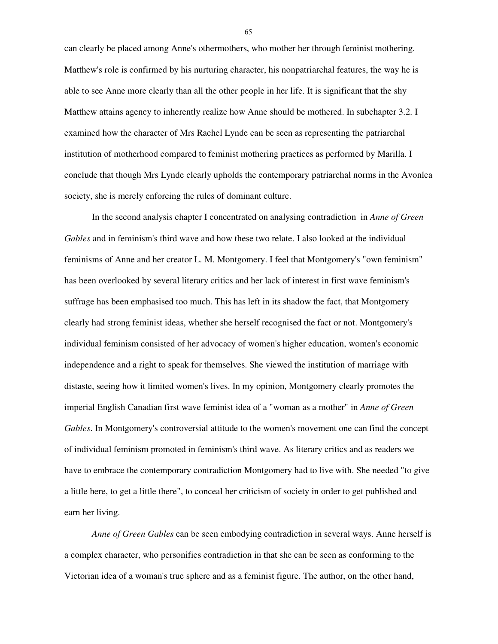can clearly be placed among Anne's othermothers, who mother her through feminist mothering. Matthew's role is confirmed by his nurturing character, his nonpatriarchal features, the way he is able to see Anne more clearly than all the other people in her life. It is significant that the shy Matthew attains agency to inherently realize how Anne should be mothered. In subchapter 3.2. I examined how the character of Mrs Rachel Lynde can be seen as representing the patriarchal institution of motherhood compared to feminist mothering practices as performed by Marilla. I conclude that though Mrs Lynde clearly upholds the contemporary patriarchal norms in the Avonlea society, she is merely enforcing the rules of dominant culture.

 In the second analysis chapter I concentrated on analysing contradiction in *Anne of Green Gables* and in feminism's third wave and how these two relate. I also looked at the individual feminisms of Anne and her creator L. M. Montgomery. I feel that Montgomery's "own feminism" has been overlooked by several literary critics and her lack of interest in first wave feminism's suffrage has been emphasised too much. This has left in its shadow the fact, that Montgomery clearly had strong feminist ideas, whether she herself recognised the fact or not. Montgomery's individual feminism consisted of her advocacy of women's higher education, women's economic independence and a right to speak for themselves. She viewed the institution of marriage with distaste, seeing how it limited women's lives. In my opinion, Montgomery clearly promotes the imperial English Canadian first wave feminist idea of a "woman as a mother" in *Anne of Green Gables*. In Montgomery's controversial attitude to the women's movement one can find the concept of individual feminism promoted in feminism's third wave. As literary critics and as readers we have to embrace the contemporary contradiction Montgomery had to live with. She needed "to give a little here, to get a little there", to conceal her criticism of society in order to get published and earn her living.

*Anne of Green Gables* can be seen embodying contradiction in several ways. Anne herself is a complex character, who personifies contradiction in that she can be seen as conforming to the Victorian idea of a woman's true sphere and as a feminist figure. The author, on the other hand,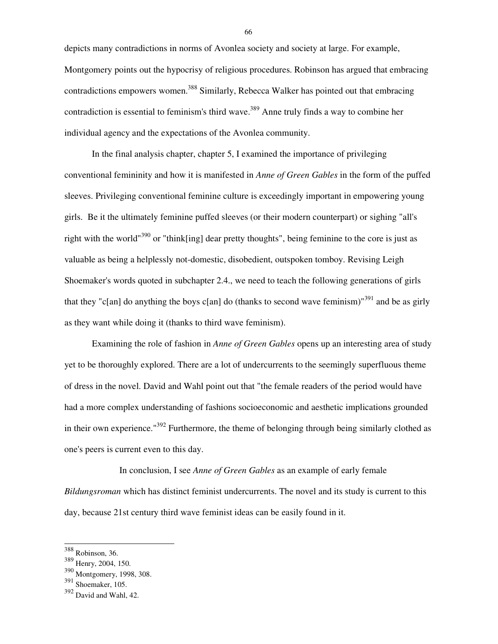depicts many contradictions in norms of Avonlea society and society at large. For example, Montgomery points out the hypocrisy of religious procedures. Robinson has argued that embracing contradictions empowers women.<sup>388</sup> Similarly, Rebecca Walker has pointed out that embracing contradiction is essential to feminism's third wave. <sup>389</sup> Anne truly finds a way to combine her individual agency and the expectations of the Avonlea community.

 In the final analysis chapter, chapter 5, I examined the importance of privileging conventional femininity and how it is manifested in *Anne of Green Gables* in the form of the puffed sleeves. Privileging conventional feminine culture is exceedingly important in empowering young girls. Be it the ultimately feminine puffed sleeves (or their modern counterpart) or sighing "all's right with the world<sup>"390</sup> or "think[ing] dear pretty thoughts", being feminine to the core is just as valuable as being a helplessly not-domestic, disobedient, outspoken tomboy. Revising Leigh Shoemaker's words quoted in subchapter 2.4., we need to teach the following generations of girls that they "c[an] do anything the boys c[an] do (thanks to second wave feminism)"<sup>391</sup> and be as girly as they want while doing it (thanks to third wave feminism).

 Examining the role of fashion in *Anne of Green Gables* opens up an interesting area of study yet to be thoroughly explored. There are a lot of undercurrents to the seemingly superfluous theme of dress in the novel. David and Wahl point out that "the female readers of the period would have had a more complex understanding of fashions socioeconomic and aesthetic implications grounded in their own experience." $392$  Furthermore, the theme of belonging through being similarly clothed as one's peers is current even to this day.

 In conclusion, I see *Anne of Green Gables* as an example of early female *Bildungsroman* which has distinct feminist undercurrents. The novel and its study is current to this day, because 21st century third wave feminist ideas can be easily found in it.

l

<sup>388</sup> Robinson, 36.

<sup>389</sup> Henry, 2004, 150.

<sup>390</sup> Montgomery, 1998, 308.

<sup>391</sup> Shoemaker, 105.

<sup>392</sup> David and Wahl, 42.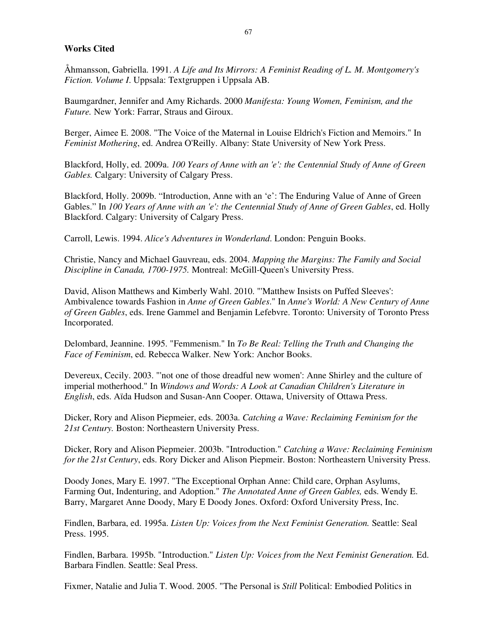# **Works Cited**

Åhmansson, Gabriella. 1991. *A Life and Its Mirrors: A Feminist Reading of L. M. Montgomery's Fiction. Volume I*. Uppsala: Textgruppen i Uppsala AB.

Baumgardner, Jennifer and Amy Richards. 2000 *Manifesta: Young Women, Feminism, and the Future.* New York: Farrar, Straus and Giroux.

Berger, Aimee E. 2008. "The Voice of the Maternal in Louise Eldrich's Fiction and Memoirs." In *Feminist Mothering*, ed. Andrea O'Reilly. Albany: State University of New York Press.

Blackford, Holly, ed. 2009a. *100 Years of Anne with an 'e': the Centennial Study of Anne of Green Gables.* Calgary: University of Calgary Press.

Blackford, Holly. 2009b. "Introduction, Anne with an 'e': The Enduring Value of Anne of Green Gables." In *100 Years of Anne with an 'e': the Centennial Study of Anne of Green Gables*, ed. Holly Blackford. Calgary: University of Calgary Press.

Carroll, Lewis. 1994. *Alice's Adventures in Wonderland*. London: Penguin Books.

Christie, Nancy and Michael Gauvreau, eds. 2004. *Mapping the Margins: The Family and Social Discipline in Canada, 1700-1975.* Montreal: McGill-Queen's University Press.

David, Alison Matthews and Kimberly Wahl. 2010. "'Matthew Insists on Puffed Sleeves': Ambivalence towards Fashion in *Anne of Green Gables*." In *Anne's World: A New Century of Anne of Green Gables*, eds. Irene Gammel and Benjamin Lefebvre. Toronto: University of Toronto Press Incorporated.

Delombard, Jeannine. 1995. "Femmenism." In *To Be Real: Telling the Truth and Changing the Face of Feminism*, ed. Rebecca Walker. New York: Anchor Books.

Devereux, Cecily. 2003. "'not one of those dreadful new women': Anne Shirley and the culture of imperial motherhood." In *Windows and Words: A Look at Canadian Children's Literature in English*, eds. Aïda Hudson and Susan-Ann Cooper. Ottawa, University of Ottawa Press.

Dicker, Rory and Alison Piepmeier, eds. 2003a. *Catching a Wave: Reclaiming Feminism for the 21st Century.* Boston: Northeastern University Press.

Dicker, Rory and Alison Piepmeier. 2003b. "Introduction." *Catching a Wave: Reclaiming Feminism for the 21st Century*, eds. Rory Dicker and Alison Piepmeir. Boston: Northeastern University Press.

Doody Jones, Mary E. 1997. "The Exceptional Orphan Anne: Child care, Orphan Asylums, Farming Out, Indenturing, and Adoption." *The Annotated Anne of Green Gables,* eds. Wendy E. Barry, Margaret Anne Doody, Mary E Doody Jones. Oxford: Oxford University Press, Inc.

Findlen, Barbara, ed. 1995a. *Listen Up: Voices from the Next Feminist Generation.* Seattle: Seal Press. 1995.

Findlen, Barbara. 1995b. "Introduction." *Listen Up: Voices from the Next Feminist Generation.* Ed. Barbara Findlen. Seattle: Seal Press.

Fixmer, Natalie and Julia T. Wood. 2005. "The Personal is *Still* Political: Embodied Politics in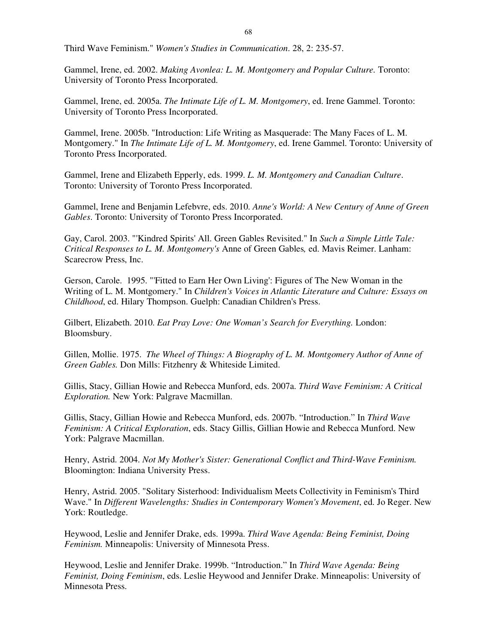Third Wave Feminism." *Women's Studies in Communication*. 28, 2: 235-57.

Gammel, Irene, ed. 2002. *Making Avonlea: L. M. Montgomery and Popular Culture.* Toronto: University of Toronto Press Incorporated.

Gammel, Irene, ed. 2005a. *The Intimate Life of L. M. Montgomery*, ed. Irene Gammel. Toronto: University of Toronto Press Incorporated.

Gammel, Irene. 2005b. "Introduction: Life Writing as Masquerade: The Many Faces of L. M. Montgomery." In *The Intimate Life of L. M. Montgomery*, ed. Irene Gammel. Toronto: University of Toronto Press Incorporated.

Gammel, Irene and Elizabeth Epperly, eds. 1999. *L. M. Montgomery and Canadian Culture*. Toronto: University of Toronto Press Incorporated.

Gammel, Irene and Benjamin Lefebvre, eds. 2010. *Anne's World: A New Century of Anne of Green Gables*. Toronto: University of Toronto Press Incorporated.

Gay, Carol. 2003. "'Kindred Spirits' All. Green Gables Revisited." In *Such a Simple Little Tale: Critical Responses to L. M. Montgomery's* Anne of Green Gables*,* ed. Mavis Reimer. Lanham: Scarecrow Press, Inc.

Gerson, Carole. 1995. "'Fitted to Earn Her Own Living': Figures of The New Woman in the Writing of L. M. Montgomery." In *Children's Voices in Atlantic Literature and Culture: Essays on Childhood*, ed. Hilary Thompson. Guelph: Canadian Children's Press.

Gilbert, Elizabeth. 2010. *Eat Pray Love: One Woman's Search for Everything.* London: Bloomsbury.

Gillen, Mollie. 1975. *The Wheel of Things: A Biography of L. M. Montgomery Author of Anne of Green Gables.* Don Mills: Fitzhenry & Whiteside Limited.

Gillis, Stacy, Gillian Howie and Rebecca Munford, eds. 2007a. *Third Wave Feminism: A Critical Exploration.* New York: Palgrave Macmillan.

Gillis, Stacy, Gillian Howie and Rebecca Munford, eds. 2007b. "Introduction." In *Third Wave Feminism: A Critical Exploration*, eds. Stacy Gillis, Gillian Howie and Rebecca Munford. New York: Palgrave Macmillan.

Henry, Astrid. 2004. *Not My Mother's Sister: Generational Conflict and Third-Wave Feminism.* Bloomington: Indiana University Press.

Henry, Astrid. 2005. "Solitary Sisterhood: Individualism Meets Collectivity in Feminism's Third Wave." In *Different Wavelengths: Studies in Contemporary Women's Movement*, ed. Jo Reger. New York: Routledge.

Heywood, Leslie and Jennifer Drake, eds. 1999a. *Third Wave Agenda: Being Feminist, Doing Feminism.* Minneapolis: University of Minnesota Press.

Heywood, Leslie and Jennifer Drake. 1999b. "Introduction." In *Third Wave Agenda: Being Feminist, Doing Feminism*, eds. Leslie Heywood and Jennifer Drake. Minneapolis: University of Minnesota Press.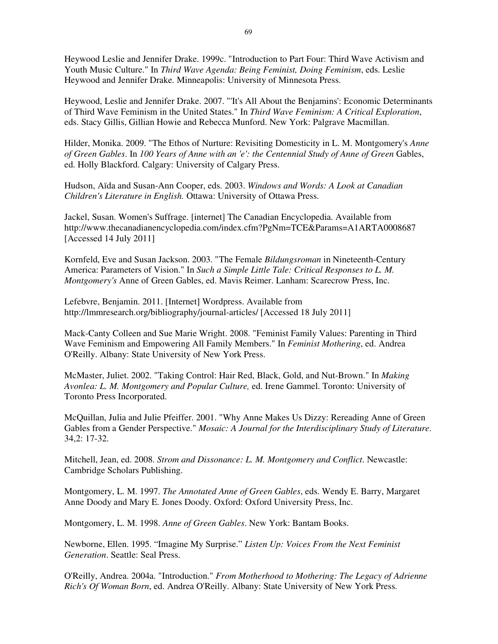Heywood Leslie and Jennifer Drake. 1999c. "Introduction to Part Four: Third Wave Activism and Youth Music Culture." In *Third Wave Agenda: Being Feminist, Doing Feminism*, eds. Leslie Heywood and Jennifer Drake. Minneapolis: University of Minnesota Press.

Heywood, Leslie and Jennifer Drake. 2007. "'It's All About the Benjamins': Economic Determinants of Third Wave Feminism in the United States." In *Third Wave Feminism: A Critical Exploration*, eds. Stacy Gillis, Gillian Howie and Rebecca Munford. New York: Palgrave Macmillan.

Hilder, Monika. 2009. "The Ethos of Nurture: Revisiting Domesticity in L. M. Montgomery's *Anne of Green Gables*. In *100 Years of Anne with an 'e': the Centennial Study of Anne of Green* Gables, ed. Holly Blackford. Calgary: University of Calgary Press.

Hudson, Aïda and Susan-Ann Cooper, eds. 2003. *Windows and Words: A Look at Canadian Children's Literature in English.* Ottawa: University of Ottawa Press.

Jackel, Susan. Women's Suffrage. [internet] The Canadian Encyclopedia. Available from http://www.thecanadianencyclopedia.com/index.cfm?PgNm=TCE&Params=A1ARTA0008687 [Accessed 14 July 2011]

Kornfeld, Eve and Susan Jackson. 2003. "The Female *Bildungsroman* in Nineteenth-Century America: Parameters of Vision." In *Such a Simple Little Tale: Critical Responses to L. M. Montgomery's* Anne of Green Gables, ed. Mavis Reimer. Lanham: Scarecrow Press, Inc.

Lefebvre, Benjamin. 2011. [Internet] Wordpress. Available from http://lmmresearch.org/bibliography/journal-articles/ [Accessed 18 July 2011]

Mack-Canty Colleen and Sue Marie Wright. 2008. "Feminist Family Values: Parenting in Third Wave Feminism and Empowering All Family Members." In *Feminist Mothering*, ed. Andrea O'Reilly. Albany: State University of New York Press.

McMaster, Juliet. 2002. "Taking Control: Hair Red, Black, Gold, and Nut-Brown." In *Making Avonlea: L. M. Montgomery and Popular Culture,* ed. Irene Gammel. Toronto: University of Toronto Press Incorporated.

McQuillan, Julia and Julie Pfeiffer. 2001. "Why Anne Makes Us Dizzy: Rereading Anne of Green Gables from a Gender Perspective." *Mosaic: A Journal for the Interdisciplinary Study of Literature*. 34,2: 17-32.

Mitchell, Jean, ed. 2008. *Strom and Dissonance: L. M. Montgomery and Conflict*. Newcastle: Cambridge Scholars Publishing.

Montgomery, L. M. 1997. *The Annotated Anne of Green Gables*, eds. Wendy E. Barry, Margaret Anne Doody and Mary E. Jones Doody. Oxford: Oxford University Press, Inc.

Montgomery, L. M. 1998. *Anne of Green Gables*. New York: Bantam Books.

Newborne, Ellen. 1995. "Imagine My Surprise." *Listen Up: Voices From the Next Feminist Generation*. Seattle: Seal Press.

O'Reilly, Andrea. 2004a. "Introduction." *From Motherhood to Mothering: The Legacy of Adrienne Rich's Of Woman Born*, ed. Andrea O'Reilly. Albany: State University of New York Press.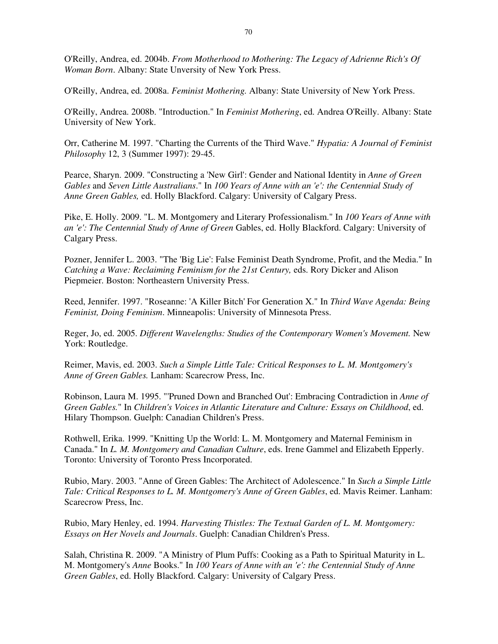O'Reilly, Andrea, ed. 2004b. *From Motherhood to Mothering: The Legacy of Adrienne Rich's Of Woman Born*. Albany: State Unversity of New York Press.

O'Reilly, Andrea, ed. 2008a. *Feminist Mothering.* Albany: State University of New York Press.

O'Reilly, Andrea. 2008b. "Introduction." In *Feminist Mothering*, ed. Andrea O'Reilly. Albany: State University of New York.

Orr, Catherine M. 1997. "Charting the Currents of the Third Wave." *Hypatia: A Journal of Feminist Philosophy* 12, 3 (Summer 1997): 29-45.

Pearce, Sharyn. 2009. "Constructing a 'New Girl': Gender and National Identity in *Anne of Green Gables* and *Seven Little Australians*." In *100 Years of Anne with an 'e': the Centennial Study of Anne Green Gables,* ed. Holly Blackford. Calgary: University of Calgary Press.

Pike, E. Holly. 2009. "L. M. Montgomery and Literary Professionalism." In *100 Years of Anne with an 'e': The Centennial Study of Anne of Green* Gables, ed. Holly Blackford. Calgary: University of Calgary Press.

Pozner, Jennifer L. 2003. "The 'Big Lie': False Feminist Death Syndrome, Profit, and the Media." In *Catching a Wave: Reclaiming Feminism for the 21st Century,* eds. Rory Dicker and Alison Piepmeier. Boston: Northeastern University Press.

Reed, Jennifer. 1997. "Roseanne: 'A Killer Bitch' For Generation X." In *Third Wave Agenda: Being Feminist, Doing Feminism*. Minneapolis: University of Minnesota Press.

Reger, Jo, ed. 2005. *Different Wavelengths: Studies of the Contemporary Women's Movement.* New York: Routledge.

Reimer, Mavis, ed. 2003. *Such a Simple Little Tale: Critical Responses to L. M. Montgomery's Anne of Green Gables.* Lanham: Scarecrow Press, Inc.

Robinson, Laura M. 1995. "'Pruned Down and Branched Out': Embracing Contradiction in *Anne of Green Gables.*" In *Children's Voices in Atlantic Literature and Culture: Essays on Childhood*, ed. Hilary Thompson. Guelph: Canadian Children's Press.

Rothwell, Erika. 1999. "Knitting Up the World: L. M. Montgomery and Maternal Feminism in Canada." In *L. M. Montgomery and Canadian Culture*, eds. Irene Gammel and Elizabeth Epperly. Toronto: University of Toronto Press Incorporated.

Rubio, Mary. 2003. "Anne of Green Gables: The Architect of Adolescence." In *Such a Simple Little Tale: Critical Responses to L. M. Montgomery's Anne of Green Gables*, ed. Mavis Reimer. Lanham: Scarecrow Press, Inc.

Rubio, Mary Henley, ed. 1994. *Harvesting Thistles: The Textual Garden of L. M. Montgomery: Essays on Her Novels and Journals*. Guelph: Canadian Children's Press.

Salah, Christina R. 2009. "A Ministry of Plum Puffs: Cooking as a Path to Spiritual Maturity in L. M. Montgomery's *Anne* Books." In *100 Years of Anne with an 'e': the Centennial Study of Anne Green Gables*, ed. Holly Blackford. Calgary: University of Calgary Press.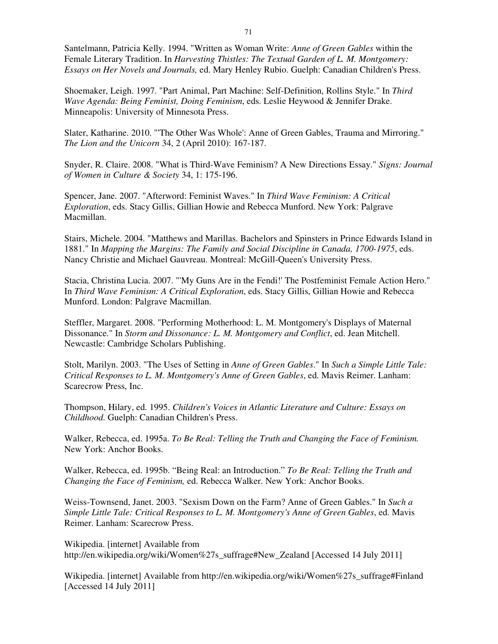Santelmann, Patricia Kelly. 1994. "Written as Woman Write: *Anne of Green Gables* within the Female Literary Tradition. In *Harvesting Thistles: The Textual Garden of L. M. Montgomery: Essays on Her Novels and Journals,* ed. Mary Henley Rubio. Guelph: Canadian Children's Press.

Shoemaker, Leigh. 1997. "Part Animal, Part Machine: Self-Definition, Rollins Style." In *Third Wave Agenda: Being Feminist, Doing Feminism*, eds. Leslie Heywood & Jennifer Drake. Minneapolis: University of Minnesota Press.

Slater, Katharine. 2010. "'The Other Was Whole': Anne of Green Gables, Trauma and Mirroring." *The Lion and the Unicorn* 34, 2 (April 2010): 167-187.

Snyder, R. Claire. 2008. "What is Third-Wave Feminism? A New Directions Essay." *Signs: Journal of Women in Culture & Society* 34, 1: 175-196.

Spencer, Jane. 2007. "Afterword: Feminist Waves." In *Third Wave Feminism: A Critical Exploration*, eds. Stacy Gillis, Gillian Howie and Rebecca Munford. New York: Palgrave Macmillan.

Stairs, Michele. 2004. "Matthews and Marillas. Bachelors and Spinsters in Prince Edwards Island in 1881." In *Mapping the Margins: The Family and Social Discipline in Canada, 1700-1975*, eds. Nancy Christie and Michael Gauvreau. Montreal: McGill-Queen's University Press.

Stacia, Christina Lucia. 2007. "'My Guns Are in the Fendi!' The Postfeminist Female Action Hero." In *Third Wave Feminism: A Critical Exploration*, eds. Stacy Gillis, Gillian Howie and Rebecca Munford. London: Palgrave Macmillan.

Steffler, Margaret. 2008. "Performing Motherhood: L. M. Montgomery's Displays of Maternal Dissonance." In *Storm and Dissonance: L. M. Montgomery and Conflict*, ed. Jean Mitchell. Newcastle: Cambridge Scholars Publishing.

Stolt, Marilyn. 2003. "The Uses of Setting in *Anne of Green Gables*." In *Such a Simple Little Tale: Critical Responses to L. M. Montgomery's Anne of Green Gables*, ed. Mavis Reimer. Lanham: Scarecrow Press, Inc.

Thompson, Hilary, ed. 1995. *Children's Voices in Atlantic Literature and Culture: Essays on Childhood*. Guelph: Canadian Children's Press.

Walker, Rebecca, ed. 1995a. *To Be Real: Telling the Truth and Changing the Face of Feminism.* New York: Anchor Books.

Walker, Rebecca, ed. 1995b. "Being Real: an Introduction." *To Be Real: Telling the Truth and Changing the Face of Feminism,* ed. Rebecca Walker. New York: Anchor Books.

Weiss-Townsend, Janet. 2003. "Sexism Down on the Farm? Anne of Green Gables." In *Such a Simple Little Tale: Critical Responses to L. M. Montgomery's Anne of Green Gables*, ed. Mavis Reimer. Lanham: Scarecrow Press.

Wikipedia. [internet] Available from http://en.wikipedia.org/wiki/Women%27s\_suffrage#New\_Zealand [Accessed 14 July 2011]

Wikipedia. [internet] Available from http://en.wikipedia.org/wiki/Women%27s\_suffrage#Finland [Accessed 14 July 2011]